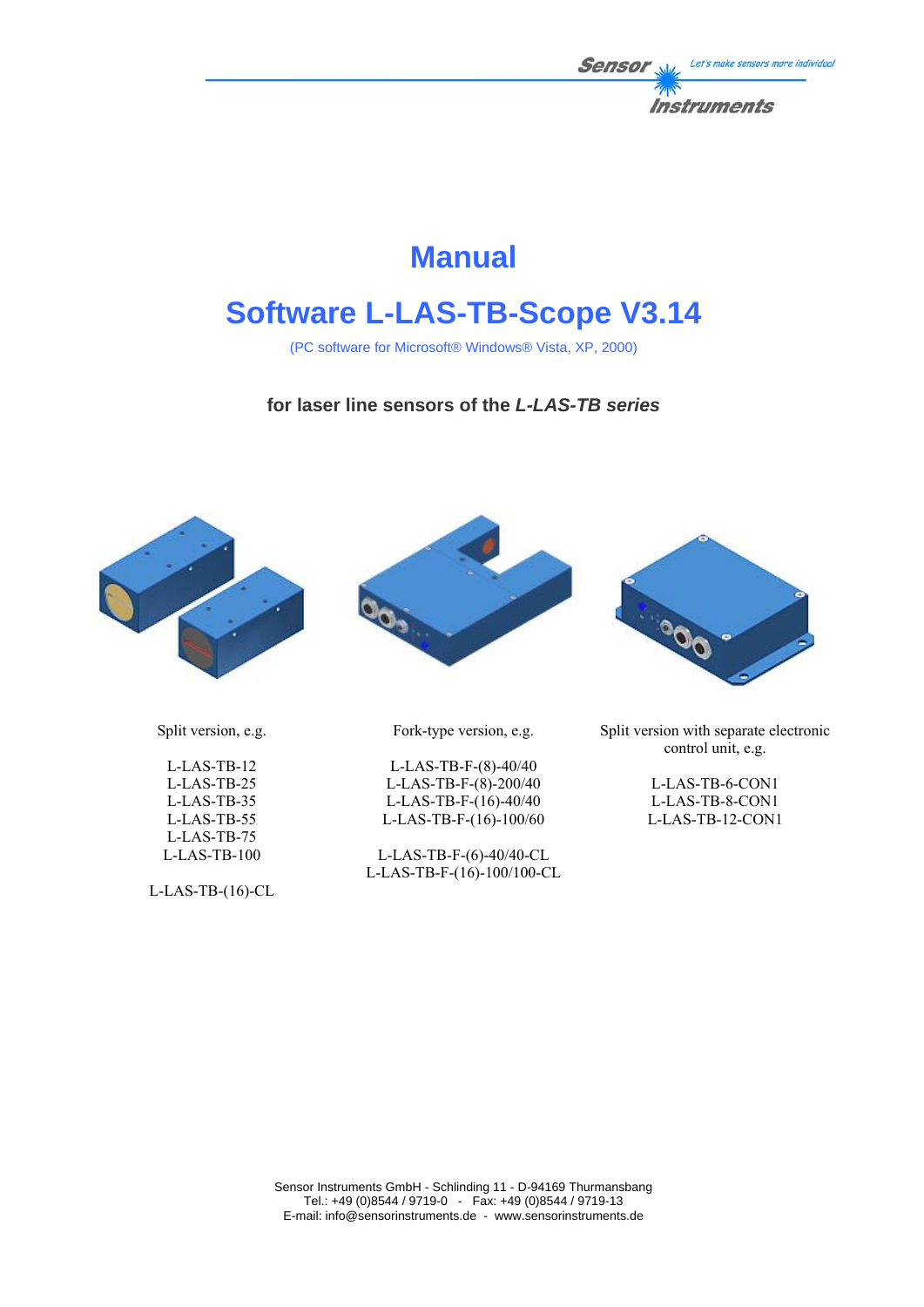

# **Manual**

# **Software L-LAS-TB-Scope V3.14**

(PC software for Microsoft® Windows® Vista, XP, 2000)

### **for laser line sensors of the** *L-LAS-TB series*





Fork-type version, e.g.

L-LAS-TB-F-(8)-40/40 L-LAS-TB-F-(8)-200/40 L-LAS-TB-F-(16)-40/40 L-LAS-TB-F-(16)-100/60

L-LAS-TB-F-(6)-40/40-CL L-LAS-TB-F-(16)-100/100-CL



Split version with separate electronic control unit, e.g.

> L-LAS-TB-6-CON1 L-LAS-TB-8-CON1 L-LAS-TB-12-CON1

Split version, e.g.

L-LAS-TB-12 L-LAS-TB-25 L-LAS-TB-35 L-LAS-TB-55 L-LAS-TB-75 L-LAS-TB-100

L-LAS-TB-(16)-CL

Sensor Instruments GmbH - Schlinding 11 - D-94169 Thurmansbang Tel.: +49 (0)8544 / 9719-0 - Fax: +49 (0)8544 / 9719-13 E-mail: info@sensorinstruments.de - www.sensorinstruments.de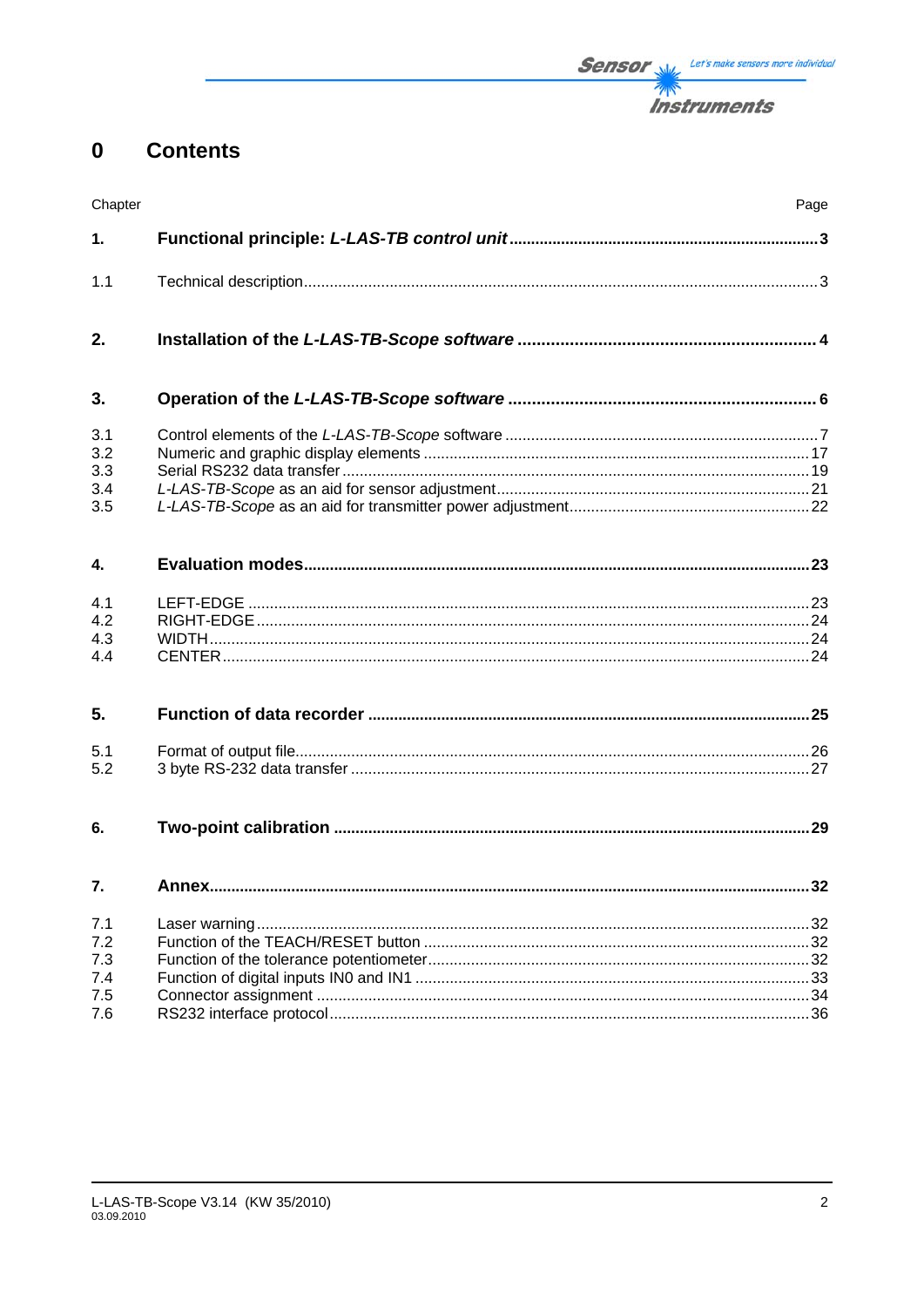#### **Contents**  $\mathbf 0$

| Chapter                         |       | Page |
|---------------------------------|-------|------|
| 1.                              |       |      |
| 1.1                             |       |      |
| 2.                              |       |      |
| 3.                              |       |      |
| 3.1<br>3.2<br>3.3<br>3.4<br>3.5 |       |      |
| 4.                              |       |      |
| 4.1<br>4.2<br>4.3<br>4.4        |       |      |
| 5.                              |       |      |
| 5.1<br>5.2                      |       |      |
| 6.                              |       |      |
| 7.                              | Annex | 32   |
| 7.1<br>7.2<br>7.3<br>7.4<br>7.5 |       |      |
| 7.6                             |       |      |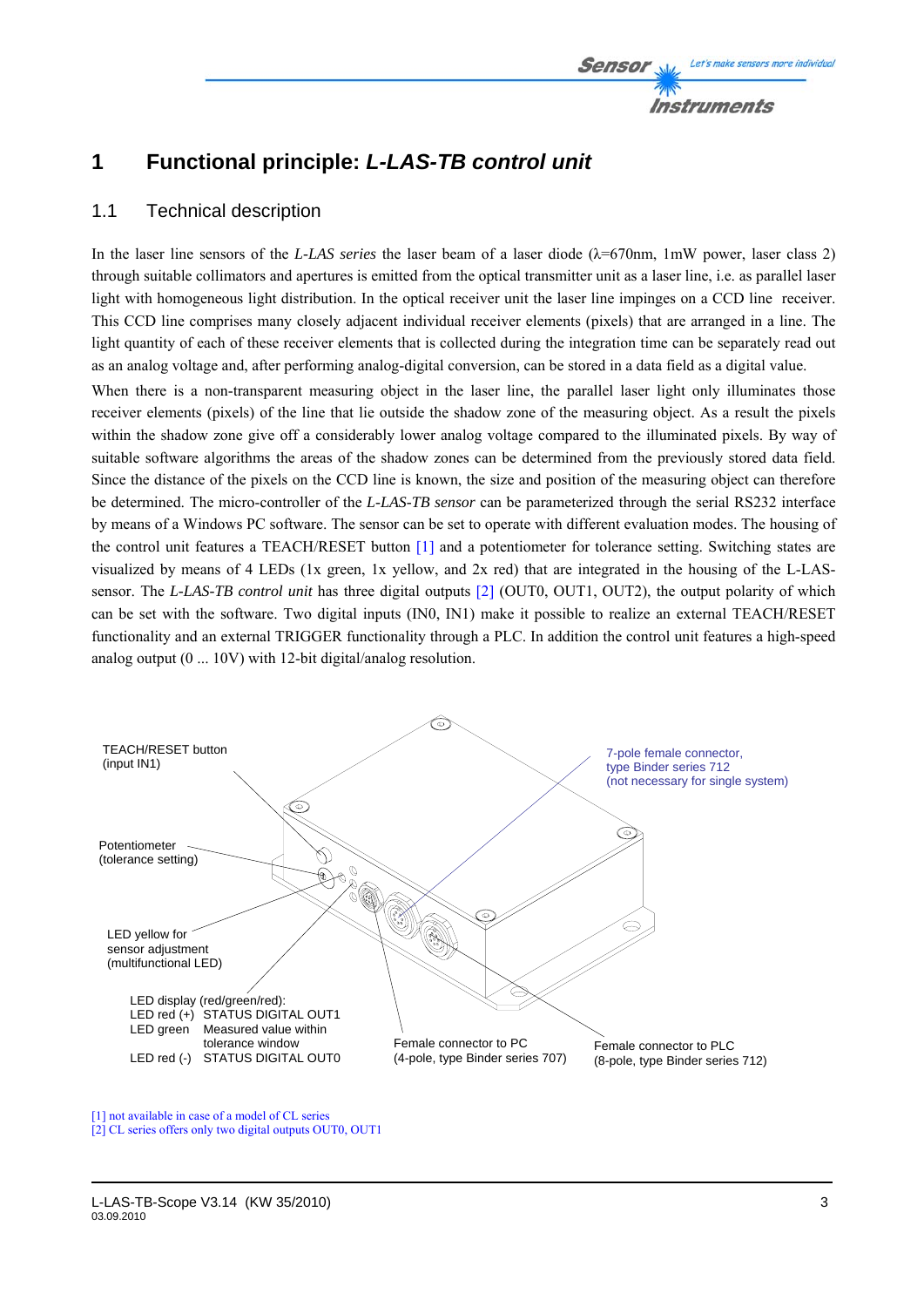

# **1 Functional principle:** *L-LAS-TB control unit*

### 1.1 Technical description

In the laser line sensors of the *L-LAS series* the laser beam of a laser diode (λ=670nm, 1mW power, laser class 2) through suitable collimators and apertures is emitted from the optical transmitter unit as a laser line, i.e. as parallel laser light with homogeneous light distribution. In the optical receiver unit the laser line impinges on a CCD line receiver. This CCD line comprises many closely adjacent individual receiver elements (pixels) that are arranged in a line. The light quantity of each of these receiver elements that is collected during the integration time can be separately read out as an analog voltage and, after performing analog-digital conversion, can be stored in a data field as a digital value.

When there is a non-transparent measuring object in the laser line, the parallel laser light only illuminates those receiver elements (pixels) of the line that lie outside the shadow zone of the measuring object. As a result the pixels within the shadow zone give off a considerably lower analog voltage compared to the illuminated pixels. By way of suitable software algorithms the areas of the shadow zones can be determined from the previously stored data field. Since the distance of the pixels on the CCD line is known, the size and position of the measuring object can therefore be determined. The micro-controller of the *L-LAS-TB sensor* can be parameterized through the serial RS232 interface by means of a Windows PC software. The sensor can be set to operate with different evaluation modes. The housing of the control unit features a TEACH/RESET button [1] and a potentiometer for tolerance setting. Switching states are visualized by means of 4 LEDs (1x green, 1x yellow, and 2x red) that are integrated in the housing of the L-LASsensor. The *L-LAS-TB control unit* has three digital outputs [2] (OUT0, OUT1, OUT2), the output polarity of which can be set with the software. Two digital inputs (IN0, IN1) make it possible to realize an external TEACH/RESET functionality and an external TRIGGER functionality through a PLC. In addition the control unit features a high-speed analog output (0 ... 10V) with 12-bit digital/analog resolution.



[1] not available in case of a model of CL series

<sup>[2]</sup> CL series offers only two digital outputs OUT0, OUT1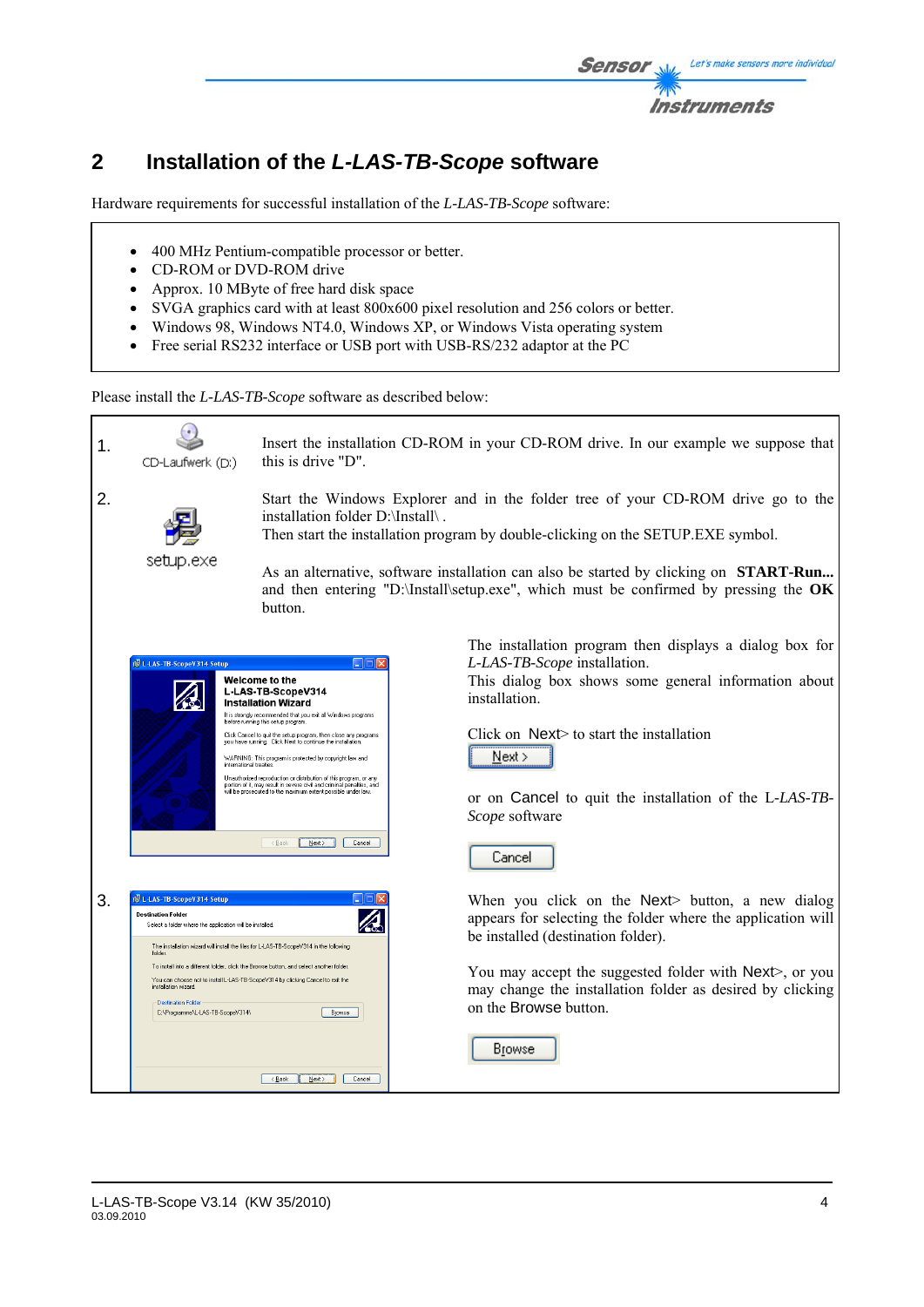

# **2 Installation of the** *L-LAS-TB-Scope* **software**

Hardware requirements for successful installation of the *L-LAS-TB-Scope* software:

- 400 MHz Pentium-compatible processor or better.
- CD-ROM or DVD-ROM drive
- Approx. 10 MByte of free hard disk space
- SVGA graphics card with at least 800x600 pixel resolution and 256 colors or better.
- Windows 98, Windows NT4.0, Windows XP, or Windows Vista operating system
- Free serial RS232 interface or USB port with USB-RS/232 adaptor at the PC

Please install the *L-LAS-TB-Scope* software as described below:

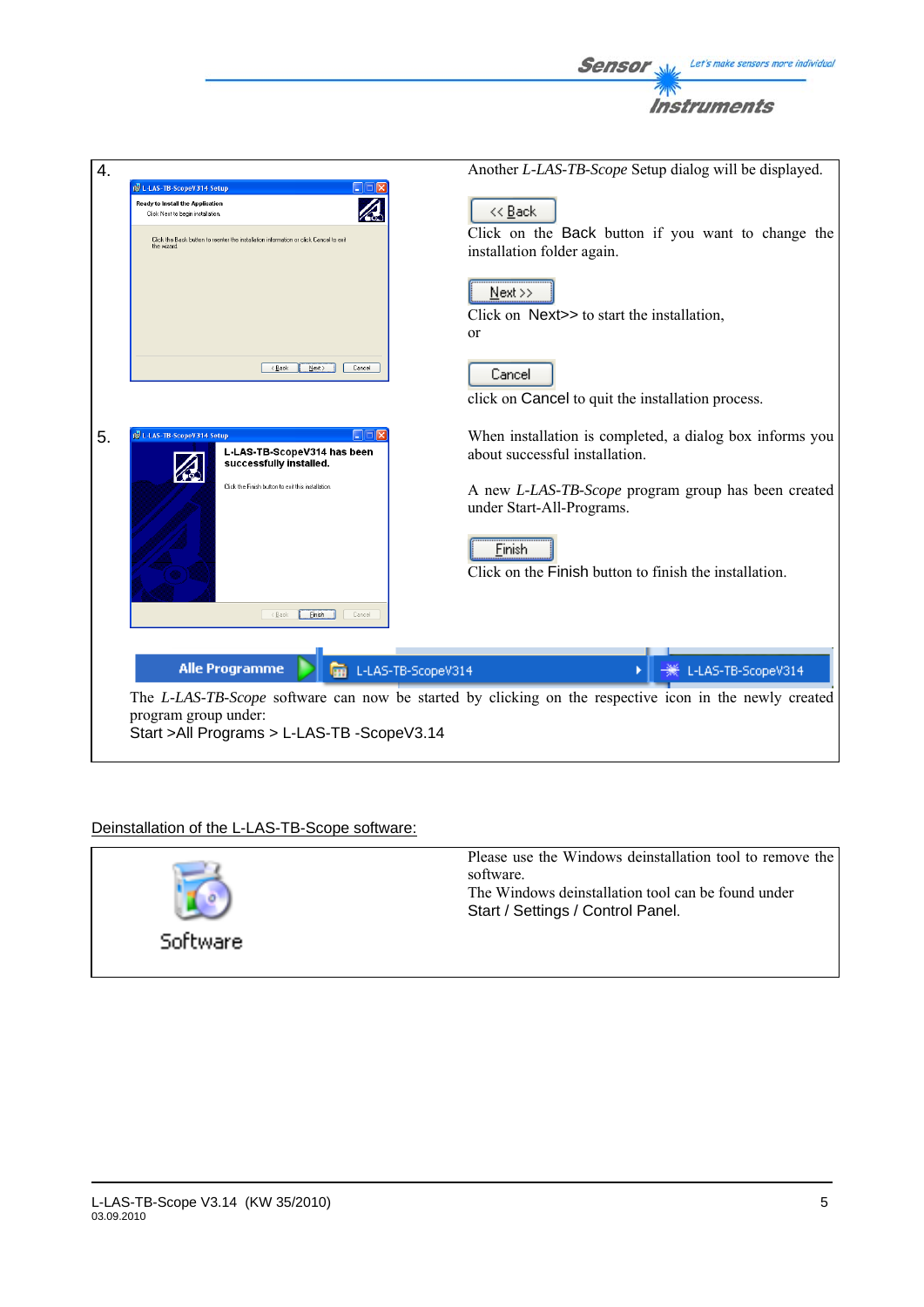

### Deinstallation of the L-LAS-TB-Scope software:

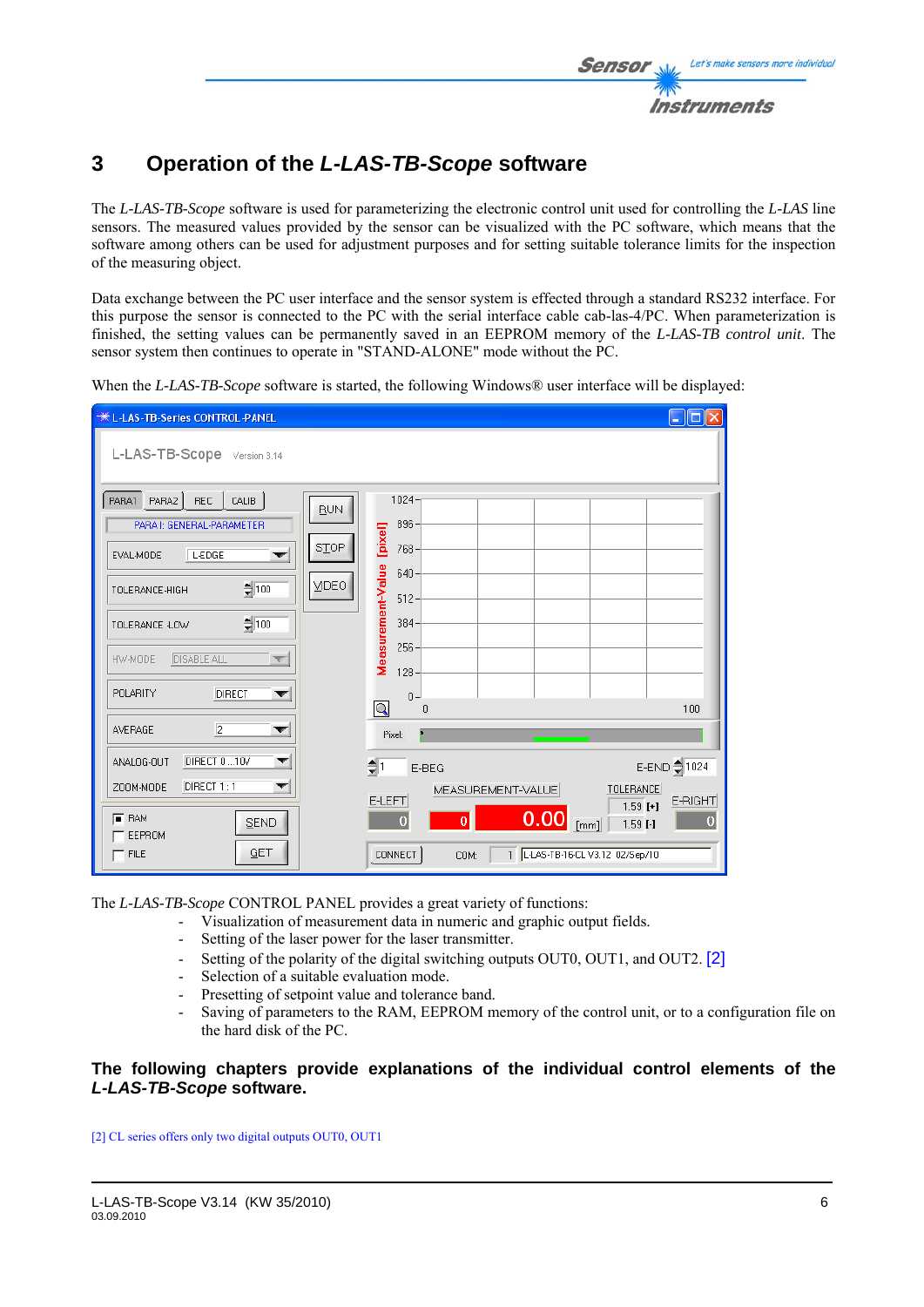

# **3 Operation of the** *L-LAS-TB-Scope* **software**

The *L-LAS-TB-Scope* software is used for parameterizing the electronic control unit used for controlling the *L-LAS* line sensors. The measured values provided by the sensor can be visualized with the PC software, which means that the software among others can be used for adjustment purposes and for setting suitable tolerance limits for the inspection of the measuring object.

Data exchange between the PC user interface and the sensor system is effected through a standard RS232 interface. For this purpose the sensor is connected to the PC with the serial interface cable cab-las-4/PC. When parameterization is finished, the setting values can be permanently saved in an EEPROM memory of the *L-LAS-TB control unit*. The sensor system then continues to operate in "STAND-ALONE" mode without the PC.

When the *L-LAS-TB-Scope* software is started, the following Windows® user interface will be displayed:

| <b>*LEAS-TB-Series CONTROL-PANEL</b>                          |                                                                | $\Box$ o $\times$ |
|---------------------------------------------------------------|----------------------------------------------------------------|-------------------|
| L-LAS-TB-Scope Version 3.14                                   |                                                                |                   |
| PARA1 PARA2<br>REC.<br>$ $ CALIB<br>PARA I: GENERAL-PARAMETER | 1024-<br>BUN<br>896-                                           |                   |
| L-EDGE<br>EVAL-MODE<br>▼                                      | [pixel]<br><b>STOP</b><br>768-<br>$640 -$                      |                   |
| $= 100$<br>TOLERANCE-HIGH                                     | Measurement-Value<br><b>VIDEO</b><br>$512 -$                   |                   |
| $= 100$<br>TOLERANCE -LOW                                     | $384 -$                                                        |                   |
| <b>DISABLE ALL</b><br>HW-MODE                                 | $256 -$<br>$128 -$                                             |                   |
| POLARITY<br>DIRECT<br>▼                                       | $0 -$<br>$\boxed{\mathsf{Q}}$<br>$\theta$                      | 100               |
| $\overline{2}$<br>AVERAGE<br>▼                                | Pixel:                                                         |                   |
| DIRECT 0  10V<br>ANALOG-OUT<br>▼                              | (‡∣<br>E-BEG                                                   | E-END 21024       |
| DIRECT 1:1<br>ZOOM-MODE<br>▼                                  | <b>TOLERANCE</b><br>MEASUREMENT-VALUE<br>E-LEFT<br>$1.59$ [+]  | E-RIGHT           |
| $F$ RAM<br>SEND<br>EEPROM                                     | 0.00<br>$\overline{0}$<br>$\mathbf{0}$<br>[mm]<br>$1.59$ $[-]$ | $\overline{0}$    |
| GET<br>$-$ FILE                                               | 1   L-LAS-TB-16-CL V3.12 02/Sep/10<br><b>CONNECT</b><br>COM:   |                   |

The *L-LAS-TB-Scope* CONTROL PANEL provides a great variety of functions:

- Visualization of measurement data in numeric and graphic output fields.
- Setting of the laser power for the laser transmitter.
- Setting of the polarity of the digital switching outputs OUT0, OUT1, and OUT2. [2]
- Selection of a suitable evaluation mode.
- Presetting of setpoint value and tolerance band.
- Saving of parameters to the RAM, EEPROM memory of the control unit, or to a configuration file on the hard disk of the PC.

### **The following chapters provide explanations of the individual control elements of the**  *L-LAS-TB-Scope* **software.**

[2] CL series offers only two digital outputs OUT0, OUT1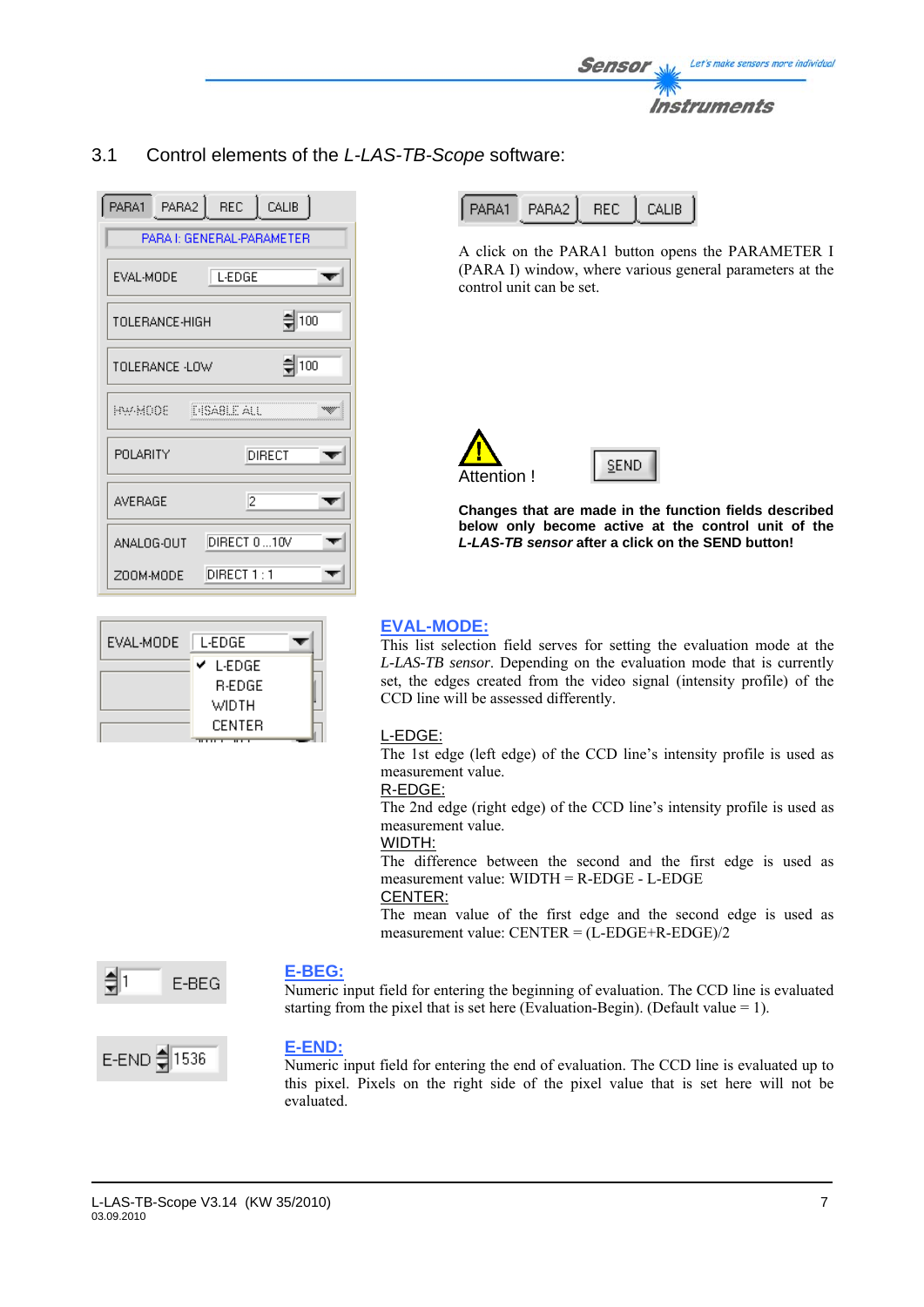

# 3.1 Control elements of the *L-LAS-TB-Scope* software:

| PARA1 PARA2 REC CALIB |                           |                   |
|-----------------------|---------------------------|-------------------|
|                       | PARA I: GENERAL-PARAMETER |                   |
| EVAL-MODE             | L-EDGE                    |                   |
| TOLERANCE-HIGH        |                           | $\frac{4}{3}$ 100 |
| TOLERANCE -LOW        |                           | $\frac{4}{2}$ 100 |
| HW-MOOE -             | <b>E-ISA8LE ALL</b>       |                   |
| POLARITY              |                           | DIRECT            |
| <b>AVERAGE</b>        | 12                        |                   |
| ANALOG-OUT            | DIRECT 0 10V              |                   |
| ZOOM-MODE             | DIRECT 1 : 1              |                   |

| EVAL-MODE | L-EDGE        |  |
|-----------|---------------|--|
|           | L-EDGE<br>v   |  |
|           | <b>R-EDGE</b> |  |
|           | WIDTH         |  |
|           | <b>CENTER</b> |  |

| PARA2 REC CALIB<br>PARA1 |
|--------------------------|
|--------------------------|

A click on the PARA1 button opens the PARAMETER I (PARA I) window, where various general parameters at the control unit can be set.



**Changes that are made in the function fields described below only become active at the control unit of the** *L-LAS-TB sensor* **after a click on the SEND button!**

### **EVAL-MODE:**

This list selection field serves for setting the evaluation mode at the *L-LAS-TB sensor*. Depending on the evaluation mode that is currently set, the edges created from the video signal (intensity profile) of the CCD line will be assessed differently.

### L-EDGE:

The 1st edge (left edge) of the CCD line's intensity profile is used as measurement value.

### R-EDGE:

The 2nd edge (right edge) of the CCD line's intensity profile is used as measurement value.

### WIDTH:

The difference between the second and the first edge is used as measurement value: WIDTH = R-EDGE - L-EDGE

### CENTER:

The mean value of the first edge and the second edge is used as measurement value: CENTER = (L-EDGE+R-EDGE)/2



### **E-BEG:**

Numeric input field for entering the beginning of evaluation. The CCD line is evaluated starting from the pixel that is set here (Evaluation-Begin). (Default value = 1).



### **E-END:**

Numeric input field for entering the end of evaluation. The CCD line is evaluated up to this pixel. Pixels on the right side of the pixel value that is set here will not be evaluated.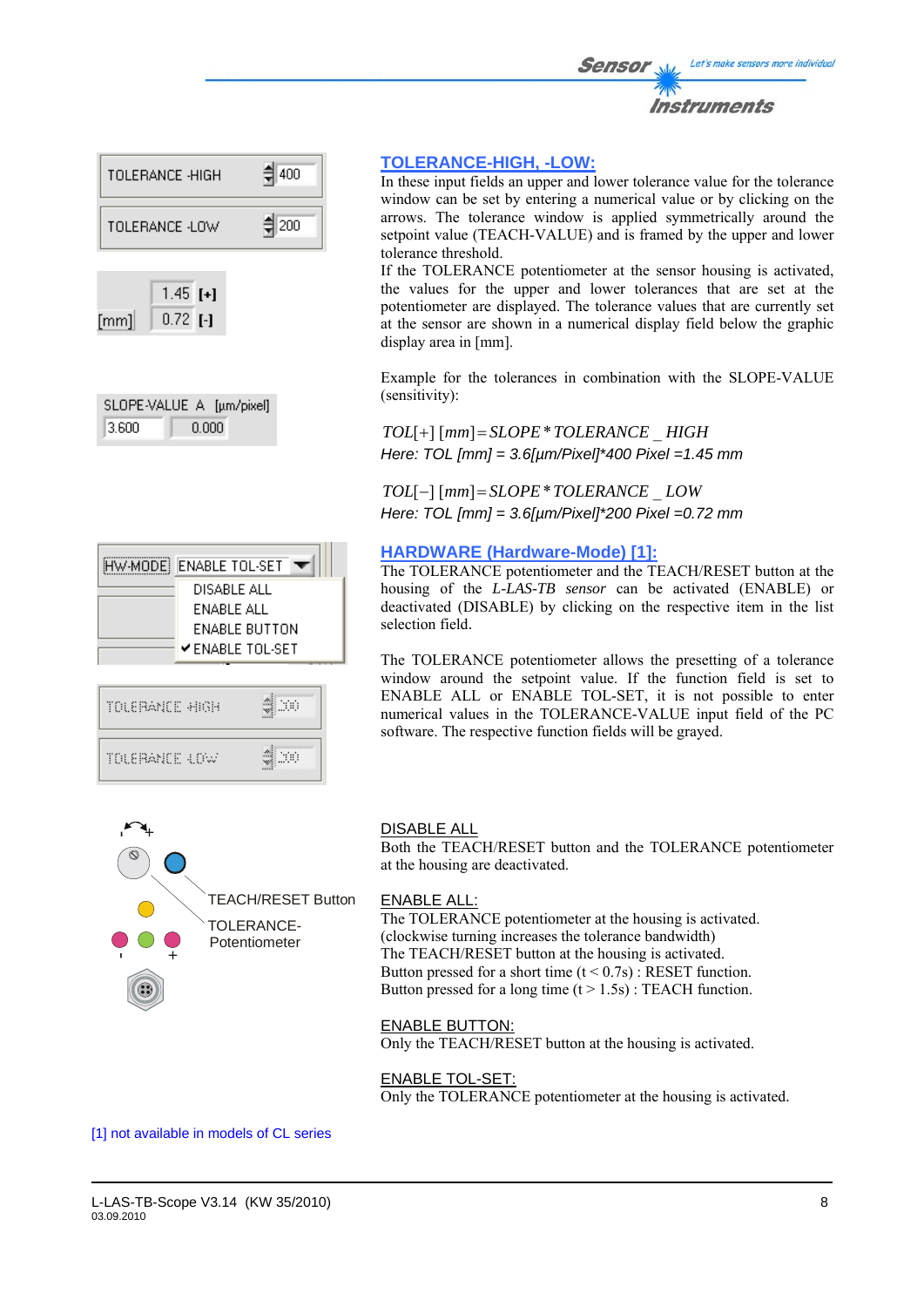



| SLOPE-VALUE A [µm/pixel] |       |  |
|--------------------------|-------|--|
| 3.600                    | 0.000 |  |

| HW-MODE ENABLE TOL-SET | DISABLE ALL<br>ENABLE ALL | ENABLE BUTTON<br>$\checkmark$ enable tol-set |  |
|------------------------|---------------------------|----------------------------------------------|--|
| TOLERANCE HIGH         |                           |                                              |  |
| TOLERANCE 4.0W         |                           |                                              |  |

 $\blacksquare$ 

### **TOLERANCE-HIGH, -LOW:**

In these input fields an upper and lower tolerance value for the tolerance window can be set by entering a numerical value or by clicking on the arrows. The tolerance window is applied symmetrically around the setpoint value (TEACH-VALUE) and is framed by the upper and lower tolerance threshold.

If the TOLERANCE potentiometer at the sensor housing is activated, the values for the upper and lower tolerances that are set at the potentiometer are displayed. The tolerance values that are currently set at the sensor are shown in a numerical display field below the graphic display area in [mm].

Example for the tolerances in combination with the SLOPE-VALUE (sensitivity):

*TOL*[+] [*mm*]= *SLOPE*\**TOLERANCE* \_ *HIGH Here: TOL [mm] = 3.6[µm/Pixel]\*400 Pixel =1.45 mm* 

*TOL*[−] [*mm*]= *SLOPE*\**TOLERANCE* \_ *LOW Here: TOL [mm] = 3.6[µm/Pixel]\*200 Pixel =0.72 mm*

### **HARDWARE (Hardware-Mode) [1]:**

The TOLERANCE potentiometer and the TEACH/RESET button at the housing of the *L-LAS-TB sensor* can be activated (ENABLE) or deactivated (DISABLE) by clicking on the respective item in the list selection field.

The TOLERANCE potentiometer allows the presetting of a tolerance window around the setpoint value. If the function field is set to ENABLE ALL or ENABLE TOL-SET, it is not possible to enter numerical values in the TOLERANCE-VALUE input field of the PC software. The respective function fields will be grayed.



### DISABLE ALL

Both the TEACH/RESET button and the TOLERANCE potentiometer at the housing are deactivated.

### ENABLE ALL:

The TOLERANCE potentiometer at the housing is activated. (clockwise turning increases the tolerance bandwidth) The TEACH/RESET button at the housing is activated. Button pressed for a short time  $(t < 0.7s)$ : RESET function. Button pressed for a long time  $(t > 1.5s)$ : TEACH function.

### ENABLE BUTTON:

Only the TEACH/RESET button at the housing is activated.

### ENABLE TOL-SET:

Only the TOLERANCE potentiometer at the housing is activated.

[1] not available in models of CL series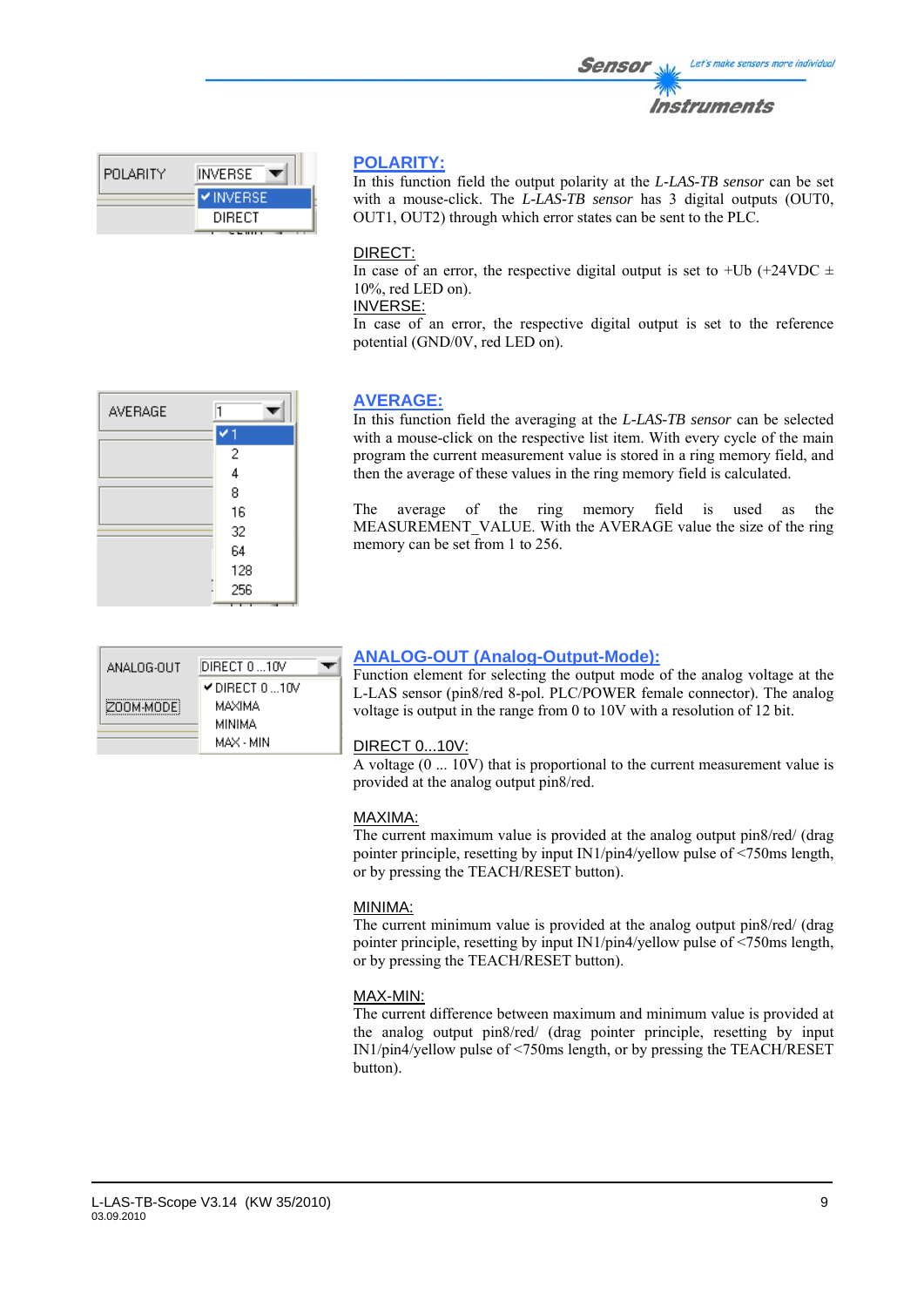#### with a mouse-click on the respective list item. With every cycle of the main program the current measurement value is stored in a ring memory field, and then the average of these values in the ring memory field is calculated.

The average of the ring memory field is used as the MEASUREMENT VALUE. With the AVERAGE value the size of the ring memory can be set from 1 to 256.

# **ANALOG-OUT (Analog-Output-Mode):**

Function element for selecting the output mode of the analog voltage at the L-LAS sensor (pin8/red 8-pol. PLC/POWER female connector). The analog voltage is output in the range from 0 to 10V with a resolution of 12 bit.

### DIRECT 0...10V:

A voltage (0 ... 10V) that is proportional to the current measurement value is provided at the analog output pin8/red.

# MAXIMA:

The current maximum value is provided at the analog output pin8/red/ (drag pointer principle, resetting by input IN1/pin4/yellow pulse of <750ms length, or by pressing the TEACH/RESET button).

# MINIMA:

The current minimum value is provided at the analog output pin8/red/ (drag pointer principle, resetting by input IN1/pin4/yellow pulse of <750ms length, or by pressing the TEACH/RESET button).

# MAX-MIN:

The current difference between maximum and minimum value is provided at the analog output pin8/red/ (drag pointer principle, resetting by input IN1/pin4/yellow pulse of <750ms length, or by pressing the TEACH/RESET button).

| INVERSE.     | In |
|--------------|----|
| WEBSE<br>IV. |    |

**DIRECT** 

# **POLARITY:**

In this function field the output polarity at the *L-LAS-TB sensor* can be set with a mouse-click. The *L-LAS-TB sensor* has 3 digital outputs (OUT0, OUT1, OUT2) through which error states can be sent to the PLC.

### DIRECT:

In case of an error, the respective digital output is set to +Ub (+24VDC  $\pm$ 10%, red LED on).

INVERSE:

**AVERAGE:**

In case of an error, the respective digital output is set to the reference potential (GND/0V, red LED on).

In this function field the averaging at the *L-LAS-TB sensor* can be selected

| AVERAGE |     |
|---------|-----|
|         |     |
|         | 2   |
|         | 4   |
|         | 8   |
|         | 16  |
|         | 32  |
|         | 64  |
|         | 128 |
|         | 256 |
|         |     |

DIRECT 0...10V DIRECT 0 ... 10V MAXIMA

> **MINIMA** MAX - MIN

ANALOG-OUT

ZOOM-MODE

POLARITY

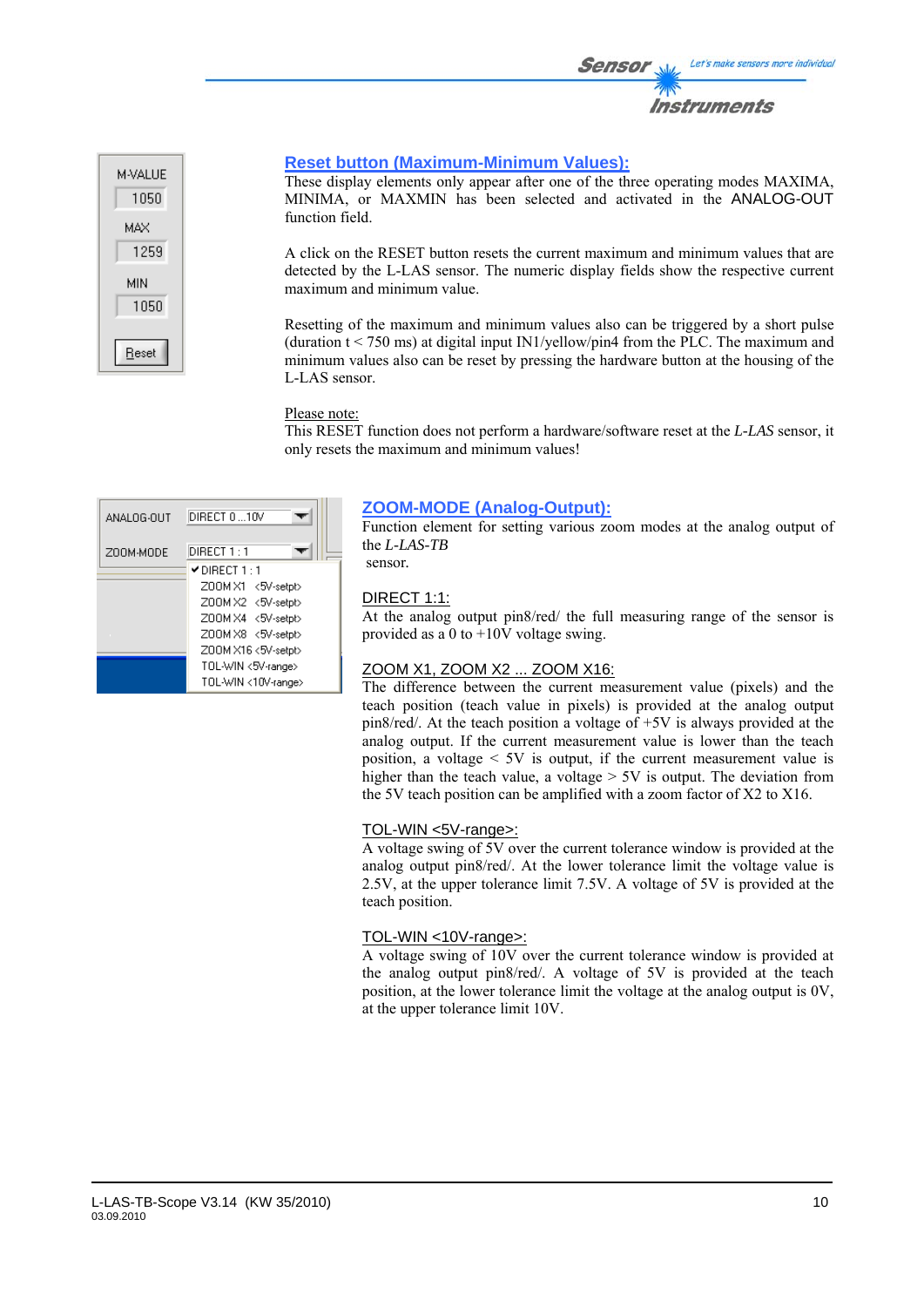



### **Reset button (Maximum-Minimum Values):**

These display elements only appear after one of the three operating modes MAXIMA, MINIMA, or MAXMIN has been selected and activated in the ANALOG-OUT function field.

A click on the RESET button resets the current maximum and minimum values that are detected by the L-LAS sensor. The numeric display fields show the respective current maximum and minimum value.

Resetting of the maximum and minimum values also can be triggered by a short pulse (duration  $t < 750$  ms) at digital input IN1/yellow/pin4 from the PLC. The maximum and minimum values also can be reset by pressing the hardware button at the housing of the L-LAS sensor.

#### Please note:

This RESET function does not perform a hardware/software reset at the *L-LAS* sensor, it only resets the maximum and minimum values!

| ANALOG-OUT | DIRECT 010V                       |
|------------|-----------------------------------|
| ZOOM-MODE  | DIRECT 1 : 1                      |
|            | $\blacktriangledown$ DIRECT 1 : 1 |
|            | Z00M X1 <5V-setpt>                |
|            | Z00MX2 <5V-setpt>                 |
|            | Z00M X4 <5V-setpt>                |
|            | Z00M X8 <5V-setpt>                |
|            | Z00M X16 <5V-setpt>               |
|            | TOL-WIN <5V-range>                |
|            | TOL-WIN <10V-range>               |

### **ZOOM-MODE (Analog-Output):**

Function element for setting various zoom modes at the analog output of the *L-LAS-TB*  sensor*.*

### DIRECT 1:1:

At the analog output pin8/red/ the full measuring range of the sensor is provided as a 0 to +10V voltage swing.

#### ZOOM X1, ZOOM X2 ... ZOOM X16:

The difference between the current measurement value (pixels) and the teach position (teach value in pixels) is provided at the analog output pin8/red/. At the teach position a voltage of +5V is always provided at the analog output. If the current measurement value is lower than the teach position, a voltage  $\leq 5V$  is output, if the current measurement value is higher than the teach value, a voltage  $> 5V$  is output. The deviation from the 5V teach position can be amplified with a zoom factor of X2 to X16.

#### TOL-WIN <5V-range>:

A voltage swing of 5V over the current tolerance window is provided at the analog output pin8/red/. At the lower tolerance limit the voltage value is 2.5V, at the upper tolerance limit 7.5V. A voltage of 5V is provided at the teach position.

### TOL-WIN <10V-range>:

A voltage swing of 10V over the current tolerance window is provided at the analog output pin8/red/. A voltage of 5V is provided at the teach position, at the lower tolerance limit the voltage at the analog output is 0V, at the upper tolerance limit 10V.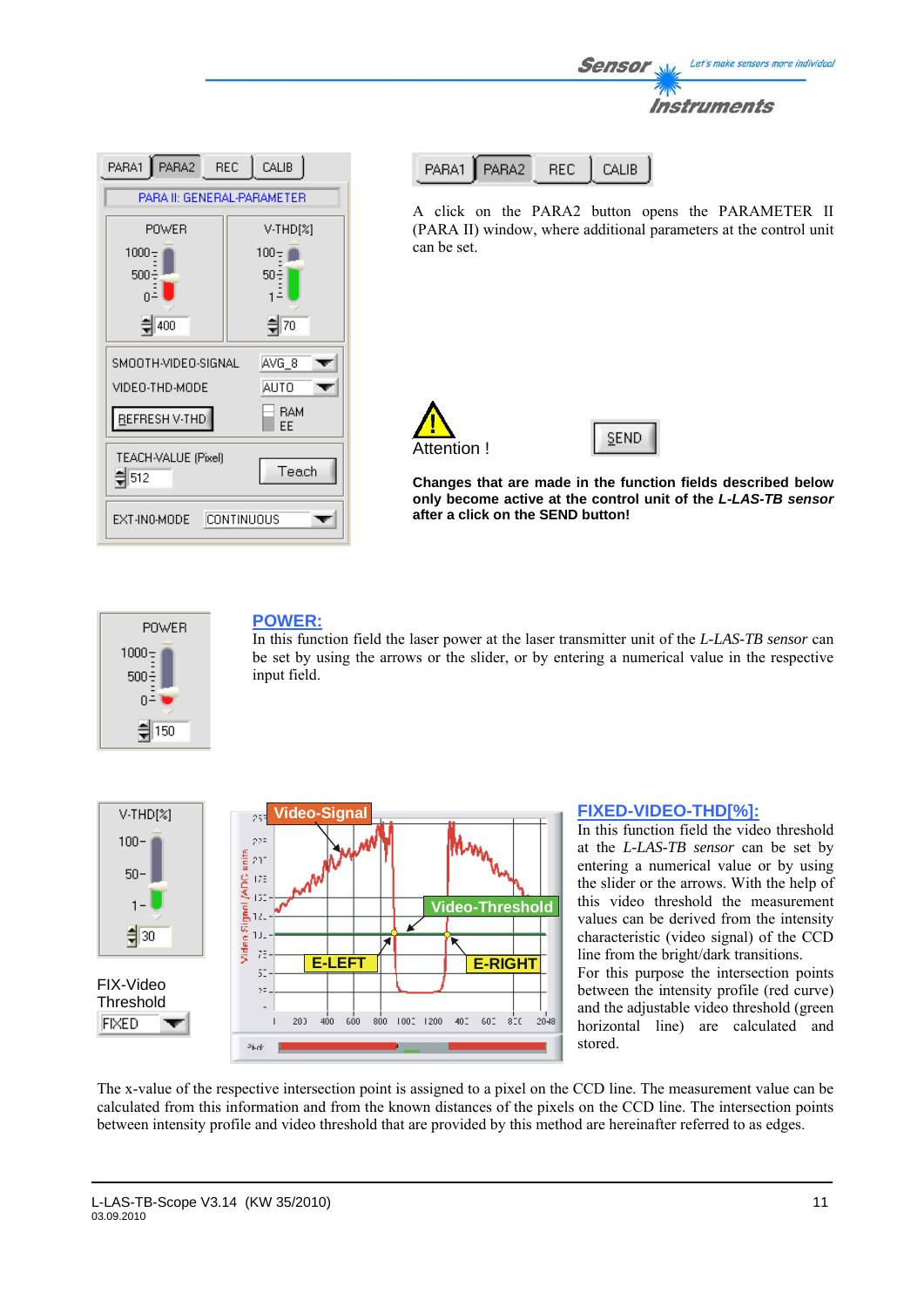| PARA2 REC<br>CALIB<br>PARA1               |          |  |
|-------------------------------------------|----------|--|
| PARA II: GENERAL-PARAMETER                |          |  |
| POWER                                     | V-THD[%] |  |
| $1000 -$                                  | $100 -$  |  |
| 500<br>50÷                                |          |  |
| 츾70<br>400                                |          |  |
| SMOOTH-VIDEO-SIGNAL<br>AVG_8              |          |  |
| VIDEO-THD-MODE<br>AUTO                    |          |  |
| <b>RAM</b><br>REFRESH V-THD<br>ΕE         |          |  |
| TEACH-VALUE (Pixel)<br>Teach<br>$\xi$ 512 |          |  |
| EXT-IN0-MODE<br>CONTINUOUS                |          |  |

| PARA1   PARA2 | - REL- | $\Box$ CALIB |
|---------------|--------|--------------|
|               |        |              |

A click on the PARA2 button opens the PARAMETER II (PARA II) window, where additional parameters at the control unit can be set.

Sensor

Let's make sensors more individual

Instruments





**Changes that are made in the function fields described below only become active at the control unit of the** *L-LAS-TB sensor* **after a click on the SEND button!**



# **POWER:**

In this function field the laser power at the laser transmitter unit of the *L-LAS-TB sensor* can be set by using the arrows or the slider, or by entering a numerical value in the respective input field.



### **FIXED-VIDEO-THD[%]:**

In this function field the video threshold at the *L-LAS-TB sensor* can be set by entering a numerical value or by using the slider or the arrows. With the help of this video threshold the measurement values can be derived from the intensity characteristic (video signal) of the CCD line from the bright/dark transitions. For this purpose the intersection points

between the intensity profile (red curve) and the adjustable video threshold (green horizontal line) are calculated and stored.

The x-value of the respective intersection point is assigned to a pixel on the CCD line. The measurement value can be calculated from this information and from the known distances of the pixels on the CCD line. The intersection points between intensity profile and video threshold that are provided by this method are hereinafter referred to as edges.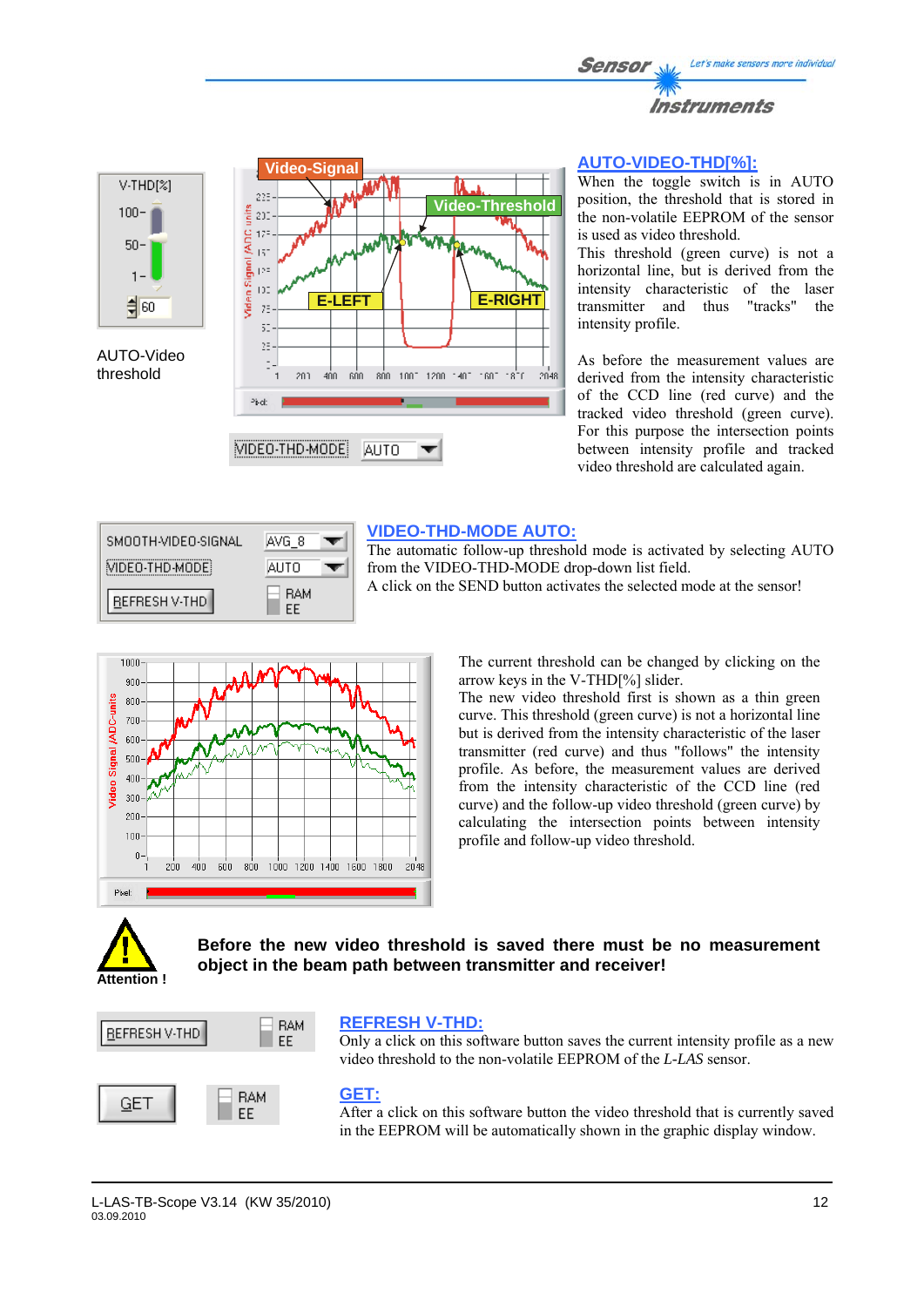







### **AUTO-VIDEO-THD[%]:**

When the toggle switch is in AUTO position, the threshold that is stored in the non-volatile EEPROM of the sensor is used as video threshold.

This threshold (green curve) is not a horizontal line, but is derived from the intensity characteristic of the laser transmitter and thus "tracks" the intensity profile.

As before the measurement values are derived from the intensity characteristic of the CCD line (red curve) and the tracked video threshold (green curve). For this purpose the intersection points between intensity profile and tracked video threshold are calculated again.



### **VIDEO-THD-MODE AUTO:**

The automatic follow-up threshold mode is activated by selecting AUTO from the VIDEO-THD-MODE drop-down list field. A click on the SEND button activates the selected mode at the sensor!



The current threshold can be changed by clicking on the arrow keys in the V-THD[%] slider.

The new video threshold first is shown as a thin green curve. This threshold (green curve) is not a horizontal line but is derived from the intensity characteristic of the laser transmitter (red curve) and thus "follows" the intensity profile. As before, the measurement values are derived from the intensity characteristic of the CCD line (red curve) and the follow-up video threshold (green curve) by calculating the intersection points between intensity profile and follow-up video threshold.



**Before the new video threshold is saved there must be no measurement object in the beam path between transmitter and receiver!** 



### **REFRESH V-THD:**

Only a click on this software button saves the current intensity profile as a new video threshold to the non-volatile EEPROM of the *L-LAS* sensor.

### **GET:**

After a click on this software button the video threshold that is currently saved in the EEPROM will be automatically shown in the graphic display window.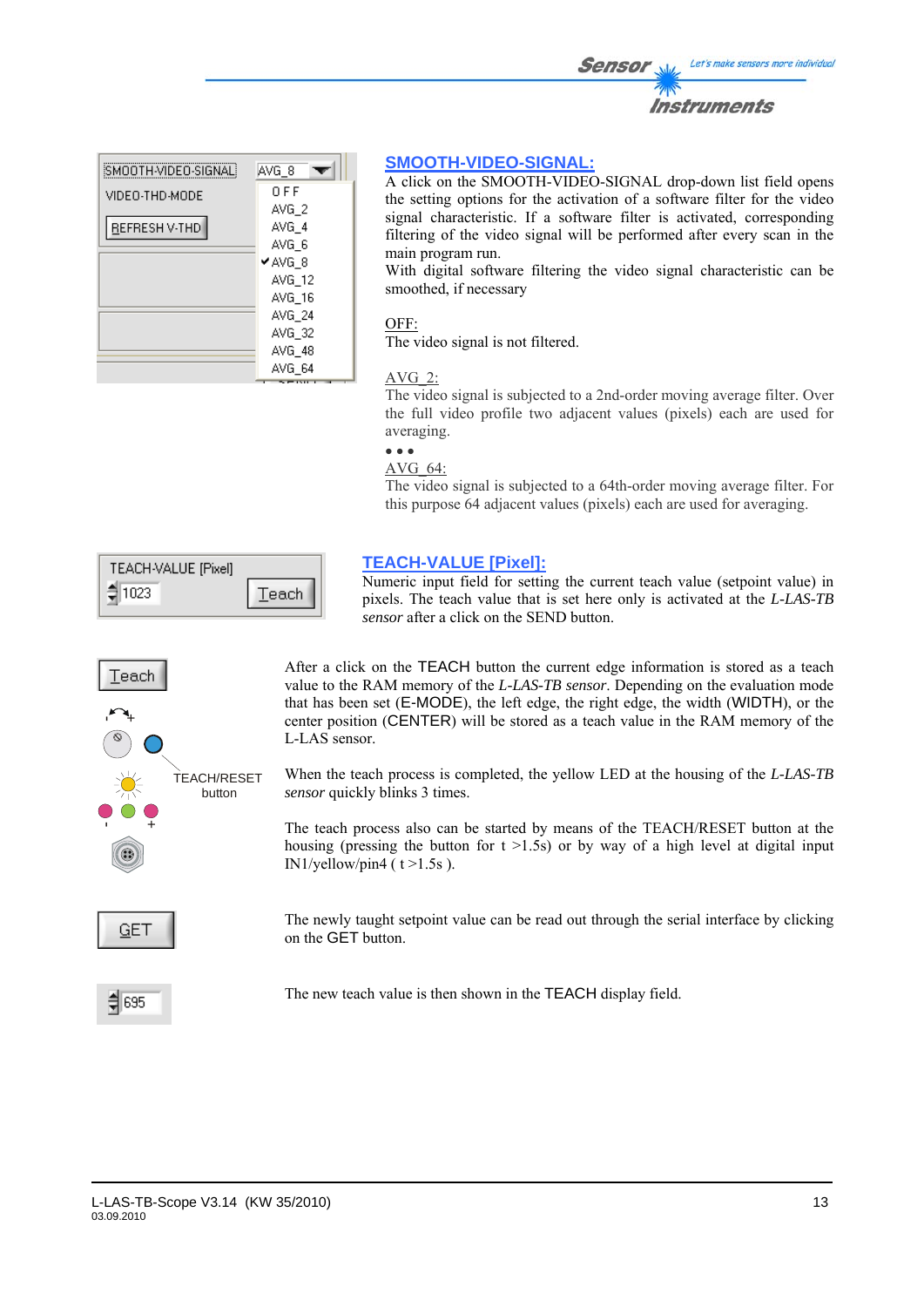| SMOOTH-VIDEO-SIGNAL! | AVG_8  |
|----------------------|--------|
| VIDEO-THD-MODE       | 0 F F  |
|                      | AVG 2  |
| REFRESH V-THD        | AVG 4  |
|                      | AVG_6  |
|                      | ✔AVG 8 |
|                      | AVG 12 |
|                      | AVG 16 |
|                      | AVG 24 |
|                      | AVG 32 |
|                      | AVG 48 |
|                      | AVG 64 |

### **SMOOTH-VIDEO-SIGNAL:**

A click on the SMOOTH-VIDEO-SIGNAL drop-down list field opens the setting options for the activation of a software filter for the video signal characteristic. If a software filter is activated, corresponding filtering of the video signal will be performed after every scan in the main program run.

With digital software filtering the video signal characteristic can be smoothed, if necessary

### OFF:

The video signal is not filtered.

### AVG\_2:

The video signal is subjected to a 2nd-order moving average filter. Over the full video profile two adjacent values (pixels) each are used for averaging.

#### • • • AVG\_64:

The video signal is subjected to a 64th-order moving average filter. For this purpose 64 adjacent values (pixels) each are used for averaging.

| TEACH-VALUE [Pixel] |       |
|---------------------|-------|
| 1023<br>⊐           | Teach |

# $Teach$ +-TEACH/RESET button +- **GET**

**TEACH-VALUE [Pixel]:**

Numeric input field for setting the current teach value (setpoint value) in pixels. The teach value that is set here only is activated at the *L-LAS-TB sensor* after a click on the SEND button.

After a click on the TEACH button the current edge information is stored as a teach value to the RAM memory of the *L-LAS-TB sensor*. Depending on the evaluation mode that has been set (E-MODE), the left edge, the right edge, the width (WIDTH), or the center position (CENTER) will be stored as a teach value in the RAM memory of the L-LAS sensor.

When the teach process is completed, the yellow LED at the housing of the *L-LAS-TB sensor* quickly blinks 3 times.

The teach process also can be started by means of the TEACH/RESET button at the housing (pressing the button for  $t > 1.5s$ ) or by way of a high level at digital input IN1/yellow/pin4 ( $t > 1.5s$ ).

The newly taught setpoint value can be read out through the serial interface by clicking on the GET button.

 $\xi$  695

The new teach value is then shown in the TEACH display field.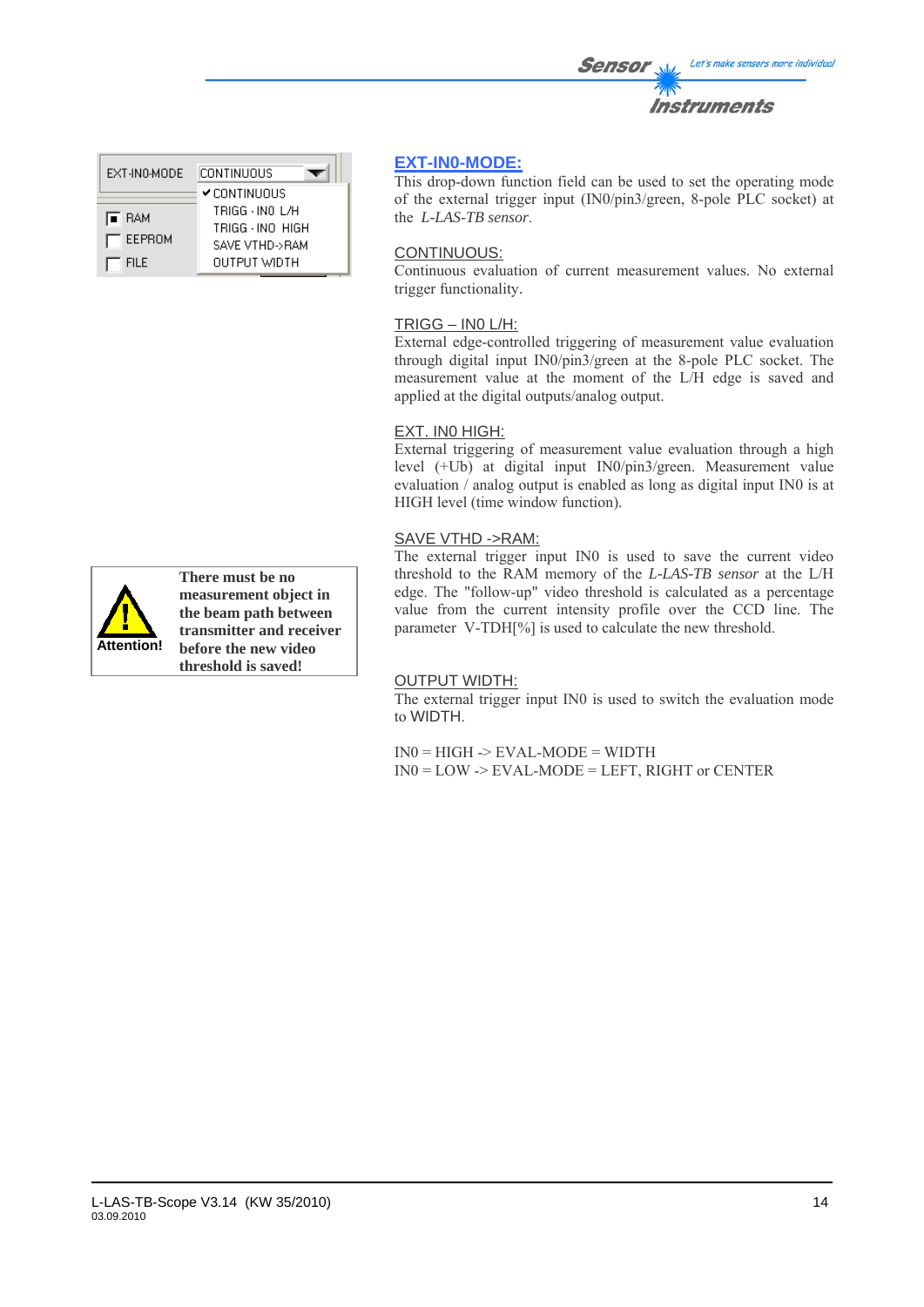| EXT-IN0-MODE    | CONTINUOUS       |  |  |
|-----------------|------------------|--|--|
|                 | ✔ CONTINUOUS     |  |  |
| <b>E</b> RAM    | TRIGG - INO L/H  |  |  |
|                 | TRIGG - INO HIGH |  |  |
| $\Gamma$ EEPROM | SAVE VTHD->RAM   |  |  |
| <b>FILE</b>     | OUTPUT WIDTH     |  |  |



**There must be no measurement object in the beam path between transmitter and receiver before the new video threshold is saved!**

# **EXT-IN0-MODE:**

This drop-down function field can be used to set the operating mode of the external trigger input (IN0/pin3/green, 8-pole PLC socket) at the *L-LAS-TB sensor*.

### CONTINUOUS:

Continuous evaluation of current measurement values. No external trigger functionality.

### TRIGG – IN0 L/H:

External edge-controlled triggering of measurement value evaluation through digital input IN0/pin3/green at the 8-pole PLC socket. The measurement value at the moment of the L/H edge is saved and applied at the digital outputs/analog output.

### EXT. IN0 HIGH:

External triggering of measurement value evaluation through a high level (+Ub) at digital input IN0/pin3/green. Measurement value evaluation / analog output is enabled as long as digital input IN0 is at HIGH level (time window function).

### SAVE VTHD ->RAM:

The external trigger input IN0 is used to save the current video threshold to the RAM memory of the *L-LAS-TB sensor* at the L/H edge. The "follow-up" video threshold is calculated as a percentage value from the current intensity profile over the CCD line. The parameter V-TDH[%] is used to calculate the new threshold.

### OUTPUT WIDTH:

The external trigger input IN0 is used to switch the evaluation mode to WIDTH.

 $IN0 = HIGH \rightarrow EVAL-MODE = WIDTH$ IN0 = LOW -> EVAL-MODE = LEFT, RIGHT or CENTER

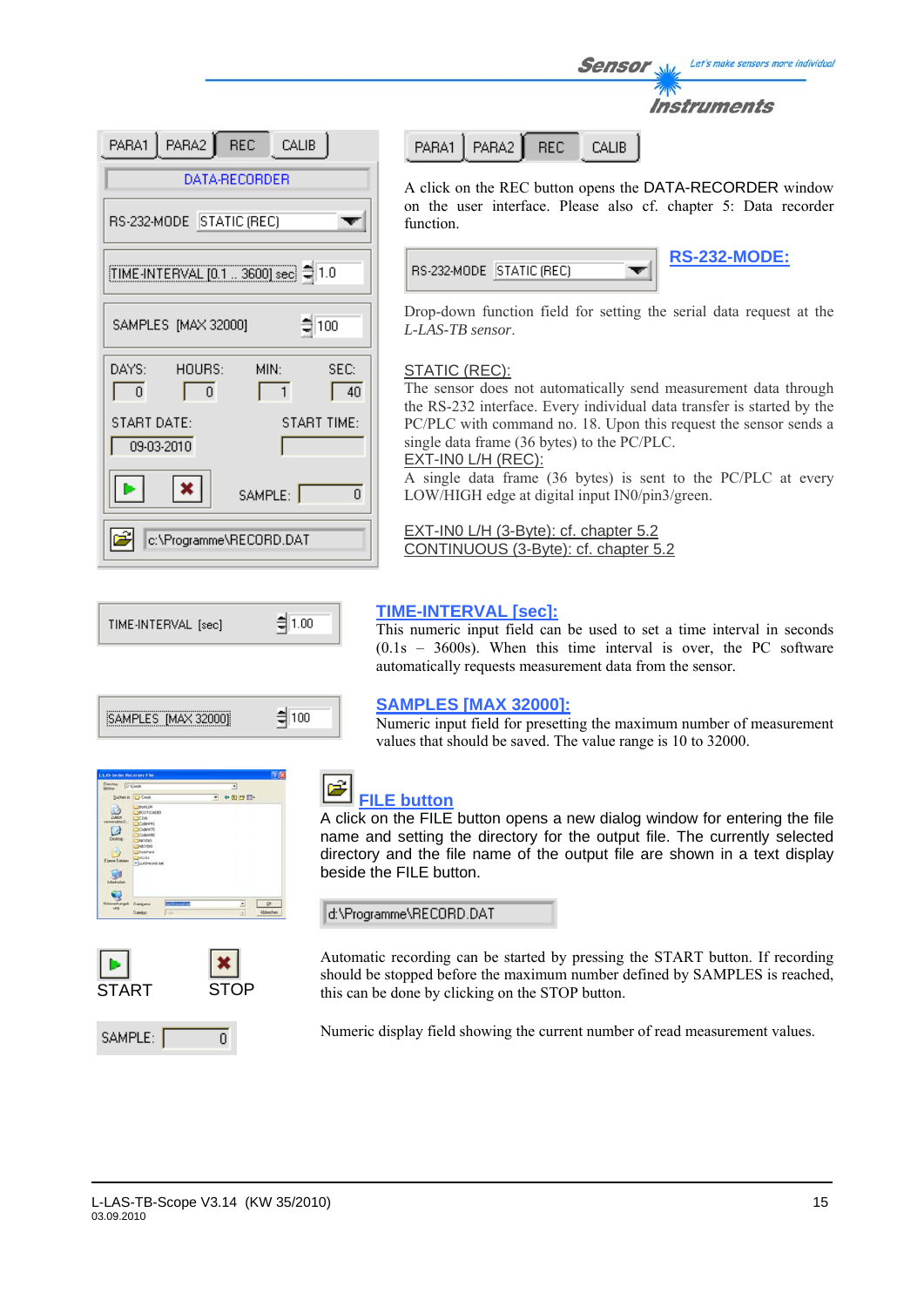| PARA1   PARA2   REC<br>CALIB                                  |
|---------------------------------------------------------------|
| DATA-RECORDER                                                 |
| RS-232-MODE STATIC (REC)                                      |
| TIME-INTERVAL [0.1  3600] sec = 1.0                           |
| $\frac{4}{3}$ 100<br>SAMPLES [MAX 32000]                      |
| DAYS:<br>HOURS:<br>SEC:<br>MIN:<br>$\Omega$<br>$\theta$<br>40 |
| START DATE:<br>START TIME:<br>09-03-2010                      |
| $\boldsymbol{\mathsf{x}}$<br>SAMPLE:<br>n                     |
| c:\Programme\RECORD.DAT                                       |

PARA2 **REC** PARA1 **CALIB** 

A click on the REC button opens the DATA-RECORDER window on the user interface. Please also cf. chapter 5: Data recorder function.

Sensor

Let's make sensors more individual

Instruments

| RS-232-MODE   STATIC (REC) |  | <b>RS-232-MODE:</b> |
|----------------------------|--|---------------------|
|                            |  |                     |

Drop-down function field for setting the serial data request at the *L-LAS-TB sensor*.

### STATIC (REC):

The sensor does not automatically send measurement data through the RS-232 interface. Every individual data transfer is started by the PC/PLC with command no. 18. Upon this request the sensor sends a single data frame (36 bytes) to the PC/PLC. EXT-IN0 L/H (REC):

A single data frame (36 bytes) is sent to the PC/PLC at every LOW/HIGH edge at digital input IN0/pin3/green.

EXT-IN0 L/H (3-Byte): cf. chapter 5.2 CONTINUOUS (3-Byte): cf. chapter 5.2



| MPLES [MAX 320<br>INE |  |
|-----------------------|--|
|                       |  |

| <b>LAS Series Recorder File:</b>                                  |                                                                                                                                                    |                | n              |
|-------------------------------------------------------------------|----------------------------------------------------------------------------------------------------------------------------------------------------|----------------|----------------|
| Directory D Court                                                 |                                                                                                                                                    |                | ä              |
|                                                                   | Sudenin: O Creek.                                                                                                                                  |                | $ +$ B $ -$    |
| Zuktor<br>mendete D<br>c<br>Deddop<br>Eigene Datssen<br>Abelicker | <b>MOUNTER</b><br><b>BOOTLOADER</b><br>-Atthe<br>Codewret<br>Codew70<br>3 Codewtidt<br>SAFC/060<br>DISTURBAD<br>Testhant<br>TOC145<br>B GLASHOWLOR |                |                |
| Natzverkungeli                                                    | Dategame                                                                                                                                           | 13 Abraham Far | $\cdot$<br>OK. |
|                                                                   | Datebur                                                                                                                                            | <b>Turban</b>  | Abbiechen<br>田 |



SAMPLE:

**TIME-INTERVAL [sec]:**

This numeric input field can be used to set a time interval in seconds (0.1s – 3600s). When this time interval is over, the PC software automatically requests measurement data from the sensor.

### **SAMPLES [MAX 32000]:**

Numeric input field for presetting the maximum number of measurement values that should be saved. The value range is 10 to 32000.



# **FILE button**

A click on the FILE button opens a new dialog window for entering the file name and setting the directory for the output file. The currently selected directory and the file name of the output file are shown in a text display beside the FILE button.

d:\Programme\RECORD.DAT

Automatic recording can be started by pressing the START button. If recording should be stopped before the maximum number defined by SAMPLES is reached, this can be done by clicking on the STOP button.

Numeric display field showing the current number of read measurement values.

 $\overline{0}$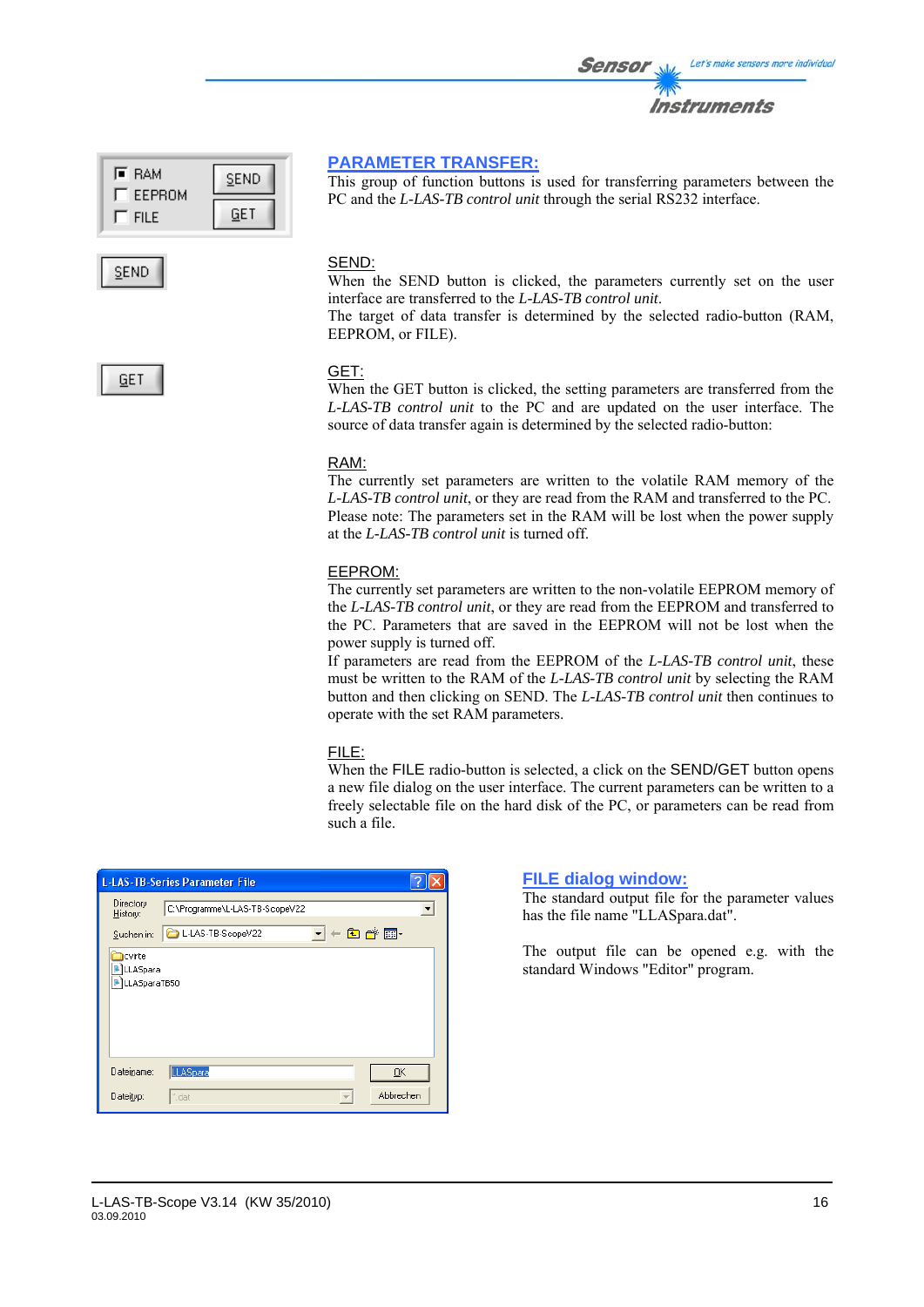| l≣ RAM<br>EEPROM | SEND |
|------------------|------|
| <b>FILE</b>      | GE T |



### **PARAMETER TRANSFER:**

This group of function buttons is used for transferring parameters between the PC and the *L-LAS-TB control unit* through the serial RS232 interface.

### SEND:

When the SEND button is clicked, the parameters currently set on the user interface are transferred to the *L-LAS-TB control unit*.

The target of data transfer is determined by the selected radio-button (RAM, EEPROM, or FILE).



### GET:

When the GET button is clicked, the setting parameters are transferred from the *L-LAS-TB control unit* to the PC and are updated on the user interface. The source of data transfer again is determined by the selected radio-button:

### RAM:

The currently set parameters are written to the volatile RAM memory of the *L-LAS-TB control unit*, or they are read from the RAM and transferred to the PC. Please note: The parameters set in the RAM will be lost when the power supply at the *L-LAS-TB control unit* is turned off.

### EEPROM:

The currently set parameters are written to the non-volatile EEPROM memory of the *L-LAS-TB control unit*, or they are read from the EEPROM and transferred to the PC. Parameters that are saved in the EEPROM will not be lost when the power supply is turned off.

If parameters are read from the EEPROM of the *L-LAS-TB control unit*, these must be written to the RAM of the *L-LAS-TB control unit* by selecting the RAM button and then clicking on SEND. The *L-LAS-TB control unit* then continues to operate with the set RAM parameters.

### FILE:

When the FILE radio-button is selected, a click on the SEND/GET button opens a new file dialog on the user interface. The current parameters can be written to a freely selectable file on the hard disk of the PC, or parameters can be read from such a file.

|                                    | <b>L-LAS-TB-Series Parameter File</b> |         |           |  |
|------------------------------------|---------------------------------------|---------|-----------|--|
| Directory<br>History:              | C:\Programme\L-LAS-TB-ScopeV22        |         |           |  |
| Suchen in:                         | L-LAS-TB-ScopeV22                     | $\vert$ |           |  |
| cvirte<br>LLASpara<br>LLASparaTB50 |                                       |         |           |  |
| Dateiname:                         | LLASpara                              |         | QK        |  |
| Dateityp:                          | *.dat                                 |         | Abbrechen |  |

### **FILE dialog window:**

The standard output file for the parameter values has the file name "LLASpara.dat".

The output file can be opened e.g. with the standard Windows "Editor" program.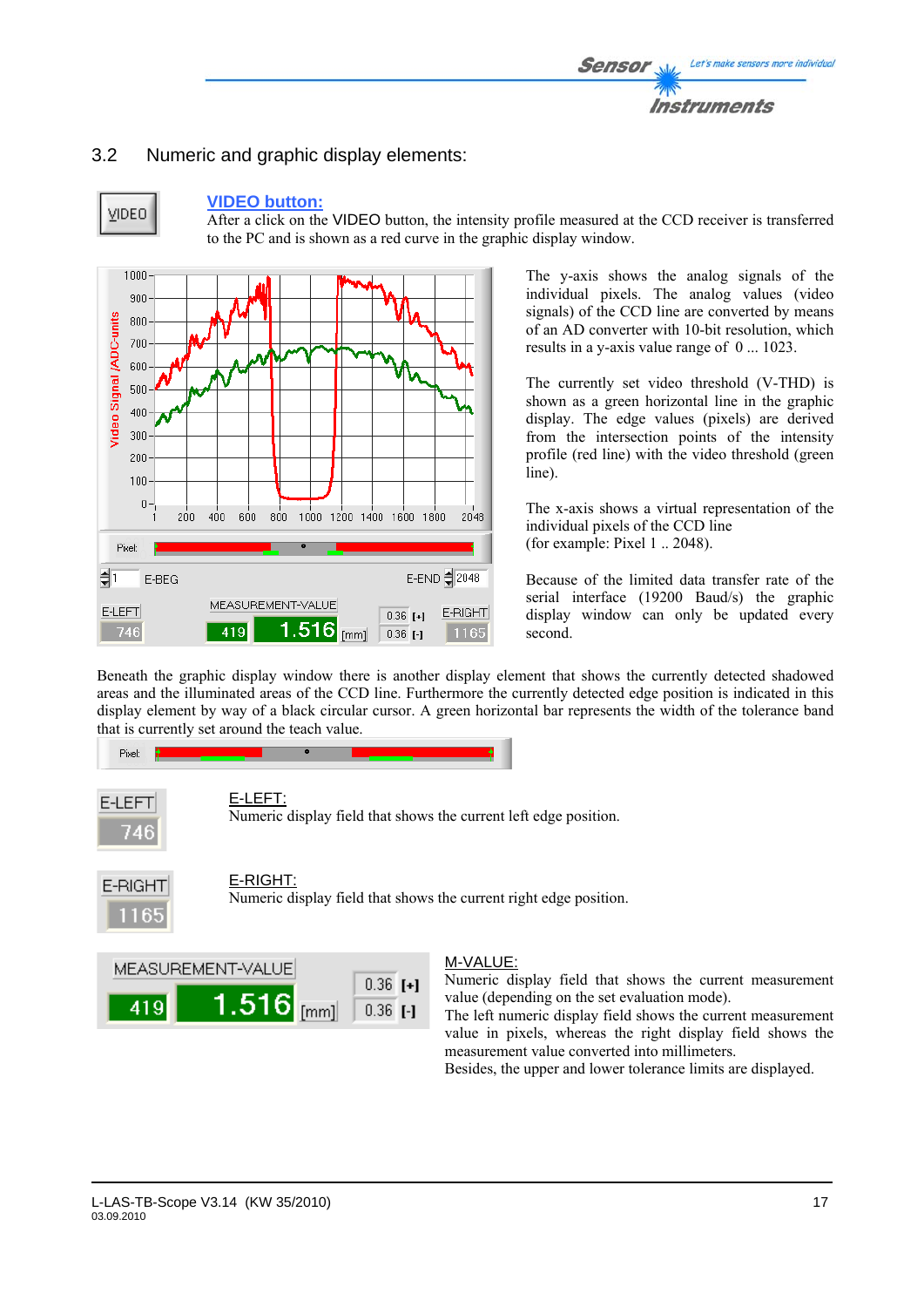# 3.2 Numeric and graphic display elements:



### **VIDEO button:**

After a click on the VIDEO button, the intensity profile measured at the CCD receiver is transferred to the PC and is shown as a red curve in the graphic display window.



The y-axis shows the analog signals of the individual pixels. The analog values (video signals) of the CCD line are converted by means of an AD converter with 10-bit resolution, which results in a y-axis value range of 0 ... 1023.

The currently set video threshold (V-THD) is shown as a green horizontal line in the graphic display. The edge values (pixels) are derived from the intersection points of the intensity profile (red line) with the video threshold (green line).

The x-axis shows a virtual representation of the individual pixels of the CCD line (for example: Pixel 1 .. 2048).

Because of the limited data transfer rate of the serial interface (19200 Baud/s) the graphic display window can only be updated every second.

Beneath the graphic display window there is another display element that shows the currently detected shadowed areas and the illuminated areas of the CCD line. Furthermore the currently detected edge position is indicated in this display element by way of a black circular cursor. A green horizontal bar represents the width of the tolerance band that is currently set around the teach value.





Numeric display field that shows the current left edge position.



### E-RIGHT:

Numeric display field that shows the current right edge position.



### M-VALUE:

Numeric display field that shows the current measurement value (depending on the set evaluation mode).

The left numeric display field shows the current measurement value in pixels, whereas the right display field shows the measurement value converted into millimeters.

Besides, the upper and lower tolerance limits are displayed.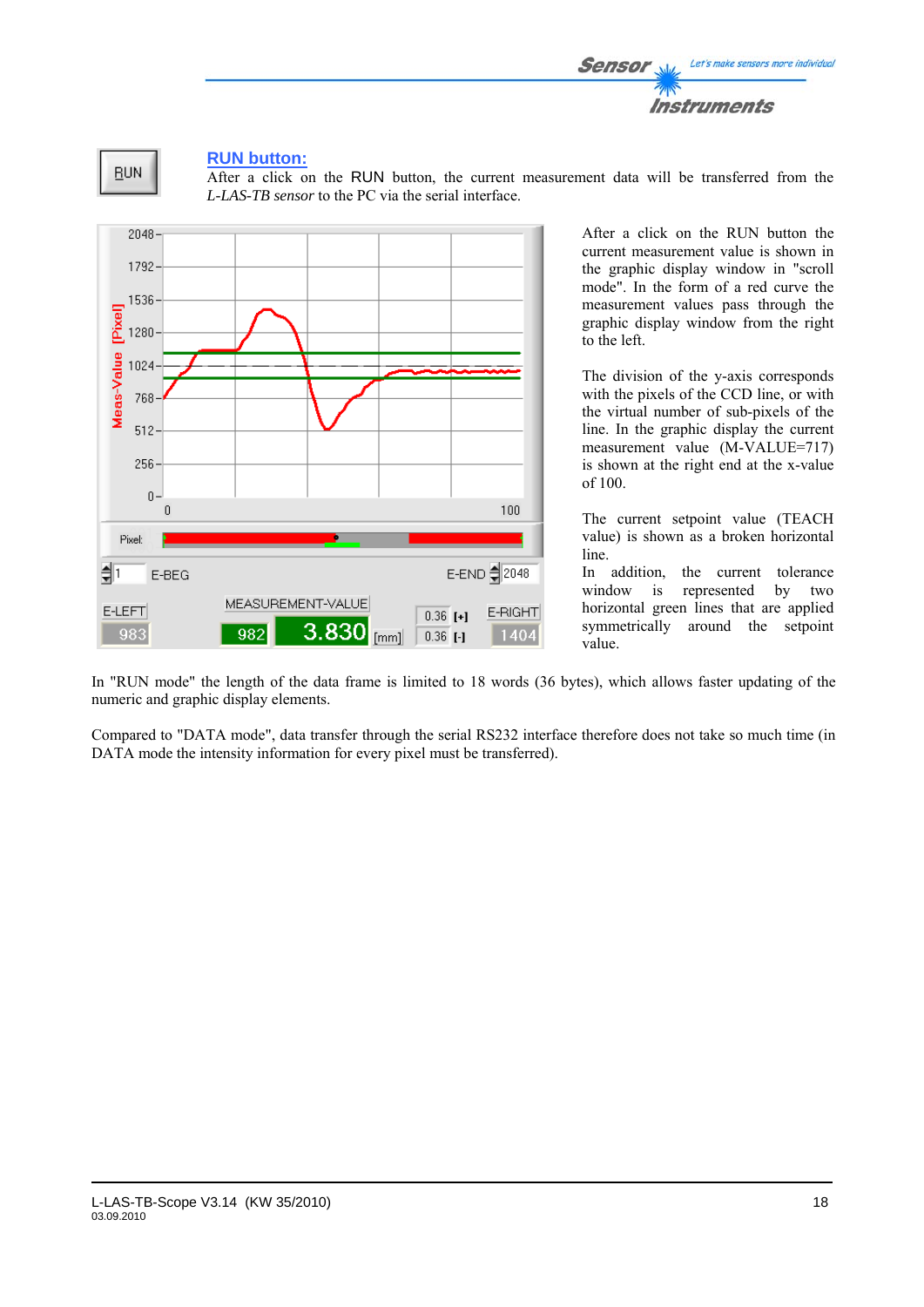



### **RUN button:**

After a click on the RUN button, the current measurement data will be transferred from the *L-LAS-TB sensor* to the PC via the serial interface.



After a click on the RUN button the current measurement value is shown in the graphic display window in "scroll mode". In the form of a red curve the measurement values pass through the graphic display window from the right to the left.

The division of the y-axis corresponds with the pixels of the CCD line, or with the virtual number of sub-pixels of the line. In the graphic display the current measurement value (M-VALUE=717) is shown at the right end at the x-value of 100.

The current setpoint value (TEACH value) is shown as a broken horizontal line.

In addition, the current tolerance window is represented by two horizontal green lines that are applied symmetrically around the setpoint value.

In "RUN mode" the length of the data frame is limited to 18 words (36 bytes), which allows faster updating of the numeric and graphic display elements.

Compared to "DATA mode", data transfer through the serial RS232 interface therefore does not take so much time (in DATA mode the intensity information for every pixel must be transferred).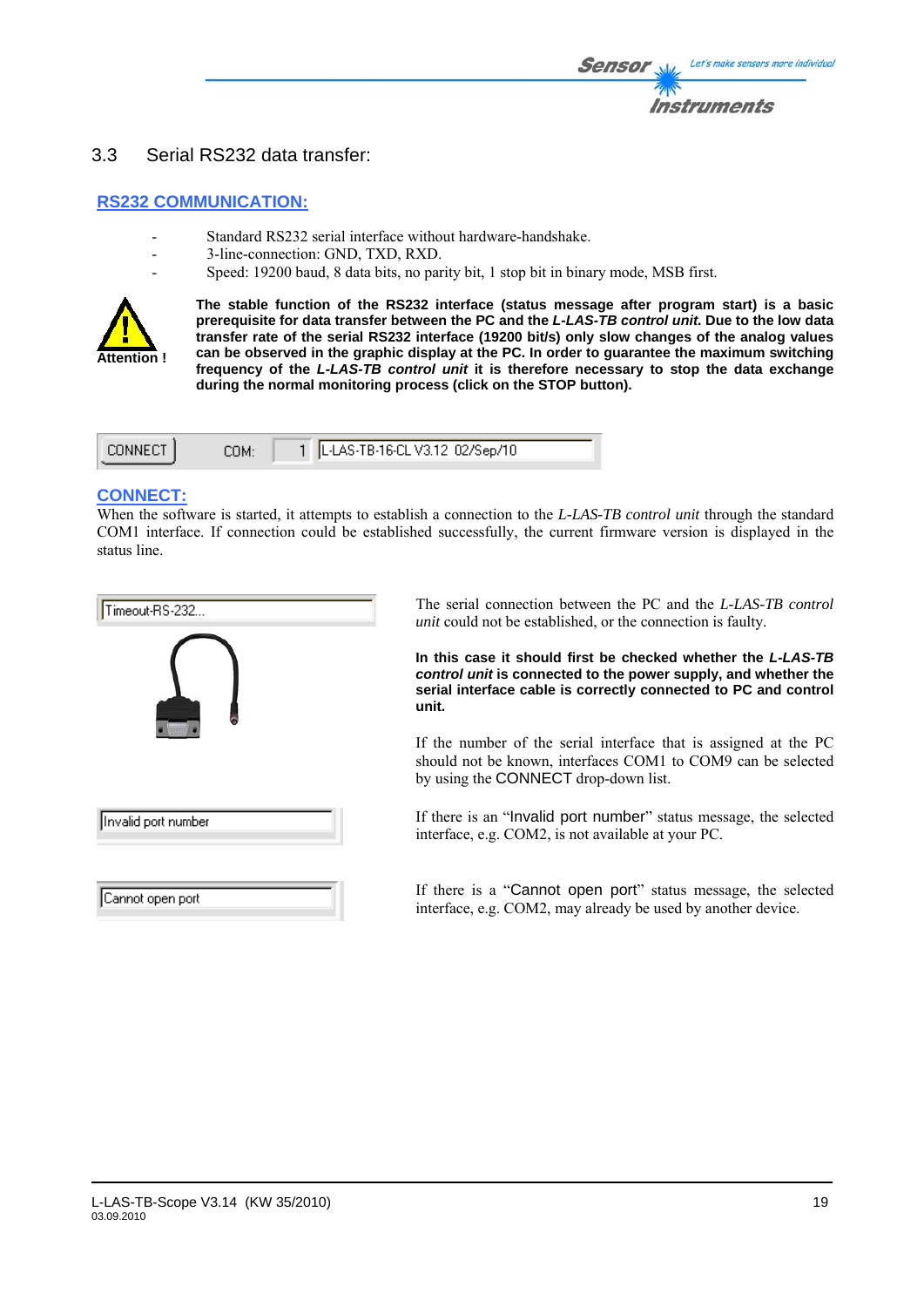### 3.3 Serial RS232 data transfer:

### **RS232 COMMUNICATION:**

- Standard RS232 serial interface without hardware-handshake.
- 3-line-connection: GND, TXD, RXD.
	- Speed: 19200 baud, 8 data bits, no parity bit, 1 stop bit in binary mode, MSB first.



**The stable function of the RS232 interface (status message after program start) is a basic prerequisite for data transfer between the PC and the** *L-LAS-TB control unit***. Due to the low data transfer rate of the serial RS232 interface (19200 bit/s) only slow changes of the analog values can be observed in the graphic display at the PC. In order to guarantee the maximum switching frequency of the** *L-LAS-TB control unit* **it is therefore necessary to stop the data exchange during the normal monitoring process (click on the STOP button).** 

| ∩NNF∩T | `∩M∙ | 1   L-LAS-TB-16-CL V3.12 02/Sep/10 |
|--------|------|------------------------------------|
|        |      |                                    |

### **CONNECT:**

When the software is started, it attempts to establish a connection to the *L-LAS-TB control unit* through the standard COM1 interface. If connection could be established successfully, the current firmware version is displayed in the status line.

| Timeout-RS-232      |  |  |  |
|---------------------|--|--|--|
|                     |  |  |  |
| Invalid port number |  |  |  |
| Cannot open port    |  |  |  |

The serial connection between the PC and the *L-LAS-TB control unit* could not be established, or the connection is faulty.

**In this case it should first be checked whether the** *L-LAS-TB control unit* **is connected to the power supply, and whether the serial interface cable is correctly connected to PC and control unit.** 

If the number of the serial interface that is assigned at the PC should not be known, interfaces COM1 to COM9 can be selected by using the CONNECT drop-down list.

If there is an "Invalid port number" status message, the selected interface, e.g. COM2, is not available at your PC.

If there is a "Cannot open port" status message, the selected interface, e.g. COM2, may already be used by another device.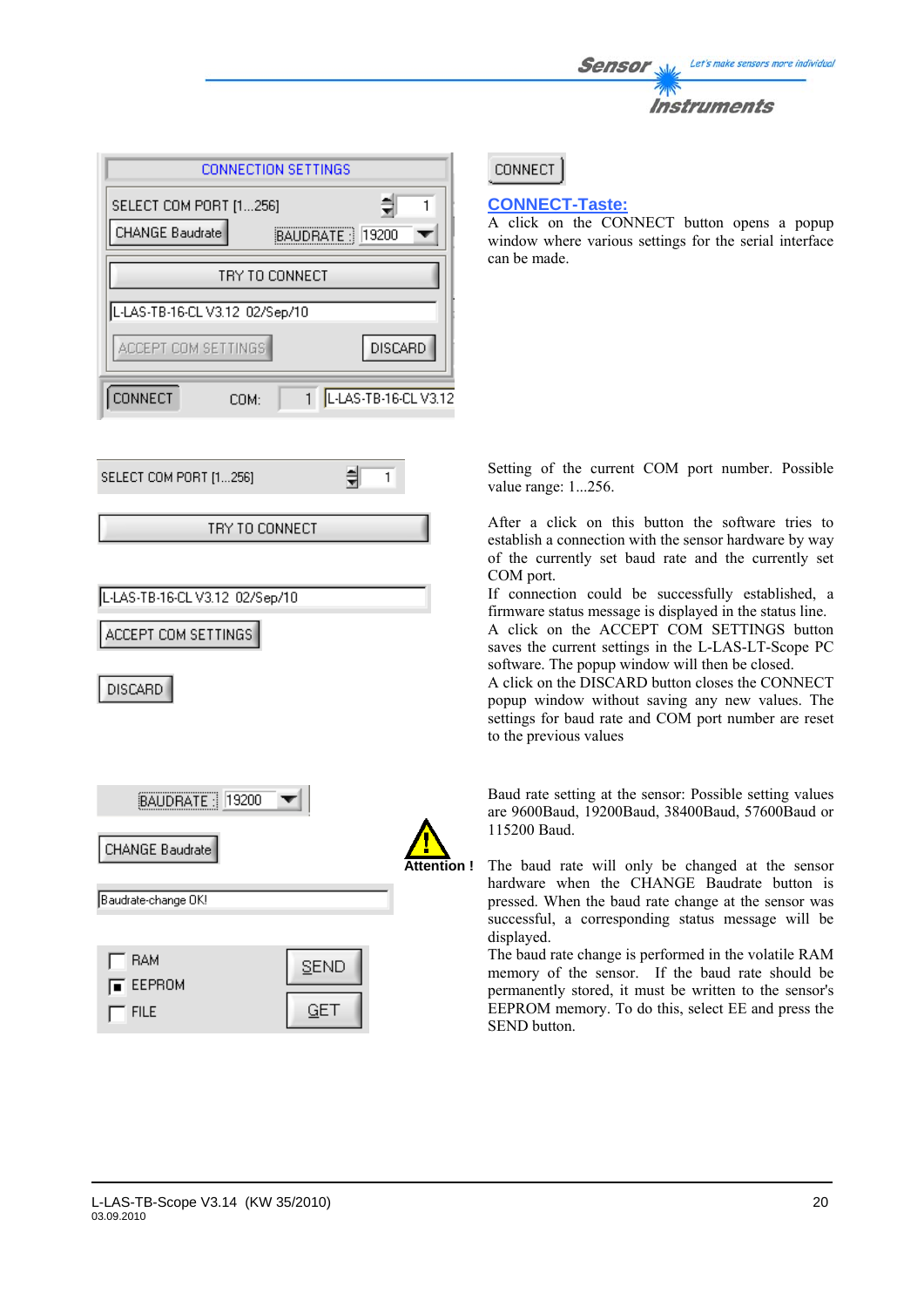

| CONNECTION SETTINGS                                                |                          |  |  |  |  |  |  |  |  |
|--------------------------------------------------------------------|--------------------------|--|--|--|--|--|--|--|--|
| 츾<br>SELECT COM PORT [1256]<br>CHANGE Baudrate<br>BAUDRATE : 19200 |                          |  |  |  |  |  |  |  |  |
|                                                                    | TRY TO CONNECT           |  |  |  |  |  |  |  |  |
| L-LAS-TB-16-CL V3.12 02/Sep/10<br>ACCEPT COM SETTINGS              | <b>DISCARD</b>           |  |  |  |  |  |  |  |  |
| <b>CONNECT</b><br>COM:                                             | 1   L-LAS-TB-16-CL V3.12 |  |  |  |  |  |  |  |  |
| SELECT COM PORT [1256]                                             | 1                        |  |  |  |  |  |  |  |  |

TRY TO CONNECT

L-LAS-TB-16-CL V3.12 02/Sep/10

ACCEPT COM SETTINGS

**DISCARD** 

 $^-$  FILE



GET

**CONNECT** 

### **CONNECT-Taste:**

A click on the CONNECT button opens a popup window where various settings for the serial interface can be made.

Setting of the current COM port number. Possible value range: 1...256.

After a click on this button the software tries to establish a connection with the sensor hardware by way of the currently set baud rate and the currently set COM port.

If connection could be successfully established, a firmware status message is displayed in the status line.

A click on the ACCEPT COM SETTINGS button saves the current settings in the L-LAS-LT-Scope PC software. The popup window will then be closed.

A click on the DISCARD button closes the CONNECT popup window without saving any new values. The settings for baud rate and COM port number are reset to the previous values

Baud rate setting at the sensor: Possible setting values are 9600Baud, 19200Baud, 38400Baud, 57600Baud or 115200 Baud.

The baud rate will only be changed at the sensor hardware when the CHANGE Baudrate button is pressed. When the baud rate change at the sensor was successful, a corresponding status message will be displayed.

The baud rate change is performed in the volatile RAM memory of the sensor. If the baud rate should be permanently stored, it must be written to the sensor's EEPROM memory. To do this, select EE and press the SEND button.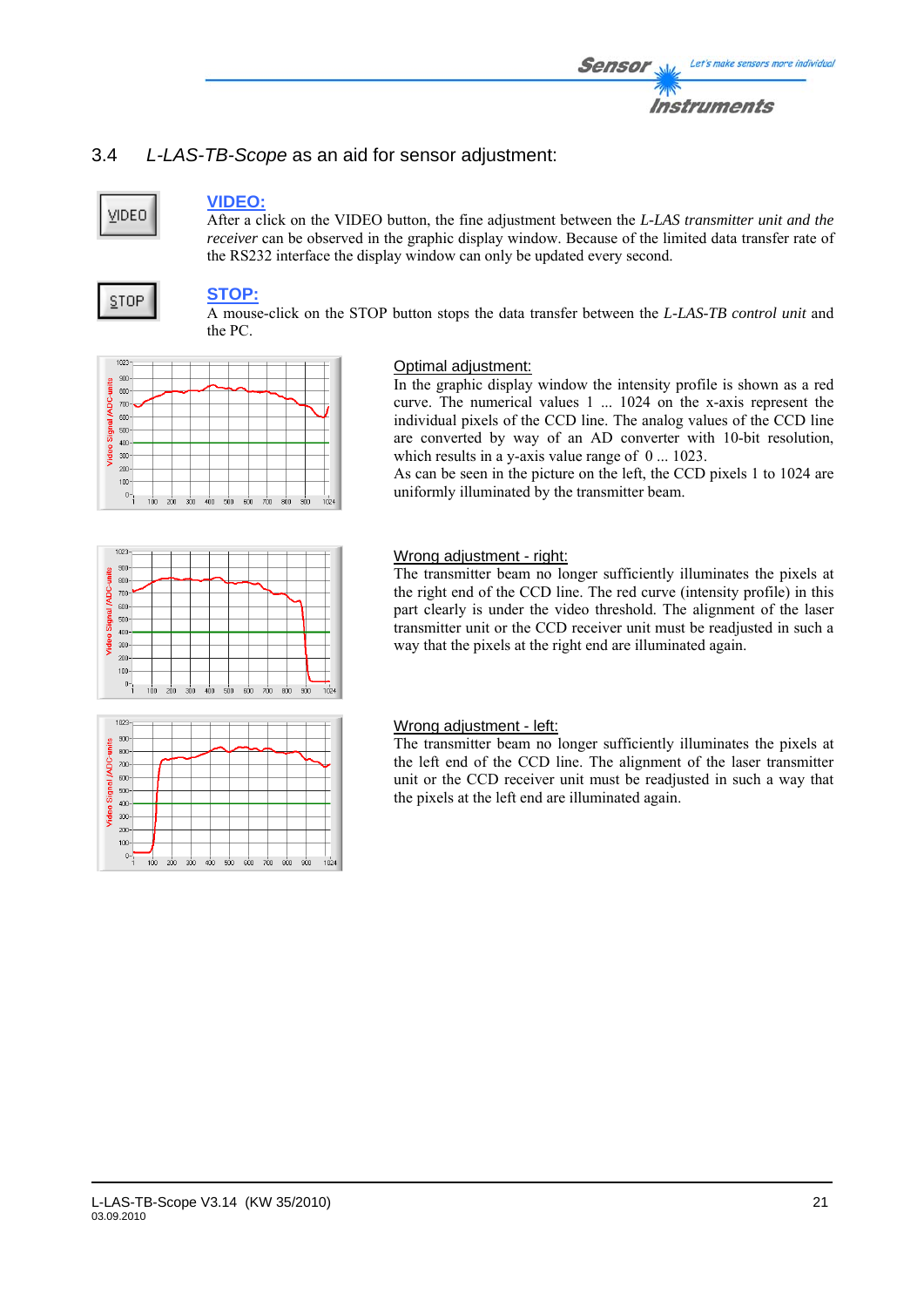# 3.4 *L-LAS-TB-Scope* as an aid for sensor adjustment:

# **VIDEO**

### **VIDEO:**

After a click on the VIDEO button, the fine adjustment between the *L-LAS transmitter unit and the receiver* can be observed in the graphic display window. Because of the limited data transfer rate of the RS232 interface the display window can only be updated every second.

# **STOP**

# **STOP:**

A mouse-click on the STOP button stops the data transfer between the *L-LAS-TB control unit* and the PC.



### Optimal adjustment:

In the graphic display window the intensity profile is shown as a red curve. The numerical values 1 ... 1024 on the x-axis represent the individual pixels of the CCD line. The analog values of the CCD line are converted by way of an AD converter with 10-bit resolution, which results in a y-axis value range of  $0 \dots 1023$ .

As can be seen in the picture on the left, the CCD pixels 1 to 1024 are uniformly illuminated by the transmitter beam.



### Wrong adjustment - right:

The transmitter beam no longer sufficiently illuminates the pixels at the right end of the CCD line. The red curve (intensity profile) in this part clearly is under the video threshold. The alignment of the laser transmitter unit or the CCD receiver unit must be readjusted in such a way that the pixels at the right end are illuminated again.



### Wrong adjustment - left:

The transmitter beam no longer sufficiently illuminates the pixels at the left end of the CCD line. The alignment of the laser transmitter unit or the CCD receiver unit must be readjusted in such a way that the pixels at the left end are illuminated again.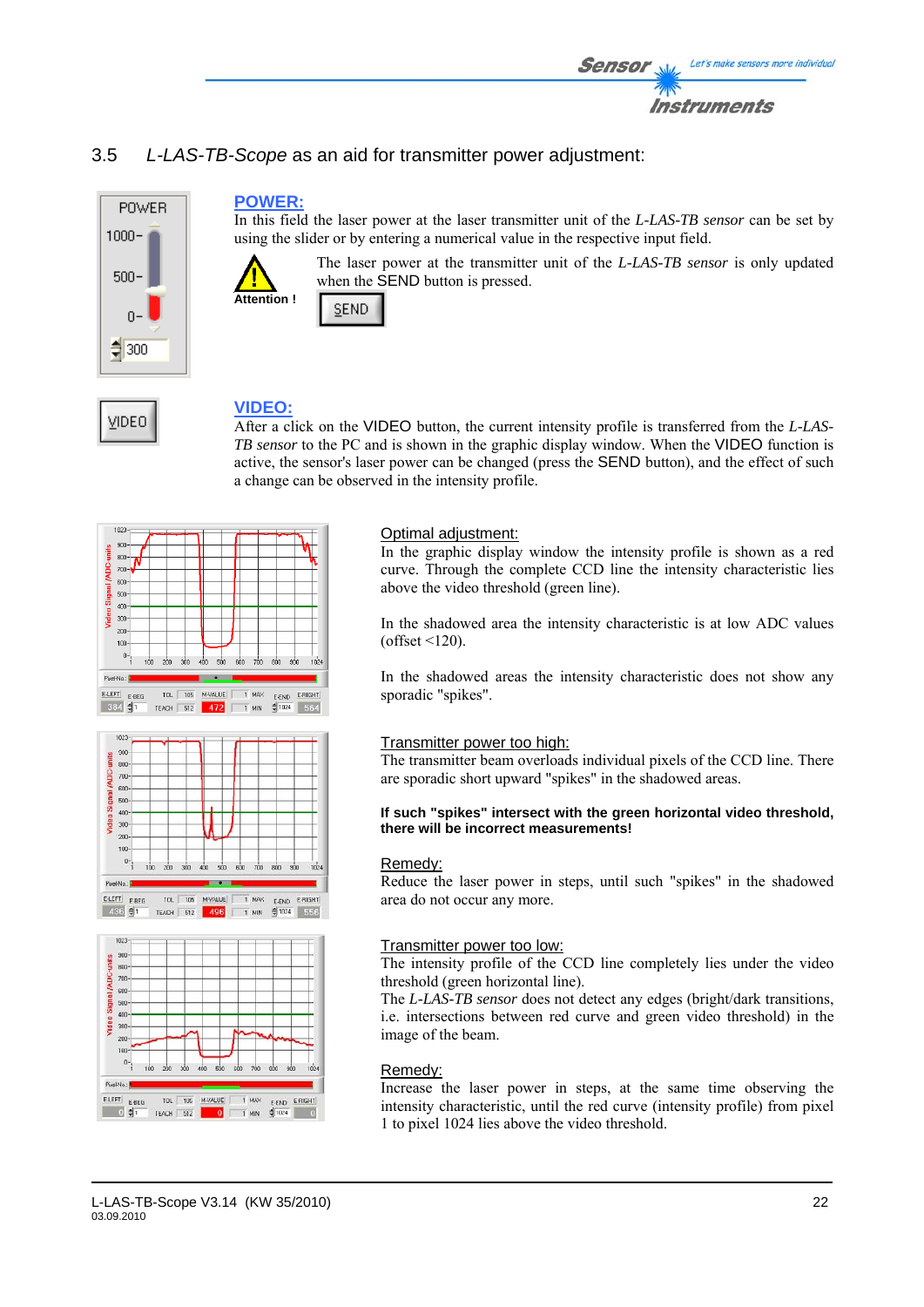

# 3.5 *L-LAS-TB-Scope* as an aid for transmitter power adjustment:



VIDEO

### **POWER:**

In this field the laser power at the laser transmitter unit of the *L-LAS-TB sensor* can be set by using the slider or by entering a numerical value in the respective input field.



The laser power at the transmitter unit of the *L-LAS-TB sensor* is only updated when the SEND button is pressed.



# **VIDEO:**

After a click on the VIDEO button, the current intensity profile is transferred from the *L-LAS-TB sensor* to the PC and is shown in the graphic display window. When the VIDEO function is active, the sensor's laser power can be changed (press the SEND button), and the effect of such a change can be observed in the intensity profile.







### Optimal adjustment:

In the graphic display window the intensity profile is shown as a red curve. Through the complete CCD line the intensity characteristic lies above the video threshold (green line).

In the shadowed area the intensity characteristic is at low ADC values  $(offset < 120)$ .

In the shadowed areas the intensity characteristic does not show any sporadic "spikes".

### Transmitter power too high:

The transmitter beam overloads individual pixels of the CCD line. There are sporadic short upward "spikes" in the shadowed areas.

#### **If such "spikes" intersect with the green horizontal video threshold, there will be incorrect measurements!**

### Remedy:

Reduce the laser power in steps, until such "spikes" in the shadowed area do not occur any more.

### Transmitter power too low:

The intensity profile of the CCD line completely lies under the video threshold (green horizontal line).

The *L-LAS-TB sensor* does not detect any edges (bright/dark transitions, i.e. intersections between red curve and green video threshold) in the image of the beam.

### Remedy:

Increase the laser power in steps, at the same time observing the intensity characteristic, until the red curve (intensity profile) from pixel 1 to pixel 1024 lies above the video threshold.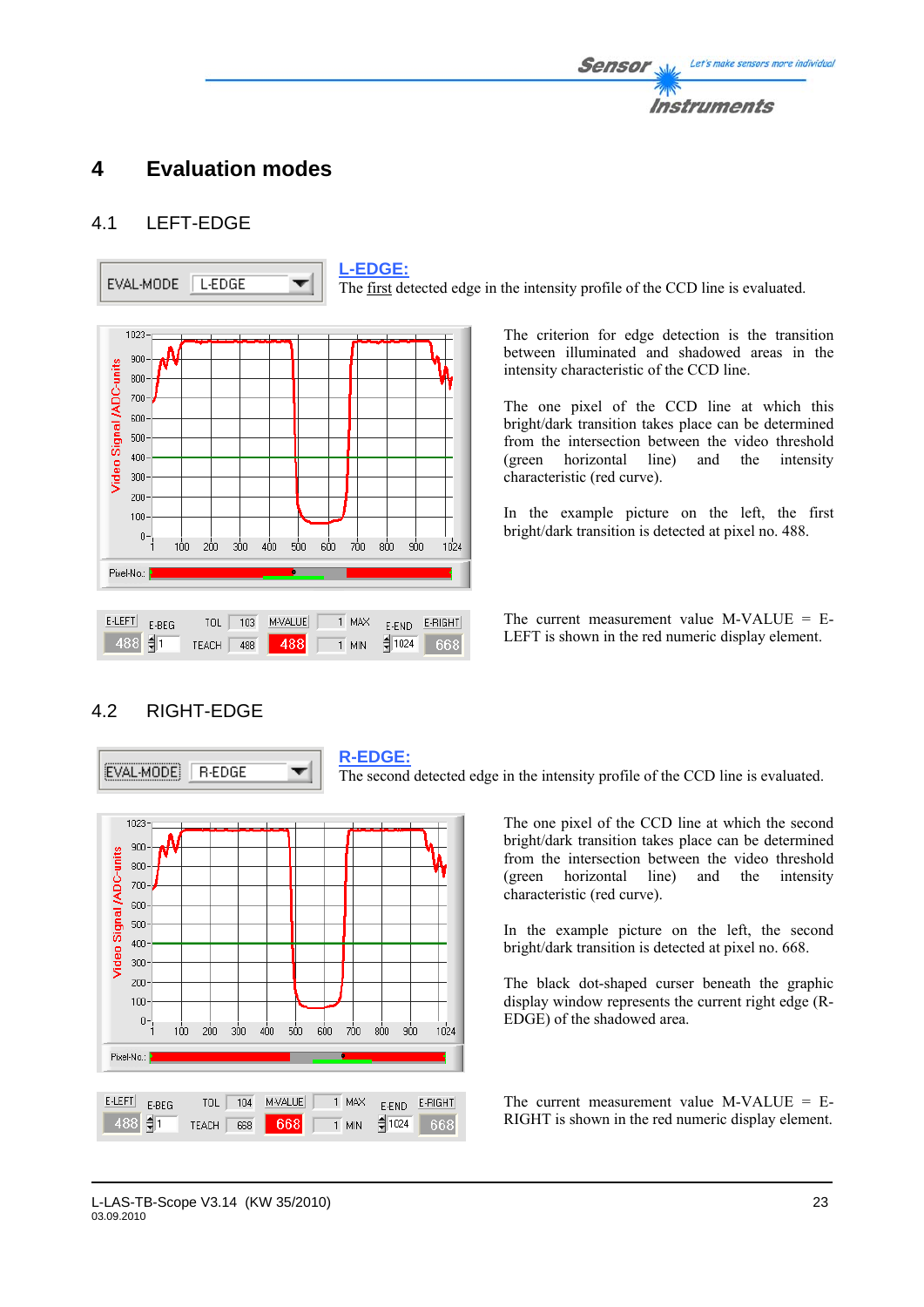# **4 Evaluation modes**

# 4.1 LEFT-EDGE



The first detected edge in the intensity profile of the CCD line is evaluated.

The criterion for edge detection is the transition between illuminated and shadowed areas in the intensity characteristic of the CCD line.

The one pixel of the CCD line at which this bright/dark transition takes place can be determined from the intersection between the video threshold (green horizontal line) and the intensity characteristic (red curve).

In the example picture on the left, the first bright/dark transition is detected at pixel no. 488.

The current measurement value  $M-VALUE = E-$ LEFT is shown in the red numeric display element.

# 4.2 RIGHT-EDGE

EVAL-MODE **R-EDGE**  **R-EDGE:**

The second detected edge in the intensity profile of the CCD line is evaluated.



▼

The one pixel of the CCD line at which the second bright/dark transition takes place can be determined from the intersection between the video threshold (green horizontal line) and the intensity characteristic (red curve).

In the example picture on the left, the second bright/dark transition is detected at pixel no. 668.

The black dot-shaped curser beneath the graphic display window represents the current right edge (R-EDGE) of the shadowed area.

The current measurement value  $M-VALUE = E-$ RIGHT is shown in the red numeric display element.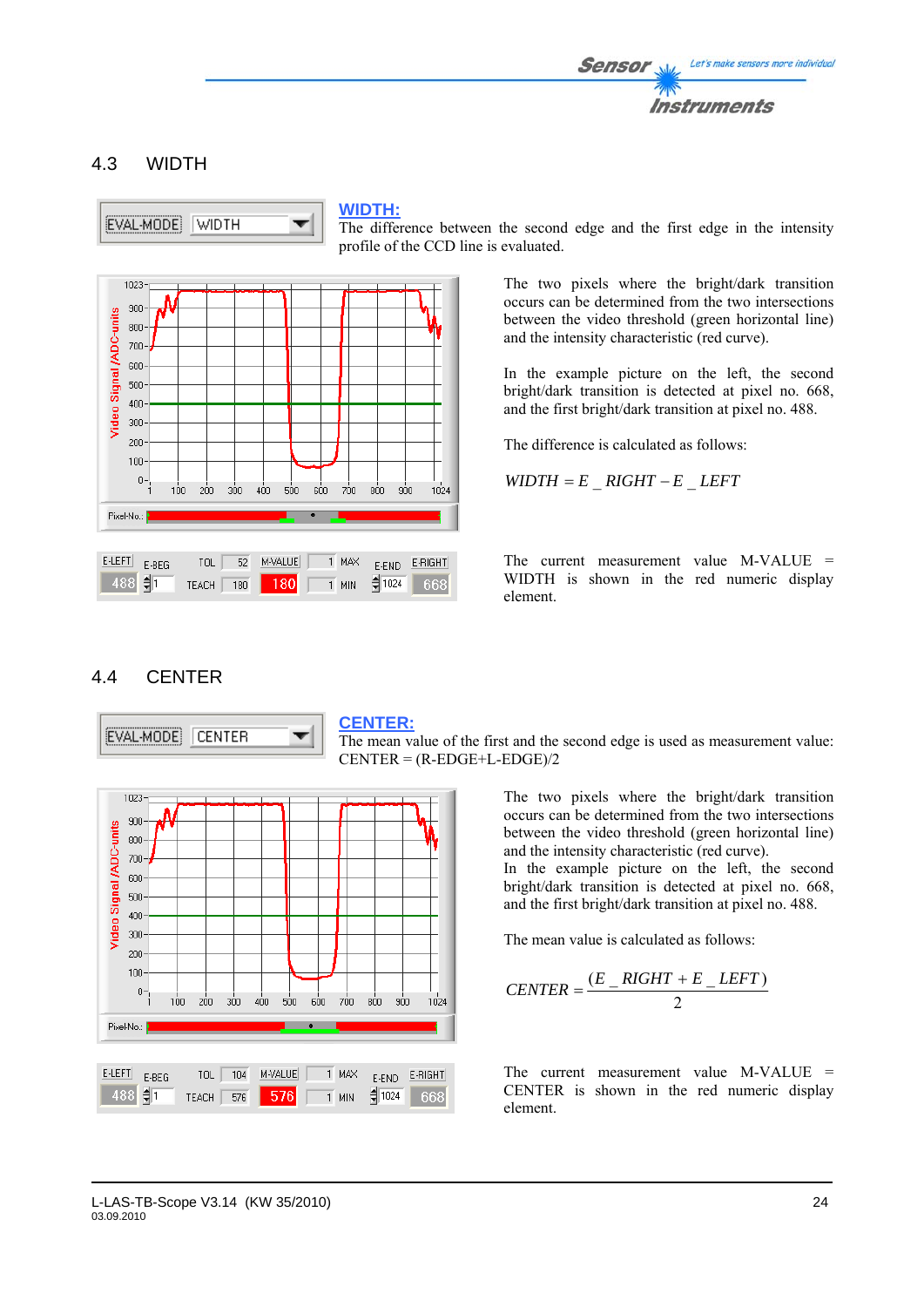

# 4.3 WIDTH



### **WIDTH:**

The difference between the second edge and the first edge in the intensity profile of the CCD line is evaluated.



The two pixels where the bright/dark transition occurs can be determined from the two intersections between the video threshold (green horizontal line) and the intensity characteristic (red curve).

In the example picture on the left, the second bright/dark transition is detected at pixel no. 668, and the first bright/dark transition at pixel no. 488.

The difference is calculated as follows:

 $WIDTH = E$   $RIGHT - E$   $LEFT$ 

The current measurement value M-VALUE = WIDTH is shown in the red numeric display element.

### 4.4 CENTER

 $1023 300<sub>1</sub>$ 

 $800 700 600 500 -$ 400  $300<sub>1</sub>$  $200$  $100 0 - 1$ 

Video Signal *IADC-units* 

Pixel-No.:

 $E$ -LEFT

 $488$   $\frac{5}{11}$ 

 $E-BEG$ 



### **CENTER:**

800  $900$ 

 $1024$ 

 $1$  MAX

 $\overline{1}$  MIN

1024

E-END E-RIGHT

668

The mean value of the first and the second edge is used as measurement value:  $CENTER = (R-EDGE+L-EDGE)/2$ 

> The two pixels where the bright/dark transition occurs can be determined from the two intersections between the video threshold (green horizontal line) and the intensity characteristic (red curve).

> In the example picture on the left, the second bright/dark transition is detected at pixel no. 668, and the first bright/dark transition at pixel no. 488.

The mean value is calculated as follows:

$$
CENTER = \frac{(E_RIGHT + E_LLEFT)}{2}
$$

The current measurement value M-VALUE = CENTER is shown in the red numeric display element.

TOL  $\sqrt{104}$ 

TEACH 576

M-VALUE

576

 $100 200 -$ 300 400  $500$ 600 700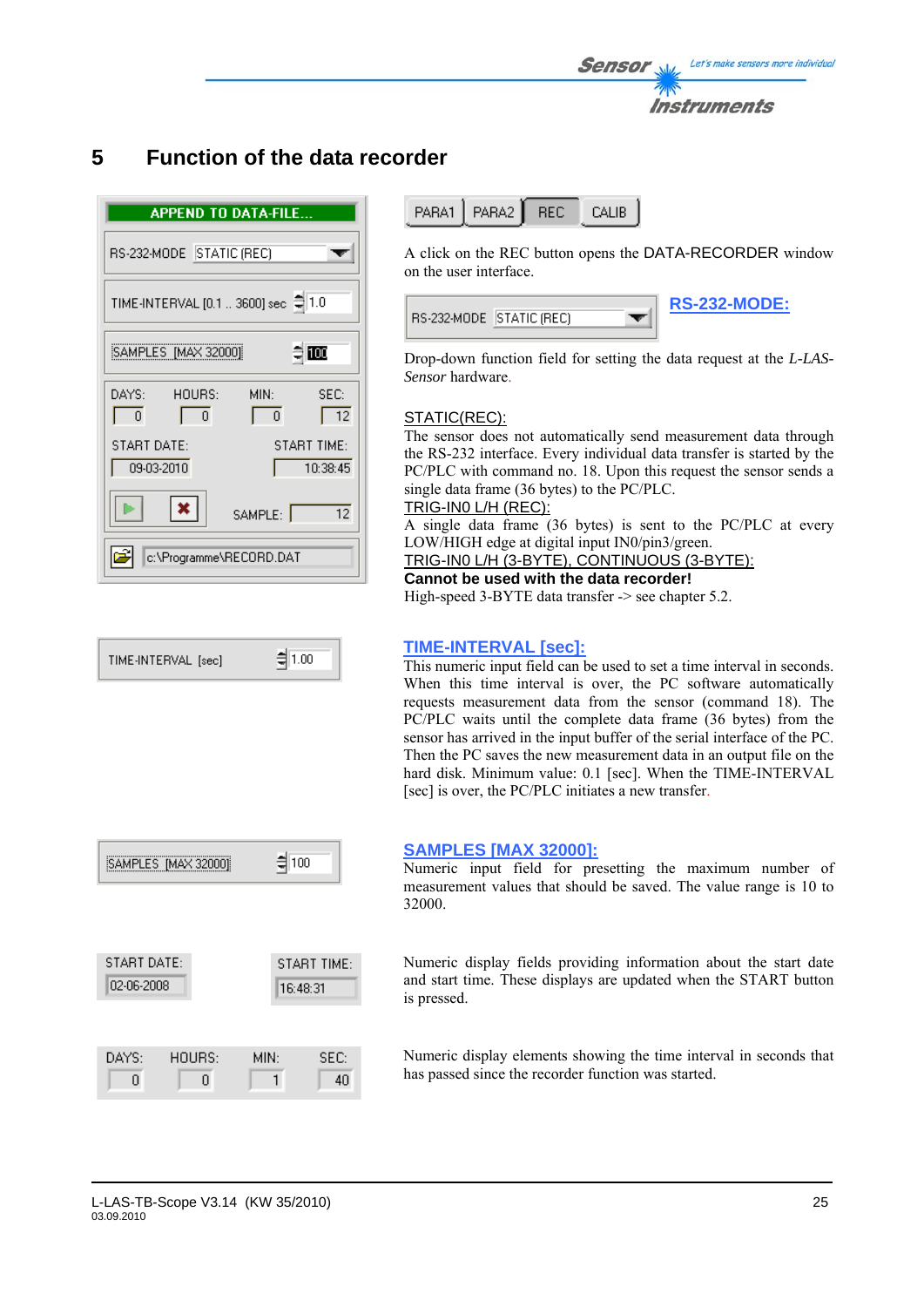

# **5 Function of the data recorder**

|                                     | <b>APPEND TO DATA-FILE</b>                        |  |  |  |  |  |  |  |
|-------------------------------------|---------------------------------------------------|--|--|--|--|--|--|--|
| RS-232-MODE STATIC (REC)            |                                                   |  |  |  |  |  |  |  |
| TIME-INTERVAL [0.1  3600] sec @ 1.0 |                                                   |  |  |  |  |  |  |  |
| ≑  ឈ<br>SAMPLES [MAX 32000]         |                                                   |  |  |  |  |  |  |  |
| DAYS:<br>HOURS:<br>$\Omega$<br>Ū.   | MIN:<br>SEC:<br>$\overline{12}$<br>$\overline{0}$ |  |  |  |  |  |  |  |
| START DATE:<br>09-03-2010           | <b>START TIME:</b><br>10:38:45                    |  |  |  |  |  |  |  |
|                                     | 12<br>SAMPLE:                                     |  |  |  |  |  |  |  |
| c:\Programme\RECORD.DAT             |                                                   |  |  |  |  |  |  |  |

$$
TIME\text{-}INTERVAL \text{ [sec]} \qquad \qquad \frac{1}{2} \boxed{1.00}
$$

| SAMPLES [MAX 32000]       | ╡100                    |            |
|---------------------------|-------------------------|------------|
|                           |                         |            |
| START DATE:<br>02-06-2008 | START TIME:<br>16:48:31 |            |
|                           |                         |            |
| HOURS:<br>DAYS:<br>U      | MIN:                    | SEC:<br>40 |

PARA1 PARA2 **REC** CALIB

A click on the REC button opens the DATA-RECORDER window on the user interface.

| RS-232-MODE   STATIC (REC) | <b>RS-232-MODE:</b> |
|----------------------------|---------------------|
|----------------------------|---------------------|

Drop-down function field for setting the data request at the *L-LAS-Sensor* hardware.

### STATIC(REC):

The sensor does not automatically send measurement data through the RS-232 interface. Every individual data transfer is started by the PC/PLC with command no. 18. Upon this request the sensor sends a single data frame (36 bytes) to the PC/PLC.

### TRIG-IN0 L/H (REC):

A single data frame (36 bytes) is sent to the PC/PLC at every LOW/HIGH edge at digital input IN0/pin3/green.

### TRIG-IN0 L/H (3-BYTE), CONTINUOUS (3-BYTE):

**Cannot be used with the data recorder!** 

High-speed 3-BYTE data transfer -> see chapter 5.2.

### **TIME-INTERVAL [sec]:**

This numeric input field can be used to set a time interval in seconds. When this time interval is over, the PC software automatically requests measurement data from the sensor (command 18). The PC/PLC waits until the complete data frame (36 bytes) from the sensor has arrived in the input buffer of the serial interface of the PC. Then the PC saves the new measurement data in an output file on the hard disk. Minimum value: 0.1 [sec]. When the TIME-INTERVAL [sec] is over, the PC/PLC initiates a new transfer.

### **SAMPLES [MAX 32000]:**

Numeric input field for presetting the maximum number of measurement values that should be saved. The value range is 10 to 32000.

Numeric display fields providing information about the start date and start time. These displays are updated when the START button is pressed.

Numeric display elements showing the time interval in seconds that has passed since the recorder function was started.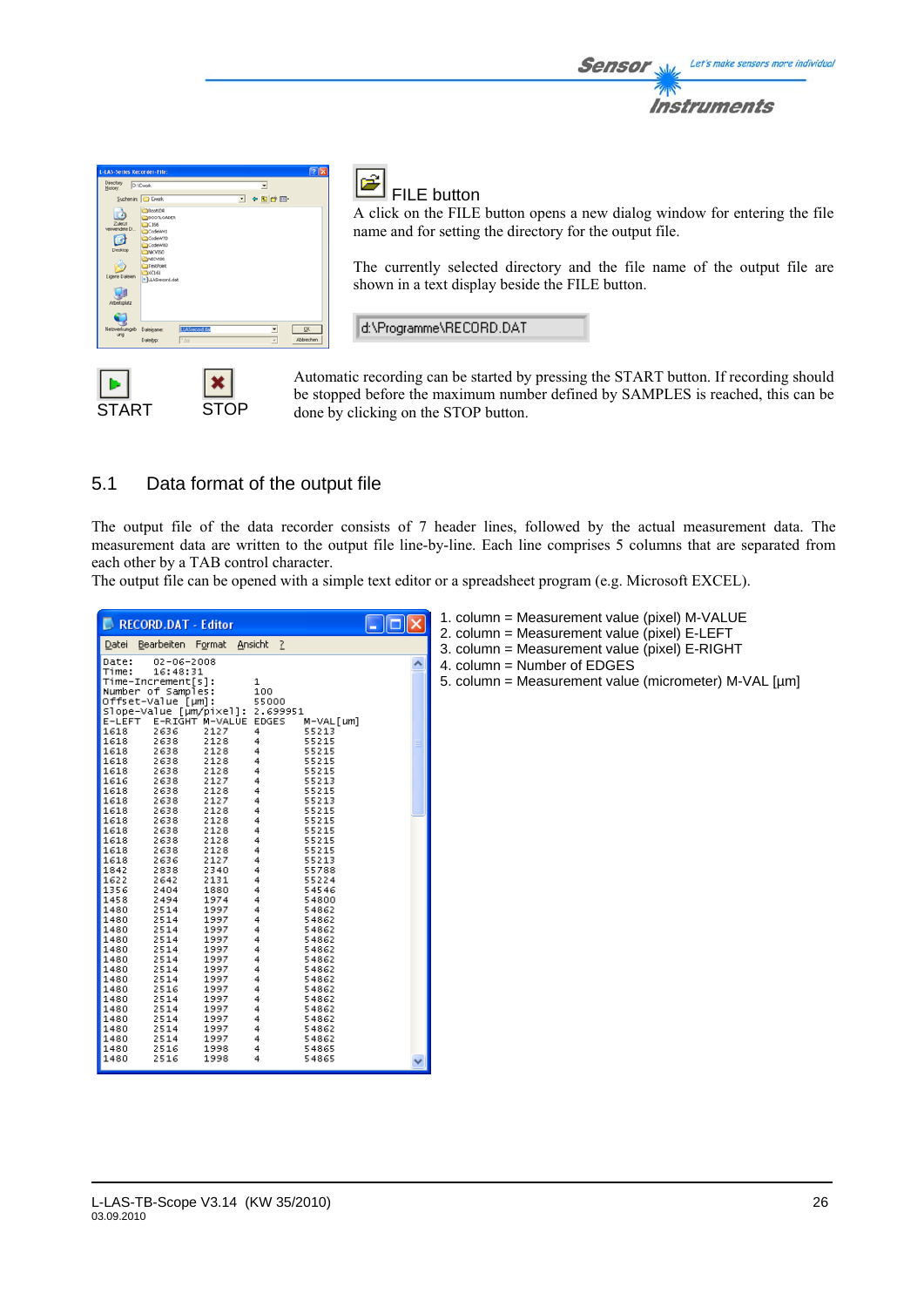

START STOP

# FILE button

A click on the FILE button opens a new dialog window for entering the file name and for setting the directory for the output file.

Sensol

Let's make sensors more individual

Instruments

The currently selected directory and the file name of the output file are shown in a text display beside the FILE button.

d:\Programme\RECORD.DAT

Automatic recording can be started by pressing the START button. If recording should be stopped before the maximum number defined by SAMPLES is reached, this can be done by clicking on the STOP button.

# 5.1 Data format of the output file

The output file of the data recorder consists of 7 header lines, followed by the actual measurement data. The measurement data are written to the output file line-by-line. Each line comprises 5 columns that are separated from each other by a TAB control character.

The output file can be opened with a simple text editor or a spreadsheet program (e.g. Microsoft EXCEL).

| <b>NECORD.DAT - Editor</b><br>Datei<br>Date:<br>Time:<br>Time-Increment[s]:<br>Number of Samples:<br>Offset-Value [µm]:<br>E-LEFT<br>1618<br>1618<br>1618<br>1618<br>1618<br>1616<br>1618<br>1618<br>1618<br>1618<br>1618<br>1618<br>1618<br>1618<br>1842<br>1622<br>1356<br>1458<br>1480<br>1480<br>1480<br>1480<br>1480<br>1480 | $02 - 06 - 2008$<br>16:48:31<br>2636<br>2638<br>2638<br>2638<br>2638<br>2638<br>2638<br>2638<br>2638<br>2638<br>2638<br>2638<br>2638<br>2636<br>2838<br>2642<br>2404<br>2494<br>2514<br>2514<br>2514<br>2514<br>2514<br>2514 | Bearbeiten Format Ansicht ?<br>E-RIGHT M-VALUE EDGES<br>2127<br>2128<br>2128<br>2128<br>2128<br>2127<br>2128<br>2127<br>2128<br>2128<br>2128<br>2128<br>2128<br>2127<br>2340<br>2131<br>1880<br>1974<br>1997<br>1997<br>1997<br>1997<br>1997<br>1997 | 1<br>100<br>55000<br> Slope-Value [µm/pixel]: 2.699951<br>4<br>4 | M-VAL[um]<br>55213<br>55215<br>55215<br>55215<br>55215<br>55213<br>55215<br>55213<br>55215<br>55215<br>55215<br>55215<br>55215<br>55213<br>55788<br>55224<br>54546<br>54800<br>54862<br>54862<br>54862<br>54862<br>54862<br>54862 | <u>L 101</u><br>$\overline{\phantom{a}}$ | 1. column = Measurement value (pixel) M-VALUE<br>2. column = Measurement value (pixel) E-LEFT<br>3. column = Measurement value (pixel) E-RIGHT<br>4. column = Number of $EDGES$<br>5. column = Measurement value (micrometer) M-VAL [µm] |
|-----------------------------------------------------------------------------------------------------------------------------------------------------------------------------------------------------------------------------------------------------------------------------------------------------------------------------------|------------------------------------------------------------------------------------------------------------------------------------------------------------------------------------------------------------------------------|------------------------------------------------------------------------------------------------------------------------------------------------------------------------------------------------------------------------------------------------------|------------------------------------------------------------------|-----------------------------------------------------------------------------------------------------------------------------------------------------------------------------------------------------------------------------------|------------------------------------------|------------------------------------------------------------------------------------------------------------------------------------------------------------------------------------------------------------------------------------------|
| 1480<br>1480<br>1480<br>1480<br>1480<br>1480<br>1480<br>1480<br>1480<br>1480                                                                                                                                                                                                                                                      | 2514<br>2514<br>2516<br>2514<br>2514<br>2514<br>2514<br>2514<br>2516<br>2516                                                                                                                                                 | 1997<br>1997<br>1997<br>1997<br>1997<br>1997<br>1997<br>1997<br>1998<br>1998                                                                                                                                                                         |                                                                  | 54862<br>54862<br>54862<br>54862<br>54862<br>54862<br>54862<br>54862<br>54865<br>54865                                                                                                                                            |                                          |                                                                                                                                                                                                                                          |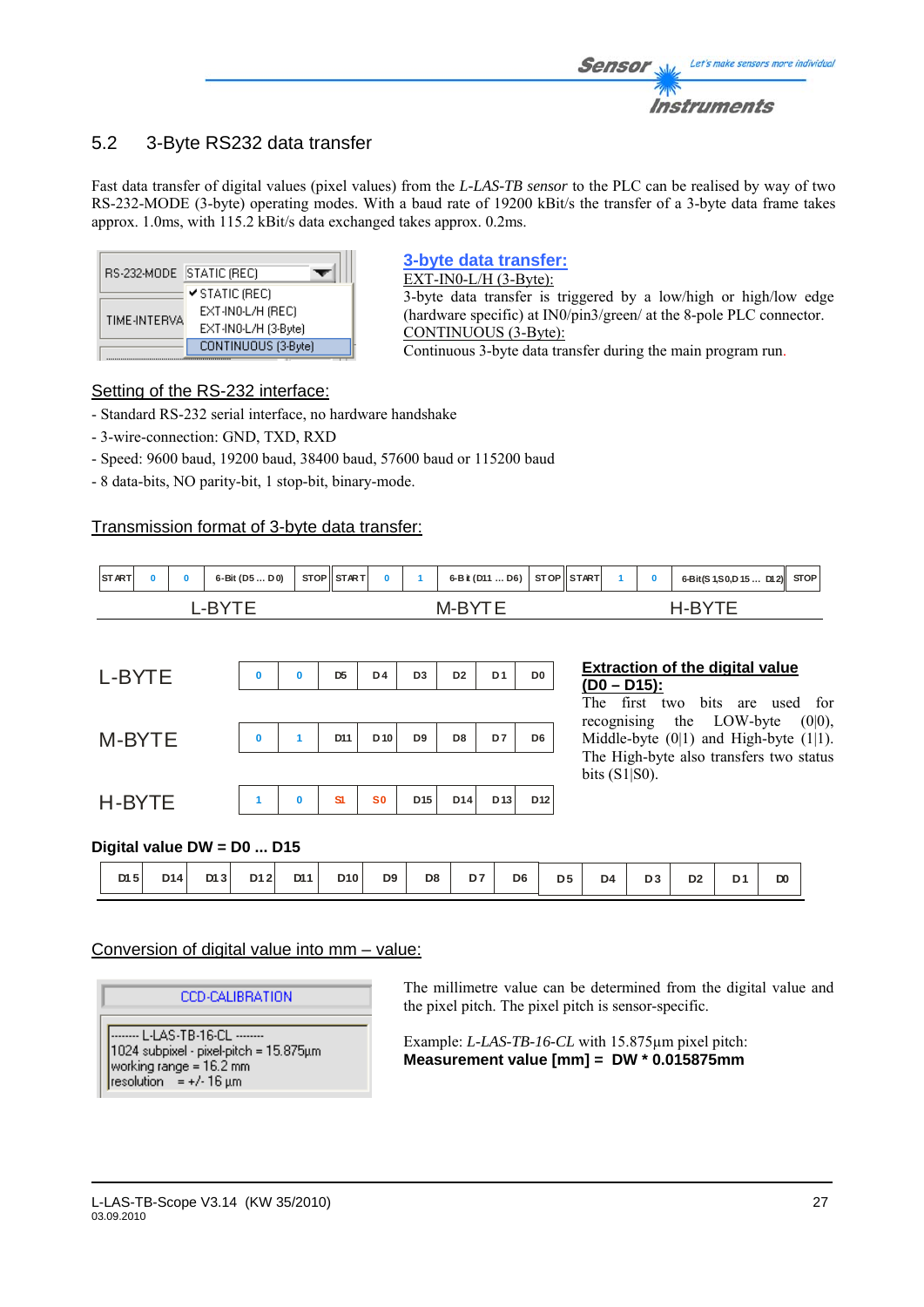# 5.2 3-Byte RS232 data transfer

Fast data transfer of digital values (pixel values) from the *L-LAS-TB sensor* to the PLC can be realised by way of two RS-232-MODE (3-byte) operating modes. With a baud rate of 19200 kBit/s the transfer of a 3-byte data frame takes approx. 1.0ms, with 115.2 kBit/s data exchanged takes approx. 0.2ms.

| RS-232-MODE STATIC (REC) |                      |
|--------------------------|----------------------|
|                          | ✔ STATIC (REC)       |
|                          | EXT-IN0-L/H (REC)    |
| TIME-INTERVA             | EXT-IN0-L/H (3-Byte) |
|                          | CONTINUOUS (3-Byte)  |

### **3-byte data transfer:**

EXT-IN0-L/H (3-Byte): 3-byte data transfer is triggered by a low/high or high/low edge (hardware specific) at IN0/pin3/green/ at the 8-pole PLC connector. CONTINUOUS (3-Byte): Continuous 3-byte data transfer during the main program run.

### Setting of the RS-232 interface:

- Standard RS-232 serial interface, no hardware handshake

- 3-wire-connection: GND, TXD, RXD
- Speed: 9600 baud, 19200 baud, 38400 baud, 57600 baud or 115200 baud
- 8 data-bits, NO parity-bit, 1 stop-bit, binary-mode.

### Transmission format of 3-byte data transfer:

| START |  |  | 6-Bit (D5D0) |  | STOP STAR T |  | 6-B it (D11  D6) STOP START |  |  | 6-Bit(S 1, S 0, D 15  D12) STOP |  |
|-------|--|--|--------------|--|-------------|--|-----------------------------|--|--|---------------------------------|--|
|       |  |  |              |  |             |  |                             |  |  |                                 |  |

| L-BYTE | $\bf{0}$ | $\bf{0}$     | D <sub>5</sub> | D4           | D <sub>3</sub> | D <sub>2</sub> | D <sub>1</sub> | D <sub>0</sub>  |
|--------|----------|--------------|----------------|--------------|----------------|----------------|----------------|-----------------|
| M-BYTE | $\bf{0}$ | $\mathbf{1}$ | D11            | $D$ 10       | D9             | D8             | D7             | D <sub>6</sub>  |
| H-BYTE | 1        | $\mathbf 0$  | <b>S1</b>      | $\mathbf{S}$ | D15            | D14            | $D$ 13         | D <sub>12</sub> |

### **Extraction of the digital value (D0 – D15):**

The first two bits are used for recognising the LOW-byte (0|0), Middle-byte  $(0|1)$  and High-byte  $(1|1)$ . The High-byte also transfers two status bits (S1|S0).

### **Digital value DW = D0 ... D15**

| D <sub>8</sub><br>D <sub>9</sub><br>D11<br>D10<br>D7<br>D <sub>6</sub><br>D <sub>4</sub><br>D <sub>3</sub><br>DI3<br>D12<br>D <sub>5</sub><br>DI <sub>5</sub><br>D <sub>2</sub><br>D <sub>0</sub><br>D14 |  |  |  |  |  |  |  |  |  |
|----------------------------------------------------------------------------------------------------------------------------------------------------------------------------------------------------------|--|--|--|--|--|--|--|--|--|
|                                                                                                                                                                                                          |  |  |  |  |  |  |  |  |  |

### Conversion of digital value into mm – value:

**CCD-CALIBRATION** 

-------- L-LAS-TB-16-CL --------1024 subpixel - pixel-pitch = 15.875µm working range = 16.2 mm resolution = +/-16  $\mu$ m

The millimetre value can be determined from the digital value and the pixel pitch. The pixel pitch is sensor-specific.

Example: *L-LAS-TB-16-CL* with 15.875µm pixel pitch: **Measurement value [mm] = DW \* 0.015875mm**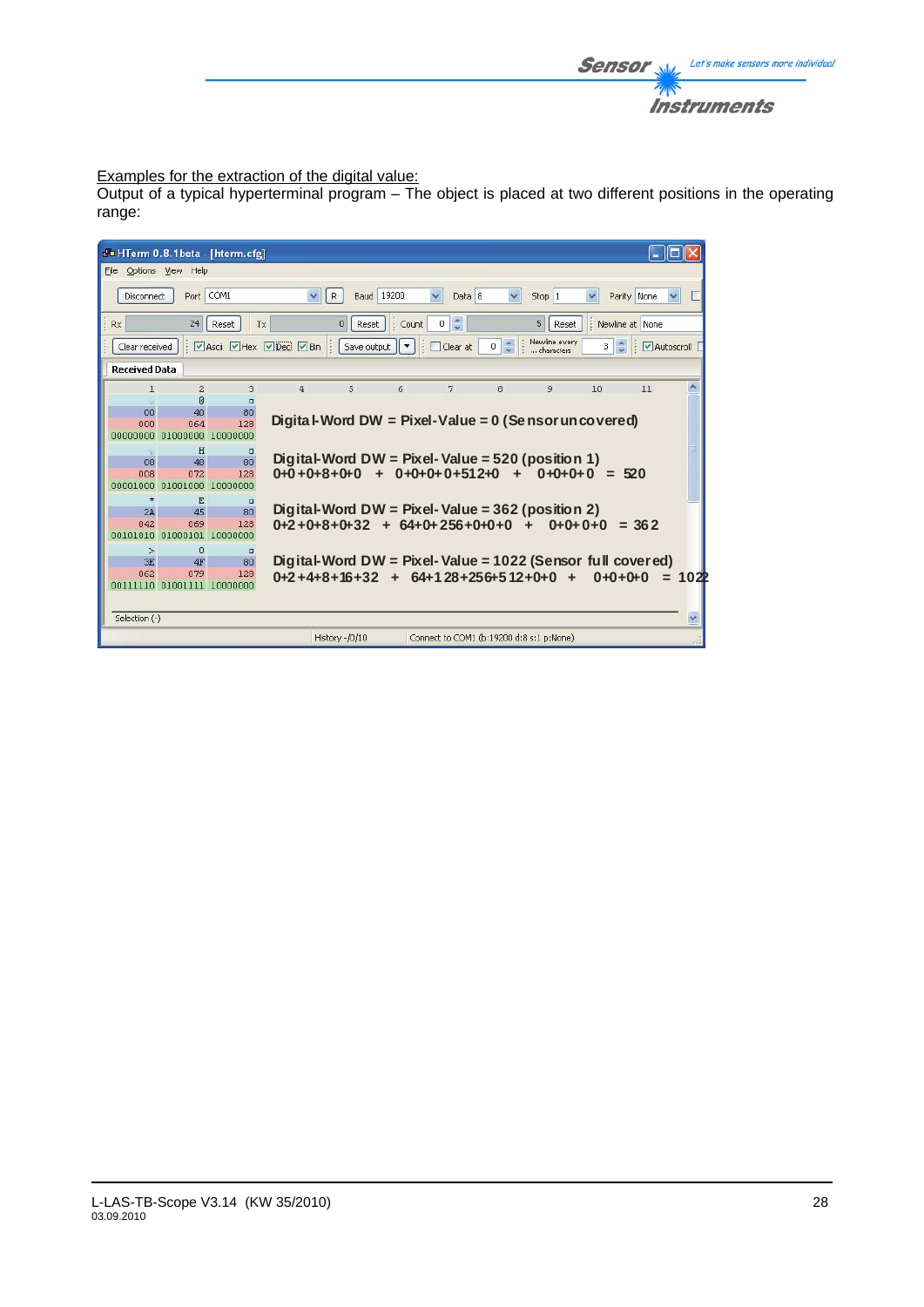

### Examples for the extraction of the digital value:

Output of a typical hyperterminal program – The object is placed at two different positions in the operating range:

|                                                                                                                  |                   |                            | do HTerm 0.8.1beta - [hterm.cfg] |                      |                |                              |                                                            |                                      |                             |           |             |      |
|------------------------------------------------------------------------------------------------------------------|-------------------|----------------------------|----------------------------------|----------------------|----------------|------------------------------|------------------------------------------------------------|--------------------------------------|-----------------------------|-----------|-------------|------|
| File Options View Help                                                                                           |                   |                            |                                  |                      |                |                              |                                                            |                                      |                             |           |             |      |
|                                                                                                                  | <b>Disconnect</b> | Port                       | COM1                             | $\checkmark$         | R              | <b>Baud</b> 19200            | $\checkmark$<br>Data 8                                     | $\checkmark$                         | Stop 1                      |           | Parity None |      |
| $0 \leq$<br>5<br>$\mathbf{0}$<br>Newline at None<br>Rx<br>24<br>: Count<br>Reset<br>Reset<br>Reset<br><b>T</b> x |                   |                            |                                  |                      |                |                              |                                                            |                                      |                             |           |             |      |
| Clear received                                                                                                   |                   |                            |                                  | Ascii PHex PDec PBin |                | Save output $\ \star\ $<br>÷ | Clear at                                                   | $\ddot{\ddot{\ }}$<br>$\overline{0}$ | Newline every<br>characters | 3         | Autoscroll  |      |
| <b>Received Data</b>                                                                                             |                   |                            |                                  |                      |                |                              |                                                            |                                      |                             |           |             |      |
|                                                                                                                  | 1                 | $\overline{c}$             | 3                                | $\overline{a}$       | 5              | 6                            | 7                                                          | 8                                    | 9                           | 10        | 11          |      |
|                                                                                                                  |                   | $\mathbb{R}$               | $\Box$                           |                      |                |                              |                                                            |                                      |                             |           |             |      |
|                                                                                                                  | 00                | 40                         | 80                               |                      |                |                              |                                                            |                                      |                             |           |             |      |
|                                                                                                                  | 000               | 064                        | 128                              |                      |                |                              | Digita I-Word DW = Pixel-Value = $0$ (Se nsor uncovered)   |                                      |                             |           |             |      |
|                                                                                                                  |                   | annonana alananan          | 10000000                         |                      |                |                              |                                                            |                                      |                             |           |             |      |
|                                                                                                                  |                   | H                          | $\Box$                           |                      |                |                              |                                                            |                                      |                             |           |             |      |
|                                                                                                                  | 08                | 48                         | 80                               |                      |                |                              | Digital-Word DW = Pixel-Value = $520$ (position 1)         |                                      |                             |           |             |      |
|                                                                                                                  | 008               | 072                        | 128                              |                      |                |                              | $0+0+8+0+0$ + $0+0+0+0+512+0$ + $0+0+0+0$ = 520            |                                      |                             |           |             |      |
| 00001000                                                                                                         |                   | 01001000                   | 10000000                         |                      |                |                              |                                                            |                                      |                             |           |             |      |
|                                                                                                                  | $\star$           | E                          | $\mathsf{r}$                     |                      |                |                              |                                                            |                                      |                             |           |             |      |
|                                                                                                                  | 2A                | 45                         | 80                               |                      |                |                              | Digital-Word DW = Pixel-Value = $362$ (position 2)         |                                      |                             |           |             |      |
|                                                                                                                  | 042               | 069                        | 128                              |                      |                |                              | $0+2+0+8+0+32 + 64+0+256+0+0+0 +$                          |                                      |                             | $0+0+0+0$ | $= 362$     |      |
|                                                                                                                  |                   | 00101010 01000101          | 10000000                         |                      |                |                              |                                                            |                                      |                             |           |             |      |
|                                                                                                                  | $\geq$            | 0                          | $\Box$                           |                      |                |                              |                                                            |                                      |                             |           |             |      |
|                                                                                                                  | 3E                | 4F                         | 80                               |                      |                |                              | Digital-Word DW = Pixel-Value = 1022 (Sensor full covered) |                                      |                             |           |             |      |
|                                                                                                                  | 062               | 079                        | 128                              |                      |                |                              | $0+2+4+8+16+32 + 64+128+256+512+0+0 +$                     |                                      |                             |           | $0+0+0+0$   | 102P |
|                                                                                                                  |                   | 00111110 01001111 10000000 |                                  |                      |                |                              |                                                            |                                      |                             |           |             |      |
|                                                                                                                  |                   |                            |                                  |                      |                |                              |                                                            |                                      |                             |           |             |      |
| Selection (-)                                                                                                    |                   |                            |                                  |                      |                |                              |                                                            |                                      |                             |           |             |      |
|                                                                                                                  |                   |                            |                                  |                      | History -/0/10 |                              | Connect to COM1 (b:19200 d:8 s:1 p:None)                   |                                      |                             |           |             |      |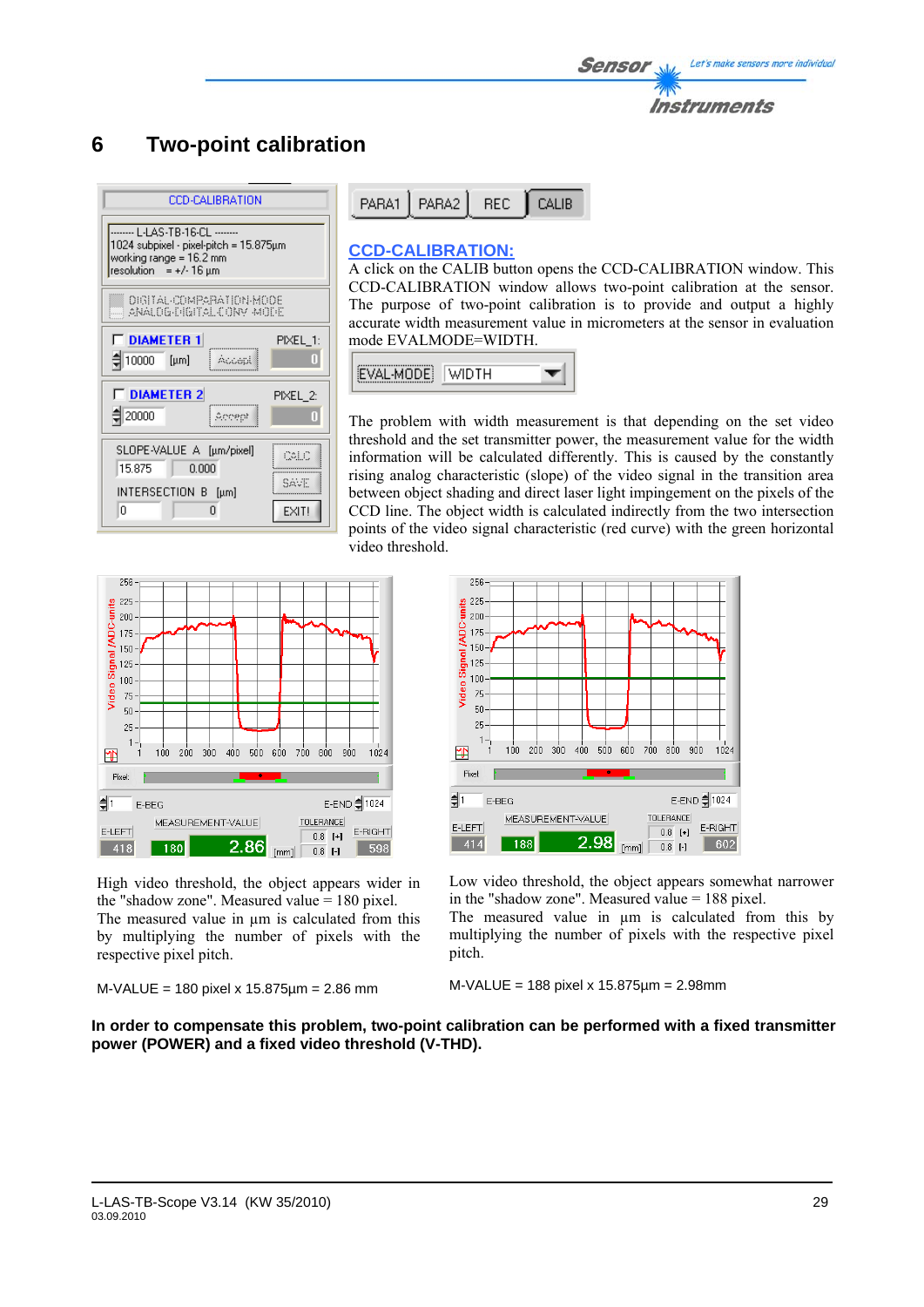# **6 Two-point calibration**

| <b>CCD-CALIBRATION</b>                                                                          |  |  |  |  |  |  |  |  |
|-------------------------------------------------------------------------------------------------|--|--|--|--|--|--|--|--|
| 1024 subpixel - pixel-pitch = 15.875µm<br>working range = 16.2 mm<br>resolution = $+/-16 \mu m$ |  |  |  |  |  |  |  |  |
| <b>DIGITAL-COMPARATION-MODE</b><br>ANALOG-PIGITAL CONV MODE                                     |  |  |  |  |  |  |  |  |
| <b>T DIAMETER 1</b><br>PIXEL_1:<br>10000<br>Π<br>$[\mu m]$                                      |  |  |  |  |  |  |  |  |
| <b>T DIAMETER 2</b><br>PIXEL 2:<br>$\xi$ 20000<br>Т                                             |  |  |  |  |  |  |  |  |
| SLOPE-VALUE A [µm/pixel]<br>Colic<br>15.875<br>0.000                                            |  |  |  |  |  |  |  |  |
| SAVE<br>INTERSECTION B [µm]<br>Ω<br>EXIT!<br>n                                                  |  |  |  |  |  |  |  |  |

| PARA1   PARA2   REC   CALIB |  |
|-----------------------------|--|
|                             |  |

### **CCD-CALIBRATION:**

A click on the CALIB button opens the CCD-CALIBRATION window. This CCD-CALIBRATION window allows two-point calibration at the sensor. The purpose of two-point calibration is to provide and output a highly accurate width measurement value in micrometers at the sensor in evaluation mode EVALMODE=WIDTH.



The problem with width measurement is that depending on the set video threshold and the set transmitter power, the measurement value for the width information will be calculated differently. This is caused by the constantly rising analog characteristic (slope) of the video signal in the transition area between object shading and direct laser light impingement on the pixels of the CCD line. The object width is calculated indirectly from the two intersection points of the video signal characteristic (red curve) with the green horizontal video threshold.



High video threshold, the object appears wider in the "shadow zone". Measured value = 180 pixel. The measured value in  $\mu$ m is calculated from this by multiplying the number of pixels with the respective pixel pitch.

```
M-VALUE = 180 pixel x 15.875µm = 2.86 mm
```


Low video threshold, the object appears somewhat narrower in the "shadow zone". Measured value = 188 pixel.

The measured value in  $\mu$ m is calculated from this by multiplying the number of pixels with the respective pixel pitch.

### M-VALUE = 188 pixel x 15.875µm = 2.98mm

**In order to compensate this problem, two-point calibration can be performed with a fixed transmitter power (POWER) and a fixed video threshold (V-THD).**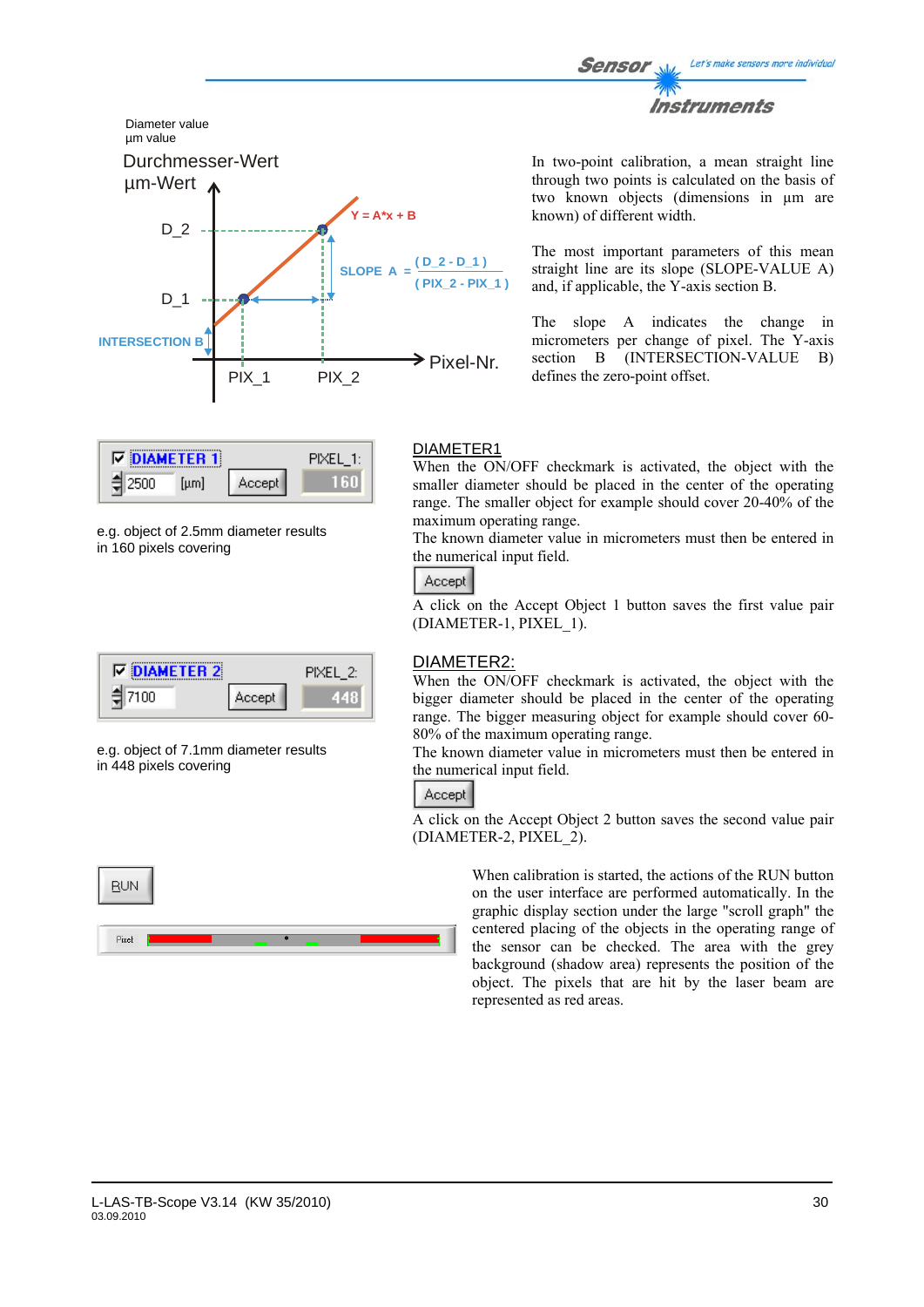



| IV. | <b>NAMETER 11</b> |         |  |
|-----|-------------------|---------|--|
|     | uml               | Accept. |  |

e.g. object of 2.5mm diameter results in 160 pixels covering

| <b>DIAMETER 2</b><br>⊽ |         | PIXEL 25 |
|------------------------|---------|----------|
| חחו                    | Accept. |          |

e.g. object of 7.1mm diameter results in 448 pixels covering



In two-point calibration, a mean straight line through two points is calculated on the basis of two known objects (dimensions in µm are known) of different width.

The most important parameters of this mean straight line are its slope (SLOPE-VALUE A) and, if applicable, the Y-axis section B.

The slope A indicates the change in micrometers per change of pixel. The Y-axis section B (INTERSECTION-VALUE B) defines the zero-point offset.

### DIAMETER1

When the ON/OFF checkmark is activated, the object with the smaller diameter should be placed in the center of the operating range. The smaller object for example should cover 20-40% of the maximum operating range.

The known diameter value in micrometers must then be entered in the numerical input field.

### Accept

A click on the Accept Object 1 button saves the first value pair (DIAMETER-1, PIXEL\_1).

### DIAMETER2:

When the ON/OFF checkmark is activated, the object with the bigger diameter should be placed in the center of the operating range. The bigger measuring object for example should cover 60- 80% of the maximum operating range.

The known diameter value in micrometers must then be entered in the numerical input field.

# Accept

A click on the Accept Object 2 button saves the second value pair (DIAMETER-2, PIXEL\_2).

> When calibration is started, the actions of the RUN button on the user interface are performed automatically. In the graphic display section under the large "scroll graph" the centered placing of the objects in the operating range of the sensor can be checked. The area with the grey background (shadow area) represents the position of the object. The pixels that are hit by the laser beam are represented as red areas.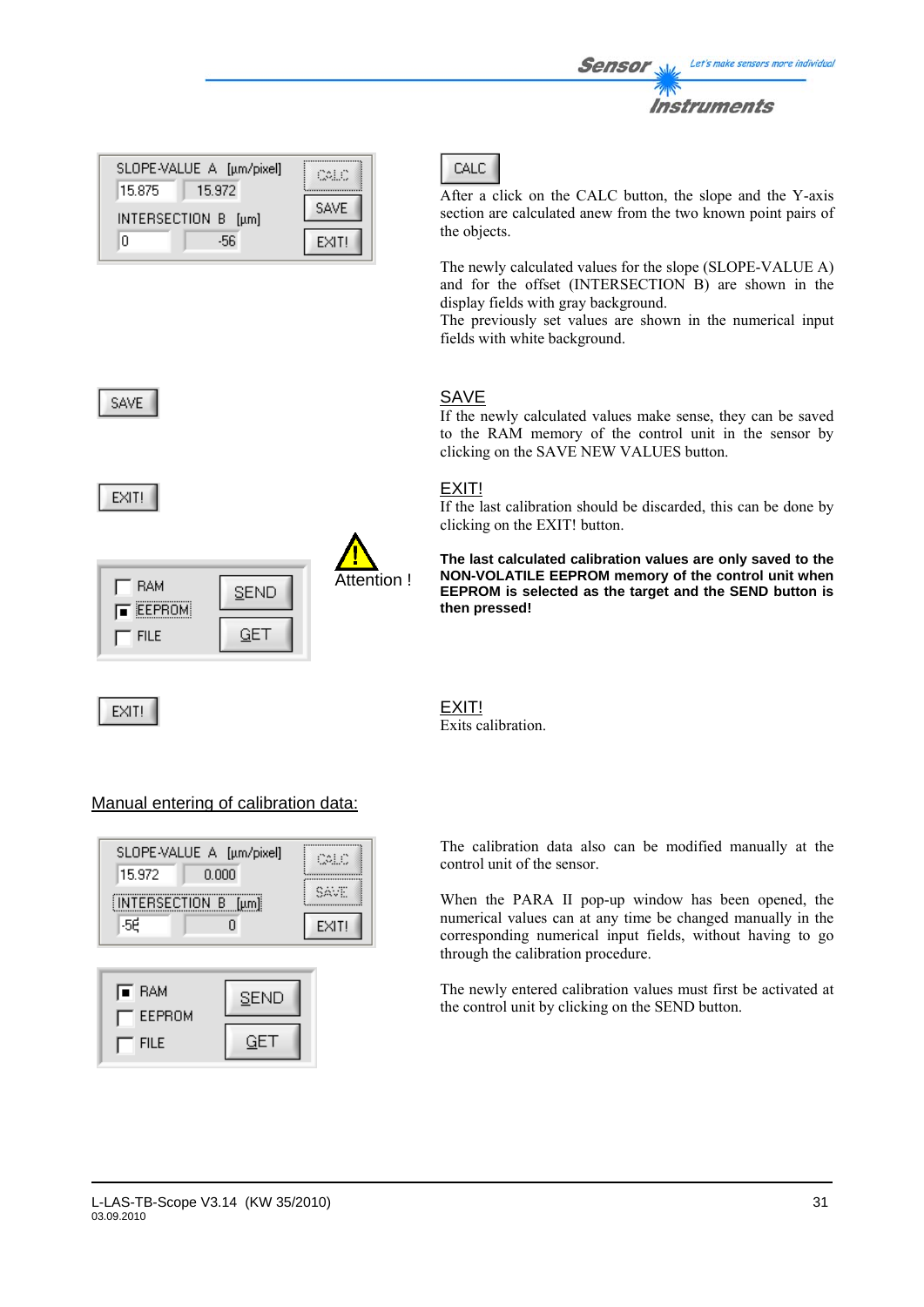| 15.972<br>15.875<br><b>SAVE</b><br>INTERSECTION B [µm] |   | SLOPE-VALUE A [µm/pixel] | COLO  |
|--------------------------------------------------------|---|--------------------------|-------|
|                                                        |   |                          |       |
|                                                        | n | -56                      | EXIT! |



| <b>RAM</b><br><b>EEPROM</b> | <b>SEND</b> | Attention ! |
|-----------------------------|-------------|-------------|
| <b>FILE</b>                 |             |             |

EXIT!



After a click on the CALC button, the slope and the Y-axis section are calculated anew from the two known point pairs of the objects.

The newly calculated values for the slope (SLOPE-VALUE A) and for the offset (INTERSECTION B) are shown in the display fields with gray background.

The previously set values are shown in the numerical input fields with white background.

# SAVE

If the newly calculated values make sense, they can be saved to the RAM memory of the control unit in the sensor by clicking on the SAVE NEW VALUES button.

# EXIT!

If the last calibration should be discarded, this can be done by clicking on the EXIT! button.

**The last calculated calibration values are only saved to the NON-VOLATILE EEPROM memory of the control unit when EEPROM is selected as the target and the SEND button is then pressed!** 



### Manual entering of calibration data:



| <b>E</b> RAM<br>EEPROM | SEND |
|------------------------|------|
| <b>FILE</b>            | ⊢הו  |

The calibration data also can be modified manually at the control unit of the sensor.

When the PARA II pop-up window has been opened, the numerical values can at any time be changed manually in the corresponding numerical input fields, without having to go through the calibration procedure.

The newly entered calibration values must first be activated at the control unit by clicking on the SEND button.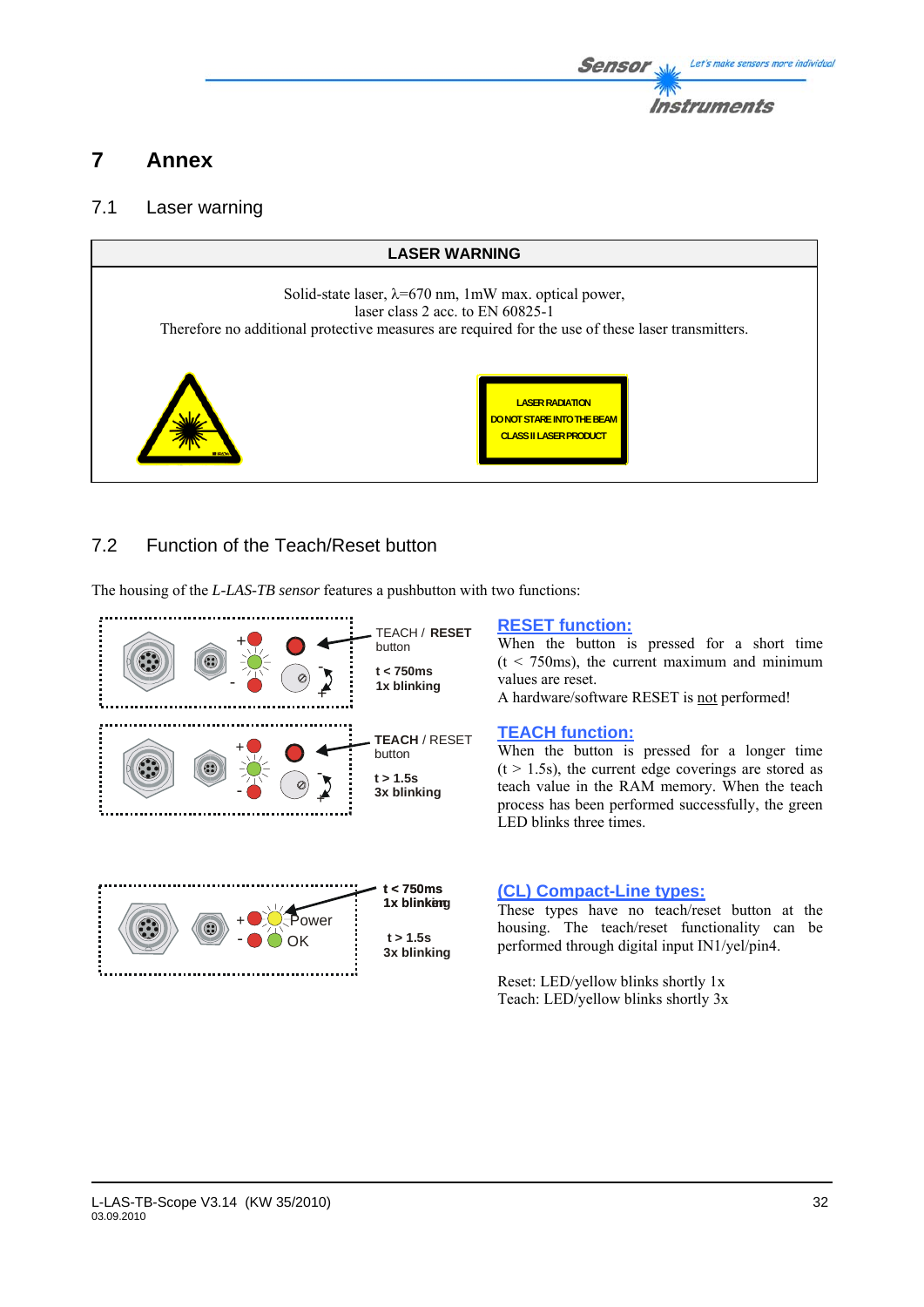

# **7 Annex**

# 7.1 Laser warning



# 7.2 Function of the Teach/Reset button

The housing of the *L-LAS-TB sensor* features a pushbutton with two functions:



### **RESET function:**

When the button is pressed for a short time  $(t < 750 \text{ms})$ , the current maximum and minimum values are reset.

A hardware/software RESET is not performed!

### **TEACH function:**

When the button is pressed for a longer time  $(t > 1.5s)$ , the current edge coverings are stored as teach value in the RAM memory. When the teach process has been performed successfully, the green LED blinks three times.

### **(CL) Compact-Line types:**

These types have no teach/reset button at the housing. The teach/reset functionality can be performed through digital input IN1/yel/pin4.

Reset: LED/yellow blinks shortly 1x Teach: LED/yellow blinks shortly 3x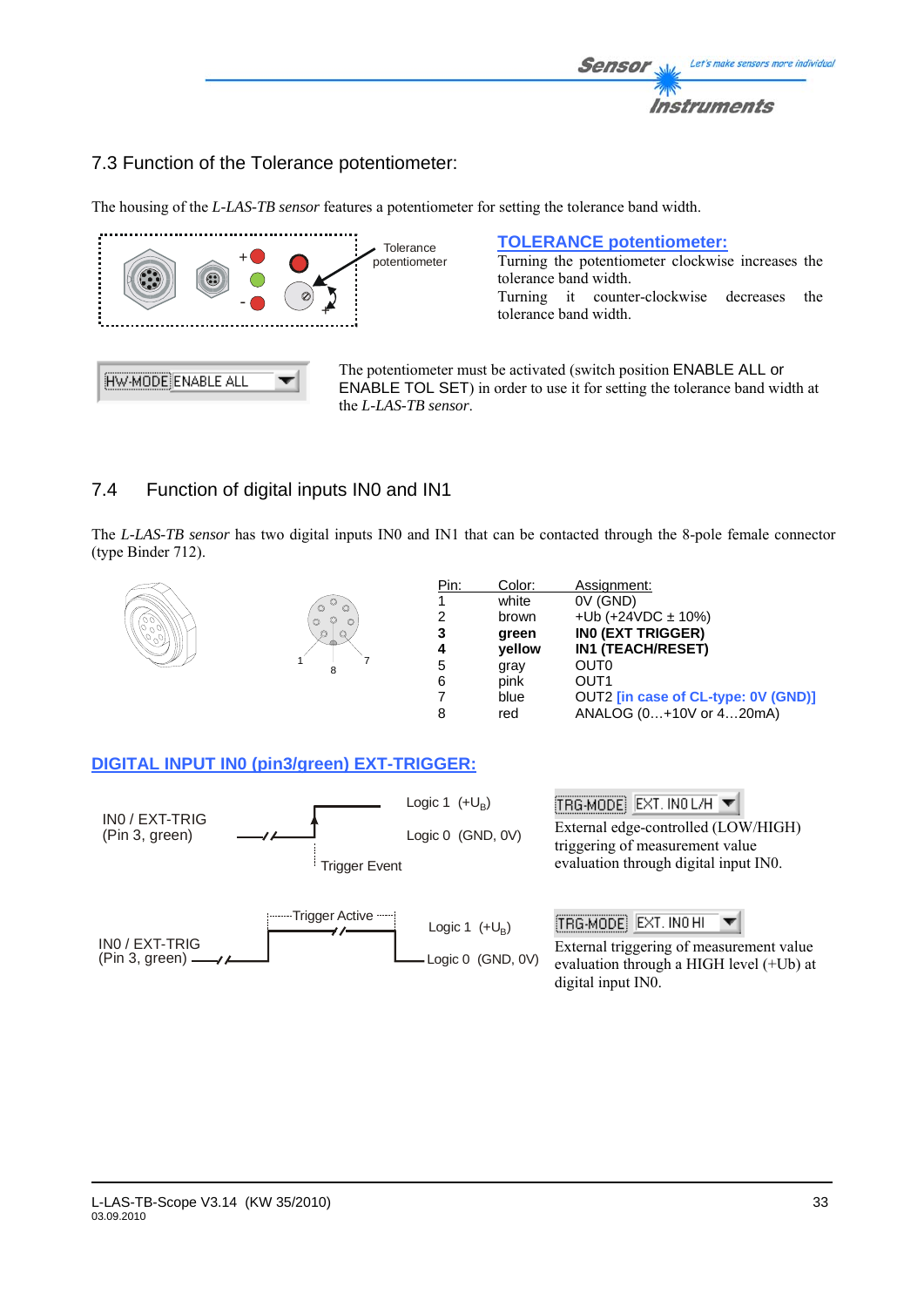

# 7.3 Function of the Tolerance potentiometer:

**Tolerance** + potentiometer 6 - - + HW-MODE ENABLE ALL

**TOLERANCE potentiometer:**

The housing of the *L-LAS-TB sensor* features a potentiometer for setting the tolerance band width.

Turning the potentiometer clockwise increases the tolerance band width. Turning it counter-clockwise decreases the tolerance band width.

The potentiometer must be activated (switch position ENABLE ALL or ENABLE TOL SET) in order to use it for setting the tolerance band width at the *L-LAS-TB sensor*.

# 7.4 Function of digital inputs IN0 and IN1

The *L-LAS-TB sensor* has two digital inputs IN0 and IN1 that can be contacted through the 8-pole female connector (type Binder 712).



**DIGITAL INPUT IN0 (pin3/green) EXT-TRIGGER:**

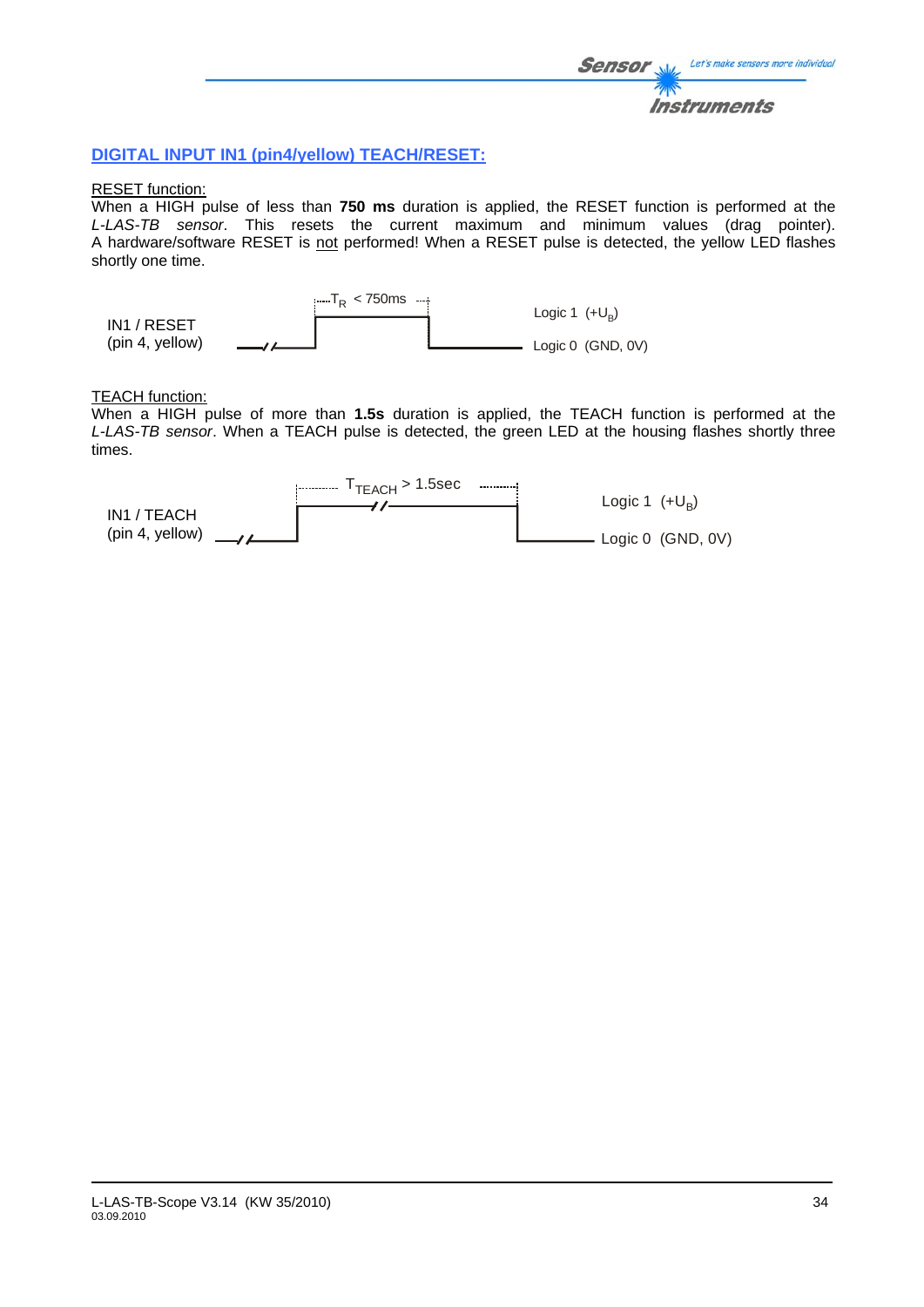### **DIGITAL INPUT IN1 (pin4/yellow) TEACH/RESET:**

### RESET function:

When a HIGH pulse of less than **750 ms** duration is applied, the RESET function is performed at the *L-LAS-TB sensor*. This resets the current maximum and minimum values (drag pointer). A hardware/software RESET is not performed! When a RESET pulse is detected, the yellow LED flashes shortly one time.



### TEACH function:

When a HIGH pulse of more than **1.5s** duration is applied, the TEACH function is performed at the *L-LAS-TB sensor*. When a TEACH pulse is detected, the green LED at the housing flashes shortly three times.

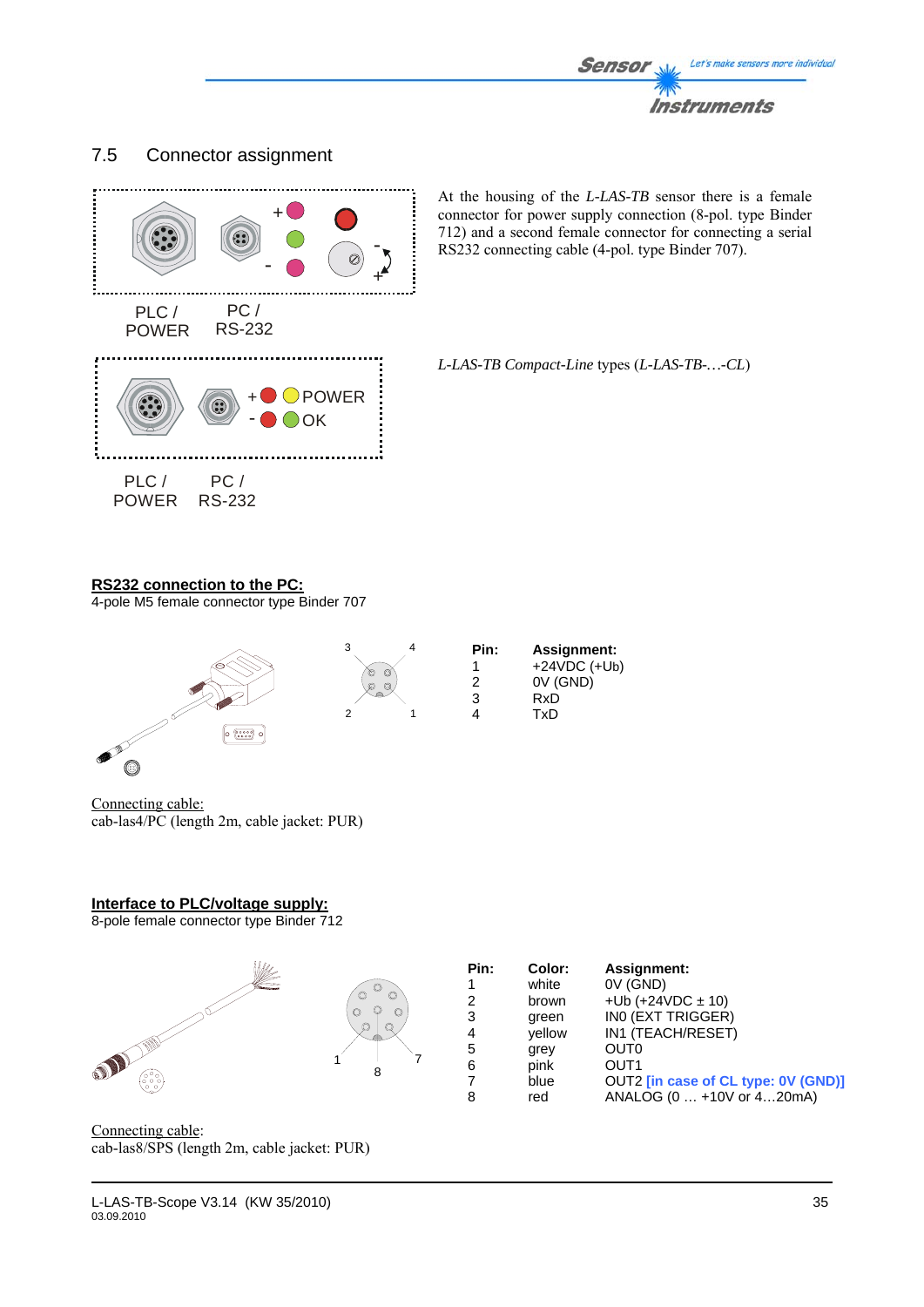

# 7.5 Connector assignment



At the housing of the *L-LAS-TB* sensor there is a female connector for power supply connection (8-pol. type Binder 712) and a second female connector for connecting a serial RS232 connecting cable (4-pol. type Binder 707).

*L-LAS-TB Compact-Line* types (*L-LAS-TB-…-CL*)

### **RS232 connection to the PC:**

4-pole M5 female connector type Binder 707



Connecting cable: cab-las4/PC (length 2m, cable jacket: PUR)

(O)

# **Interface to PLC/voltage supply:**

8-pole female connector type Binder 712



Connecting cable: cab-las8/SPS (length 2m, cable jacket: PUR)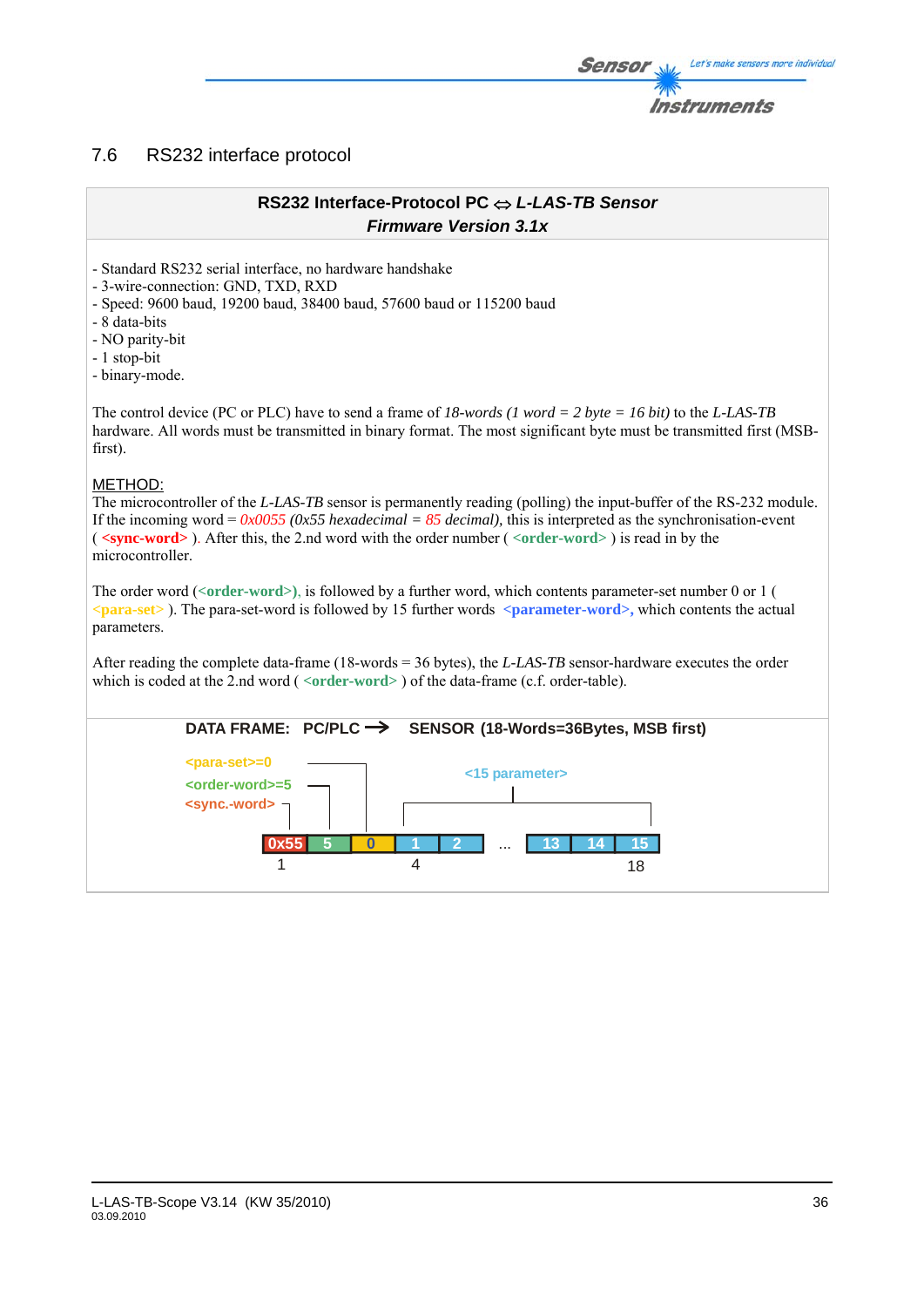# 7.6 RS232 interface protocol

### **RS232 Interface-Protocol PC** ⇔ *L-LAS-TB Sensor Firmware Version 3.1x*

- Standard RS232 serial interface, no hardware handshake

- 3-wire-connection: GND, TXD, RXD

- Speed: 9600 baud, 19200 baud, 38400 baud, 57600 baud or 115200 baud

- 8 data-bits

- NO parity-bit

- 1 stop-bit

- binary-mode.

The control device (PC or PLC) have to send a frame of *18-words (1 word = 2 byte = 16 bit)* to the *L-LAS-TB*  hardware. All words must be transmitted in binary format. The most significant byte must be transmitted first (MSBfirst).

### METHOD:

The microcontroller of the *L-LAS-TB* sensor is permanently reading (polling) the input-buffer of the RS-232 module. If the incoming word =  $0x0055$  ( $0x55$  hexadecimal = 85 decimal), this is interpreted as the synchronisation-event ( **<sync-word>** ). After this, the 2.nd word with the order number ( *<***order-word>** ) is read in by the microcontroller.

The order word (*<***order-word>)**, is followed by a further word, which contents parameter-set number 0 or 1 ( *<***para-set>** ). The para-set-word is followed by 15 further words **<parameter-word>,** which contents the actual parameters.

After reading the complete data-frame (18-words = 36 bytes), the *L-LAS-TB* sensor-hardware executes the order which is coded at the 2.nd word ( <**order-word**> ) of the data-frame (c.f. order-table).



Let's make sensors more individual

Instruments

Sensol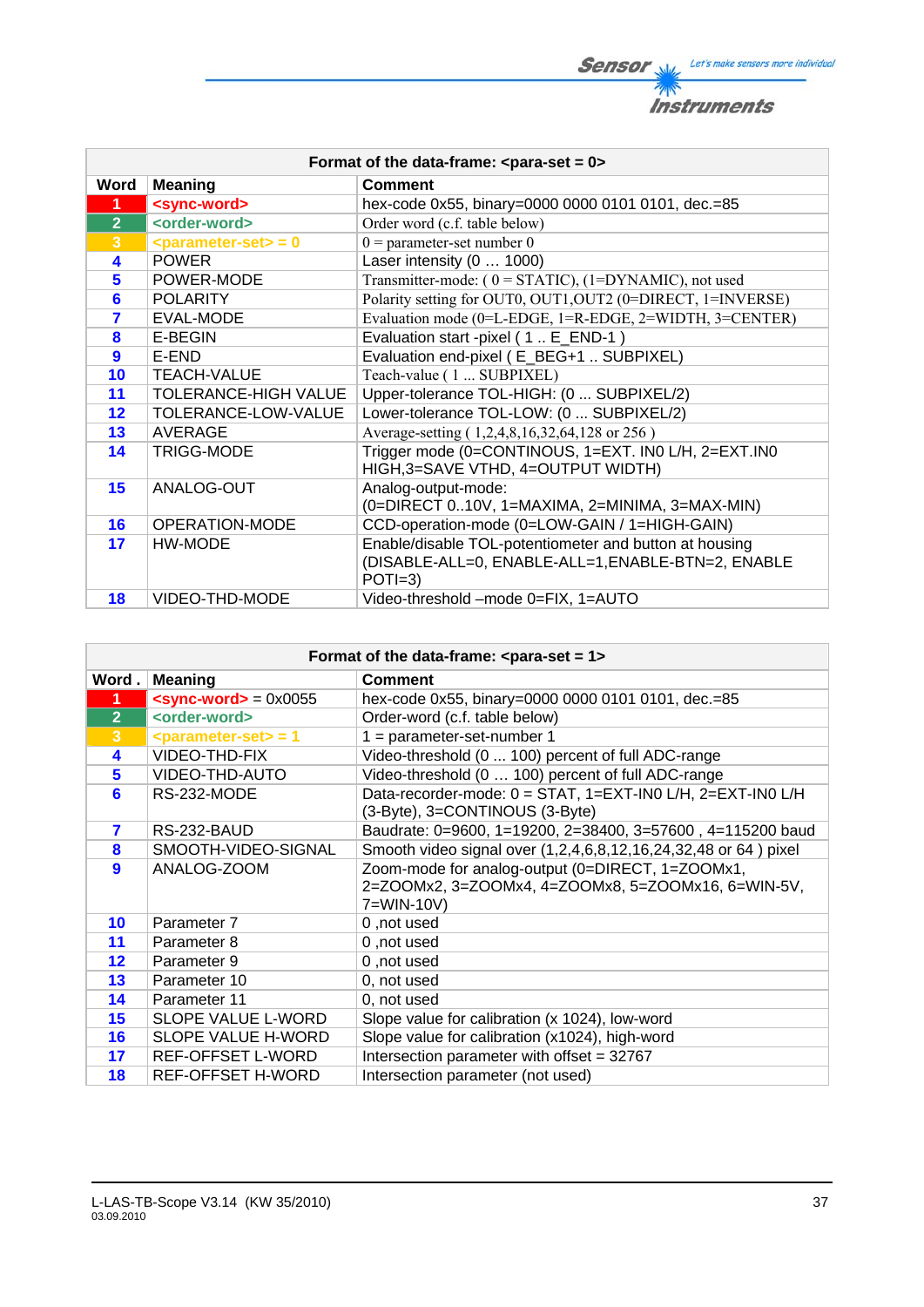**Sensor** W/<sub>2</sub> Let's make sensors more individual 柳 **Instruments** 

| Format of the data-frame: $\epsilon$ para-set = 0> |                                                |                                                                                                                          |
|----------------------------------------------------|------------------------------------------------|--------------------------------------------------------------------------------------------------------------------------|
| Word                                               | <b>Meaning</b>                                 | <b>Comment</b>                                                                                                           |
| 1                                                  | <sync-word></sync-word>                        | hex-code 0x55, binary=0000 0000 0101 0101, dec.=85                                                                       |
| $\overline{2}$                                     | <order-word></order-word>                      | Order word (c.f. table below)                                                                                            |
| $\overline{3}$                                     | $\epsilon$ <parameter-set> = 0</parameter-set> | $0$ = parameter-set number 0                                                                                             |
| 4                                                  | <b>POWER</b>                                   | Laser intensity (0  1000)                                                                                                |
| 5                                                  | POWER-MODE                                     | Transmitter-mode: $(0 = STATIC)$ , $(1 = DYNAMIC)$ , not used                                                            |
| 6                                                  | <b>POLARITY</b>                                | Polarity setting for OUT0, OUT1, OUT2 (0=DIRECT, 1=INVERSE)                                                              |
| $\overline{\mathbf{z}}$                            | EVAL-MODE                                      | Evaluation mode (0=L-EDGE, 1=R-EDGE, 2=WIDTH, 3=CENTER)                                                                  |
| 8                                                  | E-BEGIN                                        | Evaluation start -pixel (1. E_END-1)                                                                                     |
| $\overline{9}$                                     | E-END                                          | Evaluation end-pixel (E_BEG+1  SUBPIXEL)                                                                                 |
| 10                                                 | <b>TEACH-VALUE</b>                             | Teach-value (1  SUBPIXEL)                                                                                                |
| 11                                                 | <b>TOLERANCE-HIGH VALUE</b>                    | Upper-tolerance TOL-HIGH: (0  SUBPIXEL/2)                                                                                |
| 12                                                 | TOLERANCE-LOW-VALUE                            | Lower-tolerance TOL-LOW: (0  SUBPIXEL/2)                                                                                 |
| 13                                                 | AVERAGE                                        | Average-setting (1,2,4,8,16,32,64,128 or 256)                                                                            |
| 14                                                 | <b>TRIGG-MODE</b>                              | Trigger mode (0=CONTINOUS, 1=EXT. IN0 L/H, 2=EXT.IN0<br>HIGH, 3=SAVE VTHD, 4=OUTPUT WIDTH)                               |
| 15                                                 | ANALOG-OUT                                     | Analog-output-mode:<br>(0=DIRECT 010V, 1=MAXIMA, 2=MINIMA, 3=MAX-MIN)                                                    |
| 16                                                 | <b>OPERATION-MODE</b>                          | CCD-operation-mode (0=LOW-GAIN / 1=HIGH-GAIN)                                                                            |
| 17                                                 | HW-MODE                                        | Enable/disable TOL-potentiometer and button at housing<br>(DISABLE-ALL=0, ENABLE-ALL=1, ENABLE-BTN=2, ENABLE<br>$POTI=3$ |
| 18                                                 | VIDEO-THD-MODE                                 | Video-threshold -mode 0=FIX, 1=AUTO                                                                                      |

| Format of the data-frame: $\leq$ para-set = 1> |                                                |                                                                 |
|------------------------------------------------|------------------------------------------------|-----------------------------------------------------------------|
| Word.                                          | <b>Meaning</b>                                 | <b>Comment</b>                                                  |
| $\blacktriangleleft$                           | $<$ sync-word> = 0x0055                        | hex-code 0x55, binary=0000 0000 0101 0101, dec.=85              |
| 2 <sup>1</sup>                                 | <order-word></order-word>                      | Order-word (c.f. table below)                                   |
| 3                                              | $\epsilon$ <parameter-set> = 1</parameter-set> | $1 = parameter-set-number 1$                                    |
| 4                                              | VIDEO-THD-FIX                                  | Video-threshold (0  100) percent of full ADC-range              |
| 5                                              | VIDEO-THD-AUTO                                 | Video-threshold (0  100) percent of full ADC-range              |
| 6                                              | RS-232-MODE                                    | Data-recorder-mode: 0 = STAT, 1=EXT-IN0 L/H, 2=EXT-IN0 L/H      |
|                                                |                                                | (3-Byte), 3=CONTINOUS (3-Byte)                                  |
| 7                                              | RS-232-BAUD                                    | Baudrate: 0=9600, 1=19200, 2=38400, 3=57600, 4=115200 baud      |
| 8                                              | SMOOTH-VIDEO-SIGNAL                            | Smooth video signal over (1,2,4,6,8,12,16,24,32,48 or 64) pixel |
| 9                                              | ANALOG-ZOOM                                    | Zoom-mode for analog-output (0=DIRECT, 1=ZOOMx1,                |
|                                                |                                                | 2=ZOOMx2, 3=ZOOMx4, 4=ZOOMx8, 5=ZOOMx16, 6=WIN-5V,              |
|                                                |                                                | 7=WIN-10V)                                                      |
| 10                                             | Parameter 7                                    | 0, not used                                                     |
| 11                                             | Parameter 8                                    | 0, not used                                                     |
| 12                                             | Parameter 9                                    | 0, not used                                                     |
| 13                                             | Parameter 10                                   | 0, not used                                                     |
| 14                                             | Parameter 11                                   | 0, not used                                                     |
| 15                                             | SLOPE VALUE L-WORD                             | Slope value for calibration (x 1024), low-word                  |
| 16                                             | SLOPE VALUE H-WORD                             | Slope value for calibration (x1024), high-word                  |
| 17                                             | REF-OFFSET L-WORD                              | Intersection parameter with offset = 32767                      |
| 18                                             | REF-OFFSET H-WORD                              | Intersection parameter (not used)                               |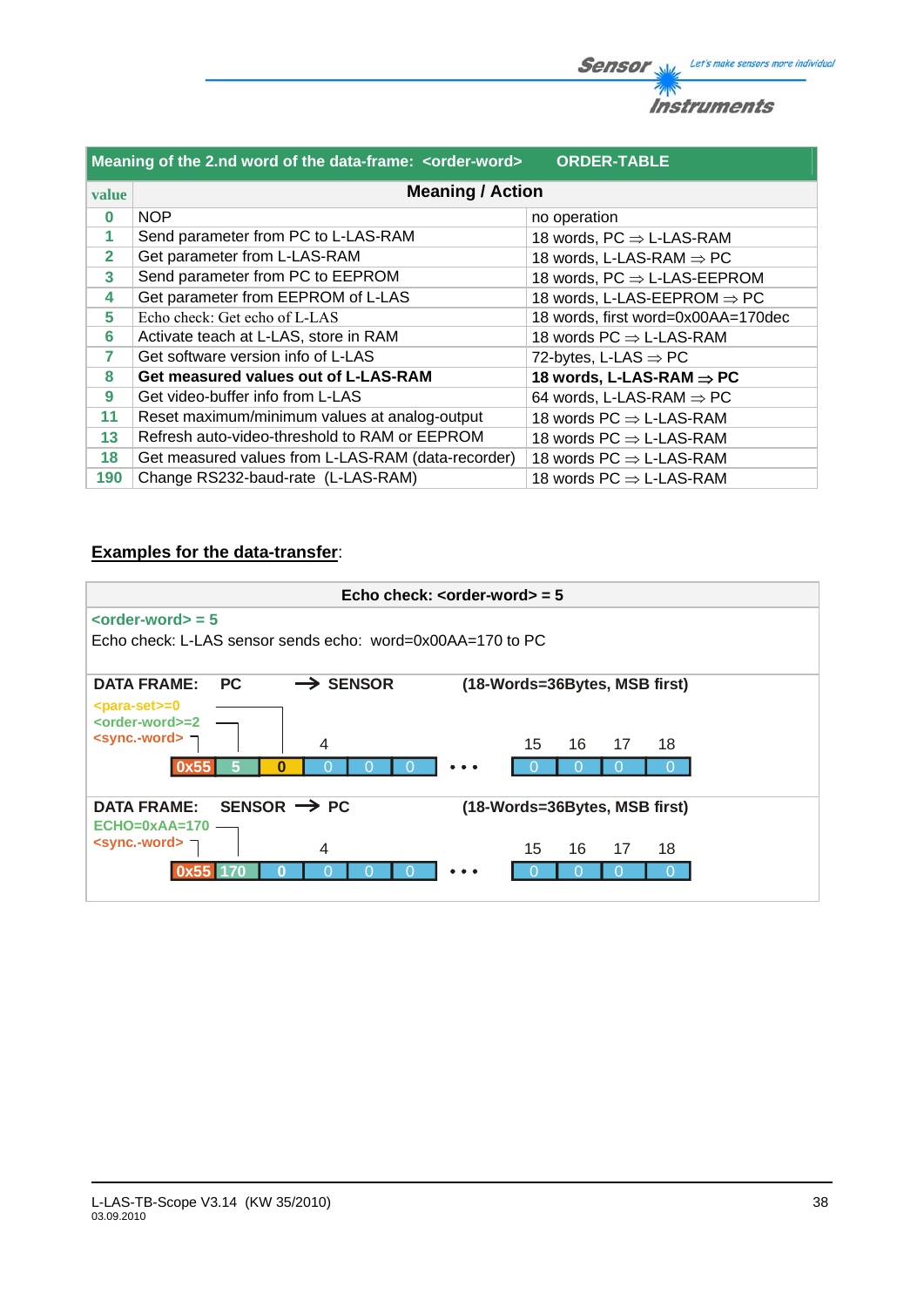| Meaning of the 2.nd word of the data-frame: <order-word><br/><b>ORDER-TABLE</b></order-word> |                                                    |                                             |  |  |
|----------------------------------------------------------------------------------------------|----------------------------------------------------|---------------------------------------------|--|--|
| <b>Meaning / Action</b><br>value                                                             |                                                    |                                             |  |  |
| $\bf{0}$                                                                                     | <b>NOP</b>                                         | no operation                                |  |  |
| 1                                                                                            | Send parameter from PC to L-LAS-RAM                | 18 words, $PC \Rightarrow L\text{-LAS-RAM}$ |  |  |
| $\overline{2}$                                                                               | Get parameter from L-LAS-RAM                       | 18 words, L-LAS-RAM $\Rightarrow$ PC        |  |  |
| 3                                                                                            | Send parameter from PC to EEPROM                   | 18 words, $PC \Rightarrow$ L-LAS-EEPROM     |  |  |
| 4                                                                                            | Get parameter from EEPROM of L-LAS                 | 18 words, L-LAS-EEPROM $\Rightarrow$ PC     |  |  |
| 5                                                                                            | Echo check: Get echo of L-LAS                      | 18 words, first word=0x00AA=170dec          |  |  |
| 6                                                                                            | Activate teach at L-LAS, store in RAM              | 18 words $PC \Rightarrow L\text{-LAS-RAM}$  |  |  |
| 7                                                                                            | Get software version info of L-LAS                 | 72-bytes, L-LAS $\Rightarrow$ PC            |  |  |
| 8                                                                                            | Get measured values out of L-LAS-RAM               | 18 words, L-LAS-RAM $\Rightarrow$ PC        |  |  |
| 9                                                                                            | Get video-buffer info from L-LAS                   | 64 words, L-LAS-RAM $\Rightarrow$ PC        |  |  |
| 11                                                                                           | Reset maximum/minimum values at analog-output      | 18 words $PC \Rightarrow L\text{-LAS-RAM}$  |  |  |
| 13                                                                                           | Refresh auto-video-threshold to RAM or EEPROM      | 18 words $PC \Rightarrow L\text{-LAS-RAM}$  |  |  |
| 18                                                                                           | Get measured values from L-LAS-RAM (data-recorder) | 18 words $PC \Rightarrow L\text{-LAS-RAM}$  |  |  |
| 190                                                                                          | Change RS232-baud-rate (L-LAS-RAM)                 | 18 words $PC \Rightarrow L\text{-LAS-RAM}$  |  |  |

# **Examples for the data-transfer**:

| Echo check: $\leq$ order-word $>$ = 5                                               |                      |    |                               |    |
|-------------------------------------------------------------------------------------|----------------------|----|-------------------------------|----|
| $\left\langle \text{order-words} \right\rangle = 5$                                 |                      |    |                               |    |
| Echo check: L-LAS sensor sends echo: word=0x00AA=170 to PC                          |                      |    |                               |    |
| <b>DATA FRAME:</b><br><b>PC</b>                                                     | $\rightarrow$ SENSOR |    | (18-Words=36Bytes, MSB first) |    |
| $<$ para-set $> = 0$<br><order-word>=2<br/><sync.-word> ¬</sync.-word></order-word> |                      |    |                               |    |
|                                                                                     | 4                    | 15 | 16<br>17                      | 18 |
| Ω                                                                                   |                      |    |                               |    |
| SENSOR $\rightarrow$ PC<br><b>DATA FRAME:</b>                                       |                      |    | (18-Words=36Bytes, MSB first) |    |
| $ECHO=0xAA=170$<br><sync.-word> ¬</sync.-word>                                      | 4                    | 15 | 16<br>17                      | 18 |
|                                                                                     |                      |    |                               |    |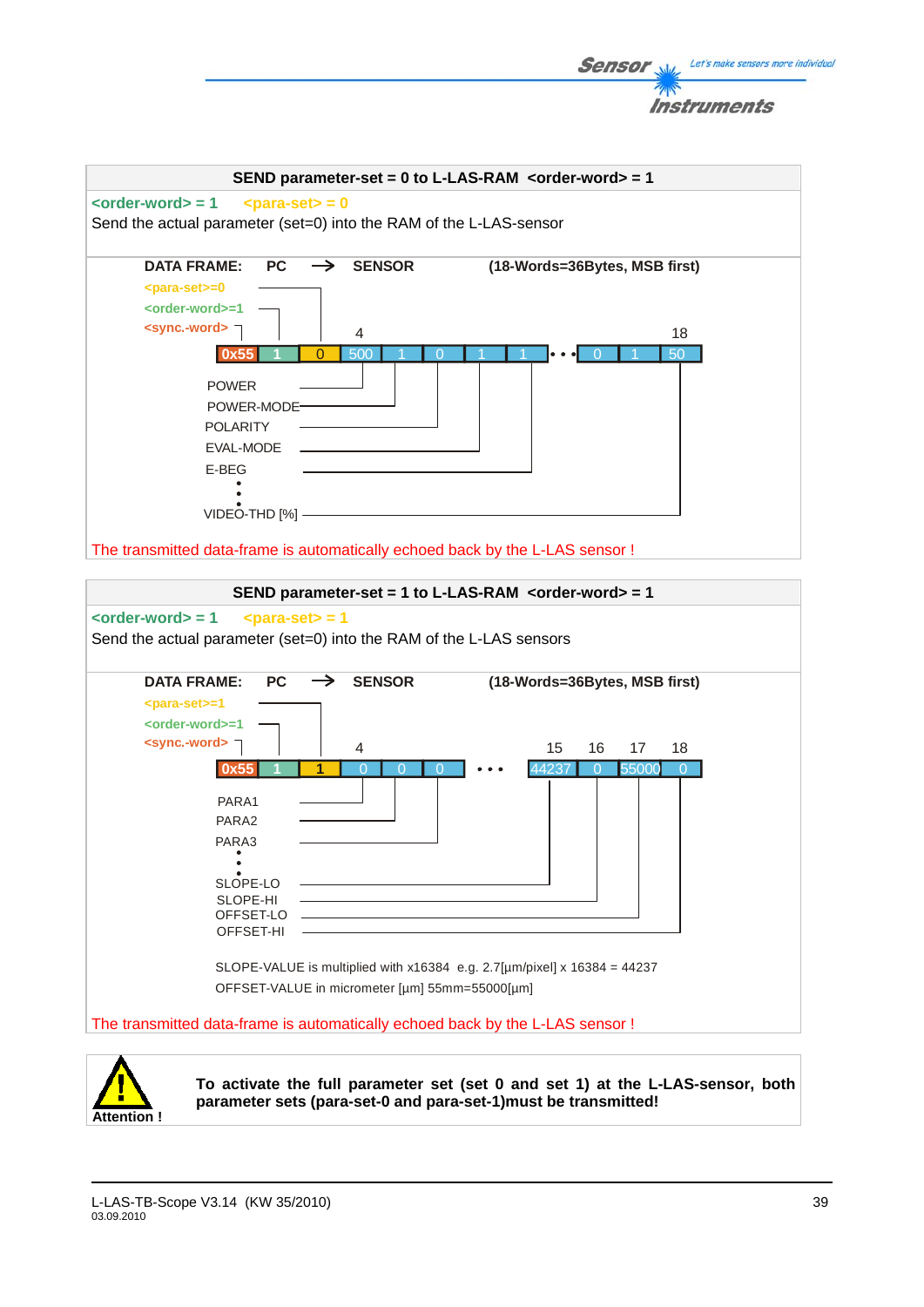

**Attention !**

**To activate the full parameter set (set 0 and set 1) at the L-LAS-sensor, both parameter sets (para-set-0 and para-set-1)must be transmitted!** 

Let's make sensors more individual

Sensor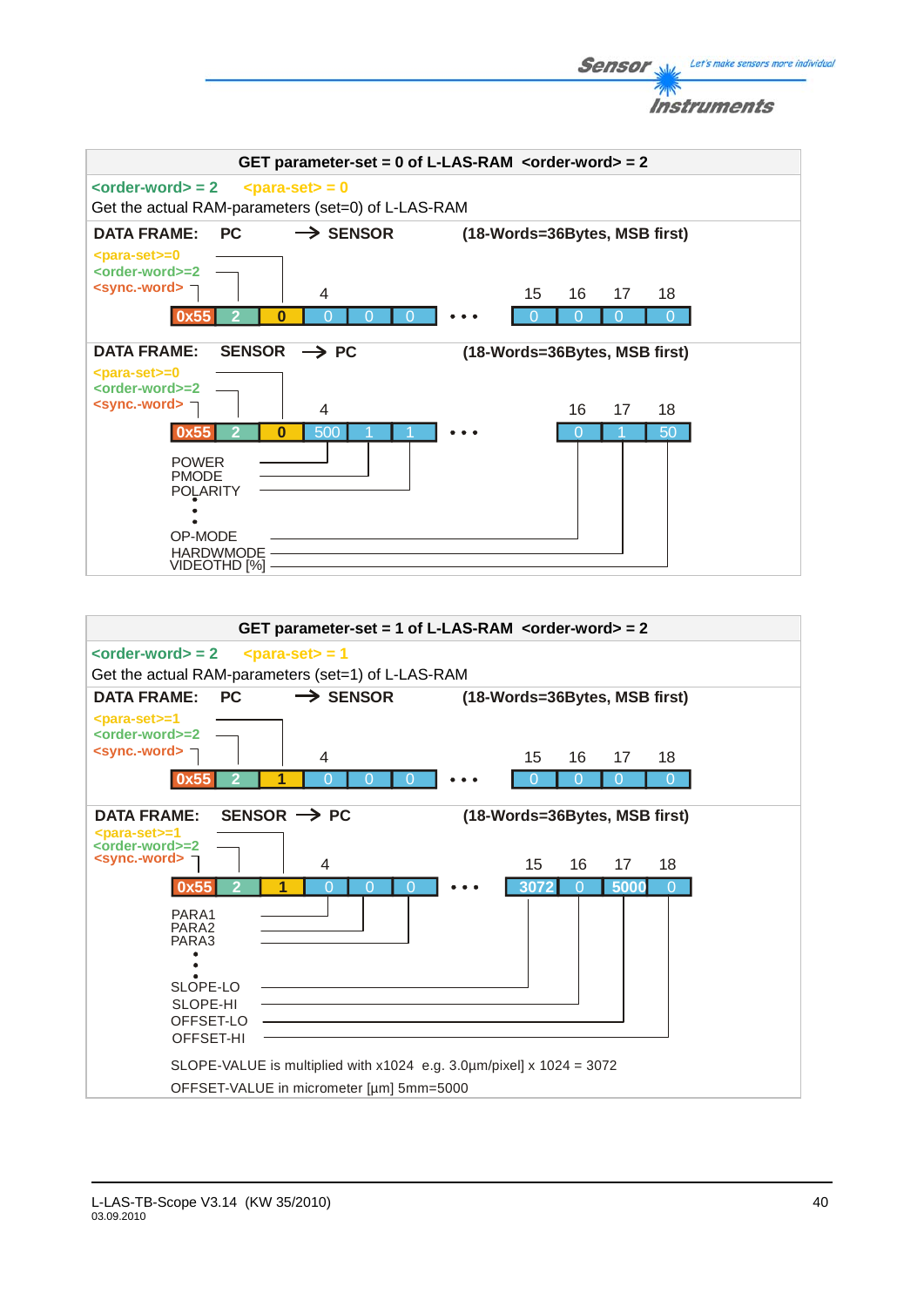



Let's make sensors more individual

**Sensor**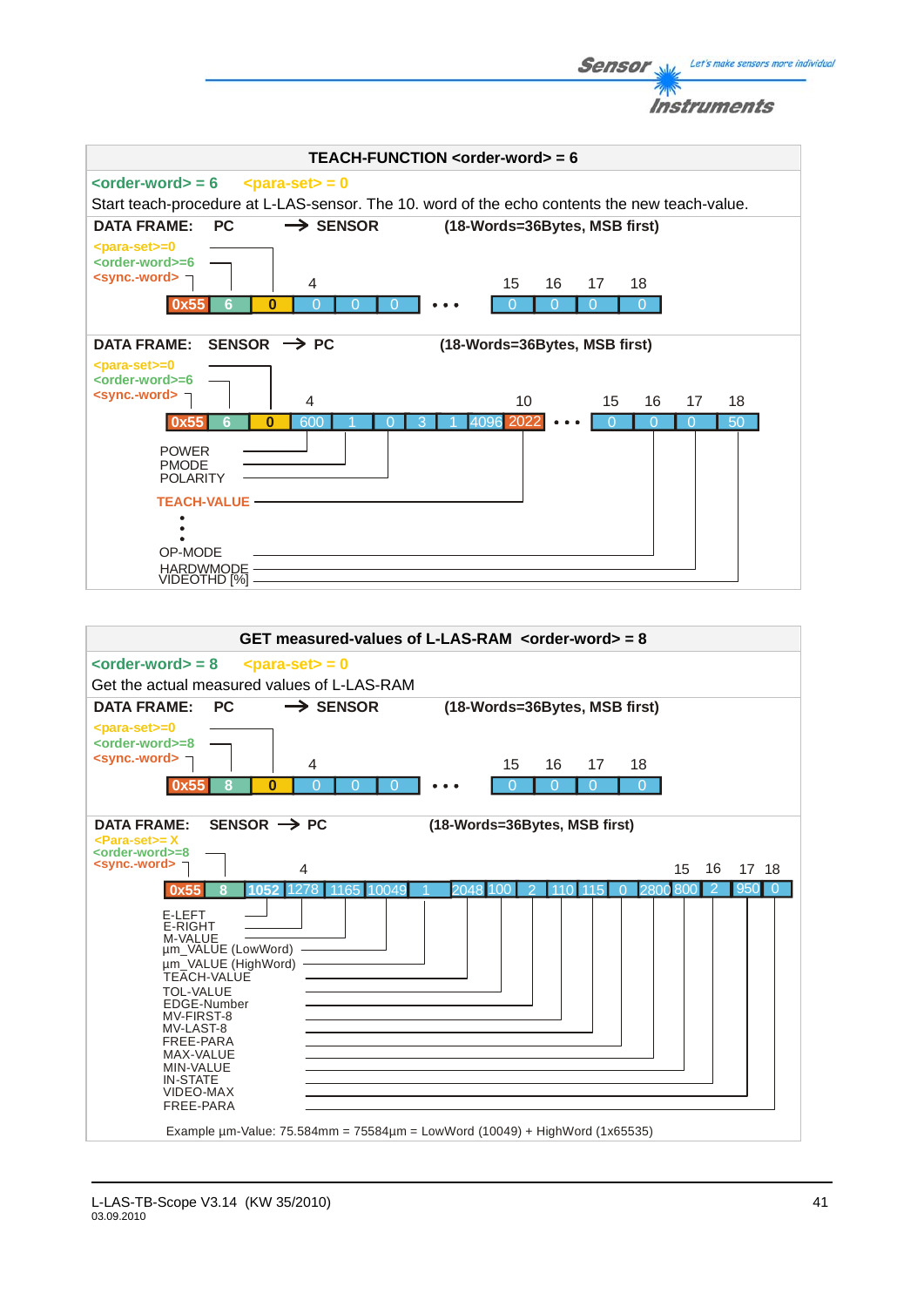**Sensor** Well Let's make sensors more individual Instruments



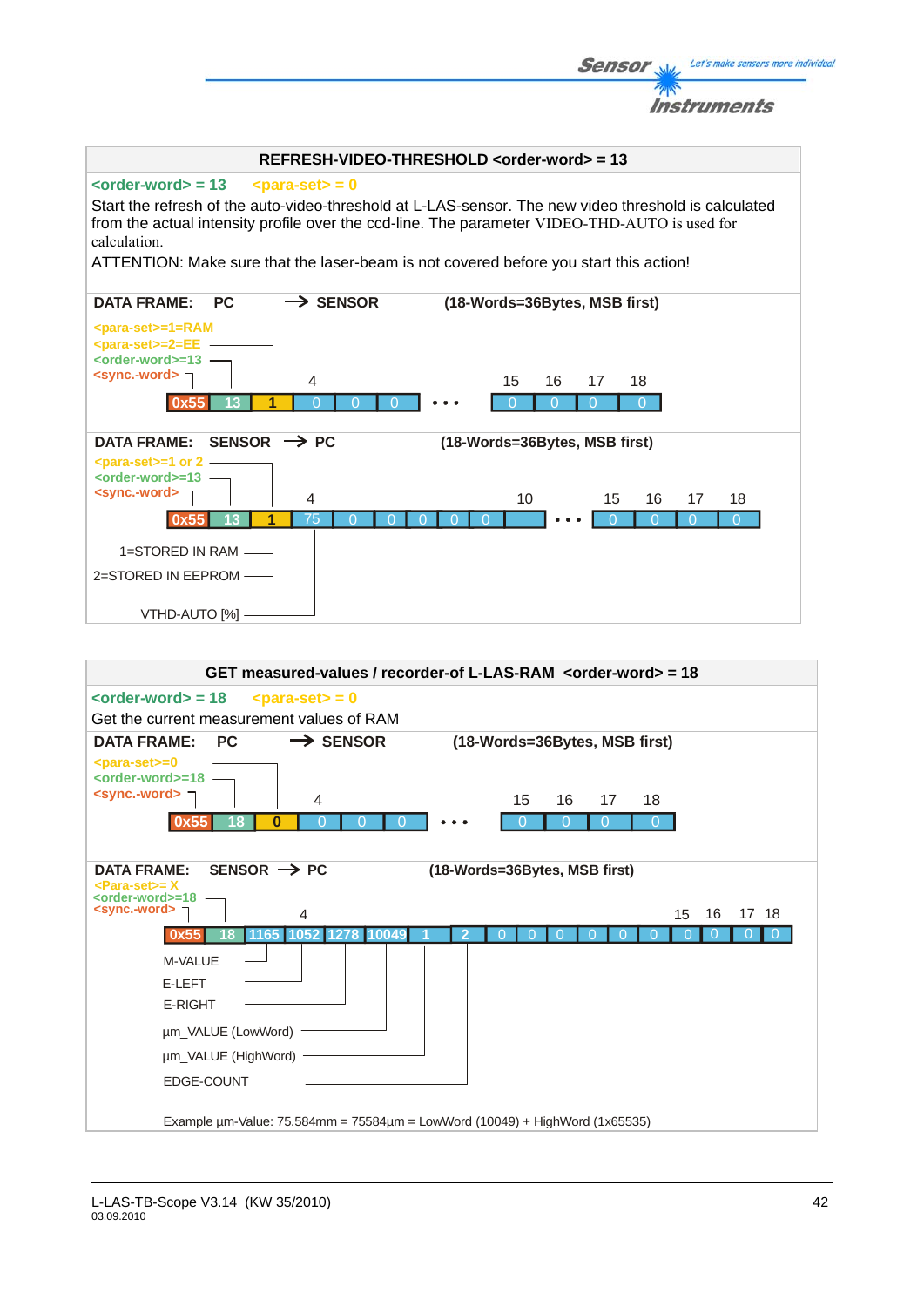|                                                                                                                                                                                                        | Instruments                            |
|--------------------------------------------------------------------------------------------------------------------------------------------------------------------------------------------------------|----------------------------------------|
| REFRESH-VIDEO-THRESHOLD <order-word> = 13</order-word>                                                                                                                                                 |                                        |
| $\le$ order-word $>$ = 13<br>$\epsilon$ <para-set> = 0<br/>Start the refresh of the auto-video-threshold at L-LAS-sensor. The new video threshold is calculated</para-set>                             |                                        |
| from the actual intensity profile over the ccd-line. The parameter VIDEO-THD-AUTO is used for<br>calculation.<br>ATTENTION: Make sure that the laser-beam is not covered before you start this action! |                                        |
| $\rightarrow$ SENSOR<br><b>DATA FRAME:</b><br><b>PC</b>                                                                                                                                                | (18-Words=36Bytes, MSB first)          |
| <para-set>=1=RAM<br/><math>&lt;</math>para-set&gt;=2=EE<br/><order-word>=13 -<br/><sync.-word><br/>4</sync.-word></order-word></para-set>                                                              | 15<br>16<br>18<br>17                   |
| B                                                                                                                                                                                                      |                                        |
| SENSOR $\rightarrow$ PC<br><b>DATA FRAME:</b><br>$<$ para-set $> = 1$ or 2 -                                                                                                                           | (18-Words=36Bytes, MSB first)          |
| <order-word>=13 -<br/><sync.-word> コ<br/>4<br/>75<br/>13<br/>0x55</sync.-word></order-word>                                                                                                            | 10<br>15<br>16<br>18<br>17<br>$\Omega$ |
| 1=STORED IN RAM -<br>2=STORED IN EEPROM                                                                                                                                                                |                                        |
| VTHD-AUTO [%] -                                                                                                                                                                                        |                                        |

**Sensor** W/<sub>2</sub> Let's make sensors more individual

 $\mathcal{P}_1$ 

| GET measured-values / recorder-of L-LAS-RAM <order-word> = 18</order-word>               |
|------------------------------------------------------------------------------------------|
| $\le$ order-word $>$ = 18<br>$<$ para-set $>$ = 0                                        |
| Get the current measurement values of RAM                                                |
| $\rightarrow$ SENSOR<br><b>PC</b><br><b>DATA FRAME:</b><br>(18-Words=36Bytes, MSB first) |
| <para-set>=0<br/><order-word>=18</order-word></para-set>                                 |
| $\le$ sync.-word> $\equiv$<br>15<br>4<br>16<br>17<br>18                                  |
| $\bf{0}$                                                                                 |
|                                                                                          |
| SENSOR $\rightarrow$ PC<br><b>DATA FRAME:</b><br>(18-Words=36Bytes, MSB first)           |
| $\epsilon$ Para-set $\epsilon$ = X<br><order-word>=18</order-word>                       |
| <sync.-word><br/>16<br/>17 18<br/>15<br/>4</sync.-word>                                  |
| 1278.<br>1052<br>1165<br>1004                                                            |
| M-VALUE                                                                                  |
| E-LEFT                                                                                   |
| <b>E-RIGHT</b>                                                                           |
| um_VALUE (LowWord)                                                                       |
| um_VALUE (HighWord)                                                                      |
| EDGE-COUNT                                                                               |
|                                                                                          |
| Example $\mu$ m-Value: 75.584mm = 75584 $\mu$ m = LowWord (10049) + HighWord (1x65535)   |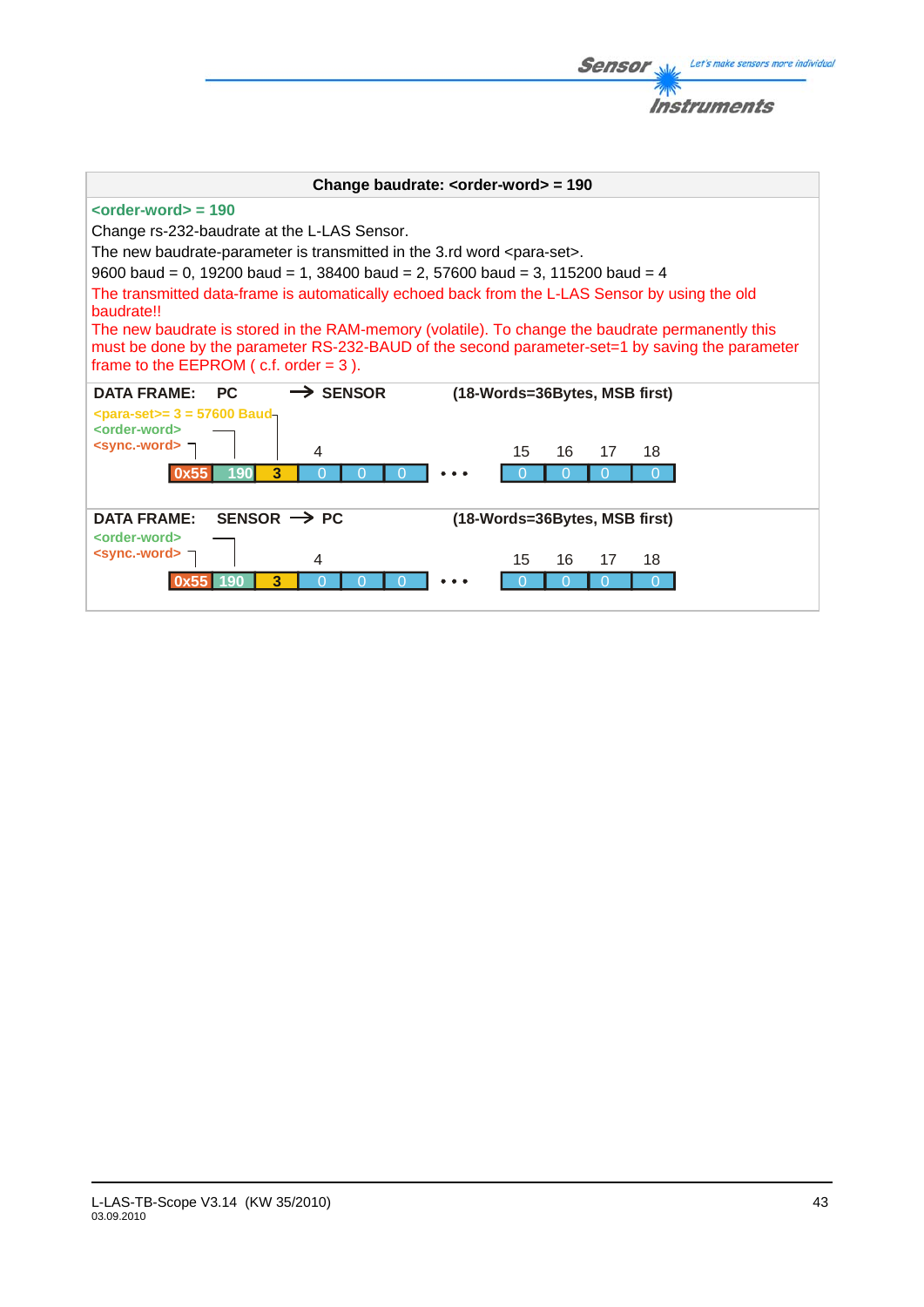|                                                                                                                                                                                                                                                                                                                                                                                                                                                                                                                                                                                                                                                         | Instruments                   |
|---------------------------------------------------------------------------------------------------------------------------------------------------------------------------------------------------------------------------------------------------------------------------------------------------------------------------------------------------------------------------------------------------------------------------------------------------------------------------------------------------------------------------------------------------------------------------------------------------------------------------------------------------------|-------------------------------|
|                                                                                                                                                                                                                                                                                                                                                                                                                                                                                                                                                                                                                                                         |                               |
| Change baudrate: $\leq$ order-word $>$ = 190                                                                                                                                                                                                                                                                                                                                                                                                                                                                                                                                                                                                            |                               |
| $\leftarrow$ <order-word> = 190<br/>Change rs-232-baudrate at the L-LAS Sensor.<br/>The new baudrate-parameter is transmitted in the 3.rd word <para-set>.<br/>9600 baud = 0, 19200 baud = 1, 38400 baud = 2, 57600 baud = 3, 115200 baud = 4<br/>The transmitted data-frame is automatically echoed back from the L-LAS Sensor by using the old<br/>baudrate!!<br/>The new baudrate is stored in the RAM-memory (volatile). To change the baudrate permanently this<br/>must be done by the parameter RS-232-BAUD of the second parameter-set=1 by saving the parameter<br/>frame to the EEPROM <math>(c.f. order = 3)</math>.</para-set></order-word> |                               |
| <b>DATA FRAME:</b><br>PC.<br>$\rightarrow$ SENSOR                                                                                                                                                                                                                                                                                                                                                                                                                                                                                                                                                                                                       | (18-Words=36Bytes, MSB first) |
| $\epsilon$ para-set>= 3 = 57600 Baud-<br><order-word><br/><math>\le</math>sync.-word&gt; <math>\neg</math><br/>4<br/>3<br/>о</order-word>                                                                                                                                                                                                                                                                                                                                                                                                                                                                                                               | 15<br>16<br>18<br>17<br>∩     |
| SENSOR $\rightarrow$ PC<br><b>DATA FRAME:</b>                                                                                                                                                                                                                                                                                                                                                                                                                                                                                                                                                                                                           | (18-Words=36Bytes, MSB first) |
| <order-word><br/><sync.-word> ¬<br/>4<br/>3</sync.-word></order-word>                                                                                                                                                                                                                                                                                                                                                                                                                                                                                                                                                                                   | 16<br>15<br>17<br>18<br>∩     |

**Sensor** Web Let's make sensors more individual